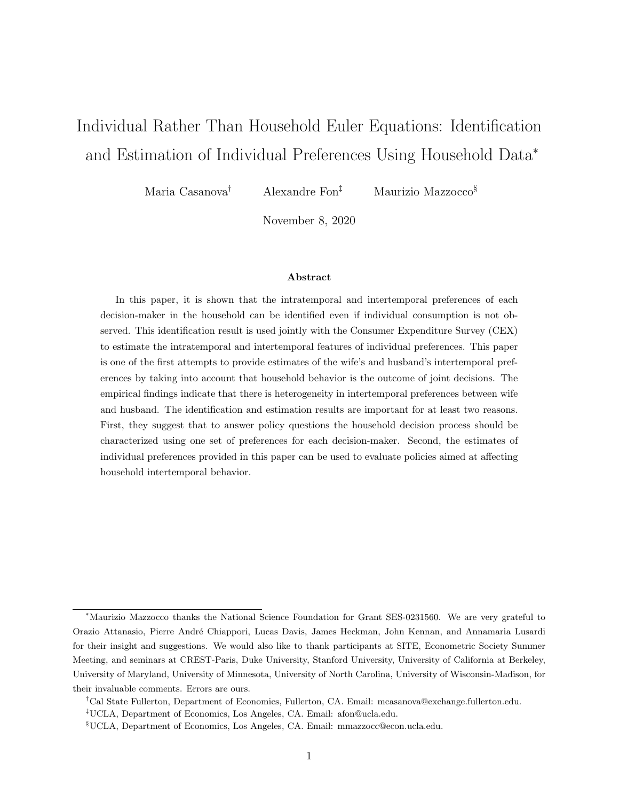# Individual Rather Than Household Euler Equations: Identification and Estimation of Individual Preferences Using Household Data<sup>∗</sup>

Maria Casanova† Alexandre Fon‡ Maurizio Mazzocco§

November 8, 2020

#### Abstract

In this paper, it is shown that the intratemporal and intertemporal preferences of each decision-maker in the household can be identified even if individual consumption is not observed. This identification result is used jointly with the Consumer Expenditure Survey (CEX) to estimate the intratemporal and intertemporal features of individual preferences. This paper is one of the first attempts to provide estimates of the wife's and husband's intertemporal preferences by taking into account that household behavior is the outcome of joint decisions. The empirical findings indicate that there is heterogeneity in intertemporal preferences between wife and husband. The identification and estimation results are important for at least two reasons. First, they suggest that to answer policy questions the household decision process should be characterized using one set of preferences for each decision-maker. Second, the estimates of individual preferences provided in this paper can be used to evaluate policies aimed at affecting household intertemporal behavior.

<sup>∗</sup>Maurizio Mazzocco thanks the National Science Foundation for Grant SES-0231560. We are very grateful to Orazio Attanasio, Pierre Andr´e Chiappori, Lucas Davis, James Heckman, John Kennan, and Annamaria Lusardi for their insight and suggestions. We would also like to thank participants at SITE, Econometric Society Summer Meeting, and seminars at CREST-Paris, Duke University, Stanford University, University of California at Berkeley, University of Maryland, University of Minnesota, University of North Carolina, University of Wisconsin-Madison, for their invaluable comments. Errors are ours.

<sup>†</sup>Cal State Fullerton, Department of Economics, Fullerton, CA. Email: mcasanova@exchange.fullerton.edu.

<sup>‡</sup>UCLA, Department of Economics, Los Angeles, CA. Email: afon@ucla.edu.

<sup>§</sup>UCLA, Department of Economics, Los Angeles, CA. Email: mmazzocc@econ.ucla.edu.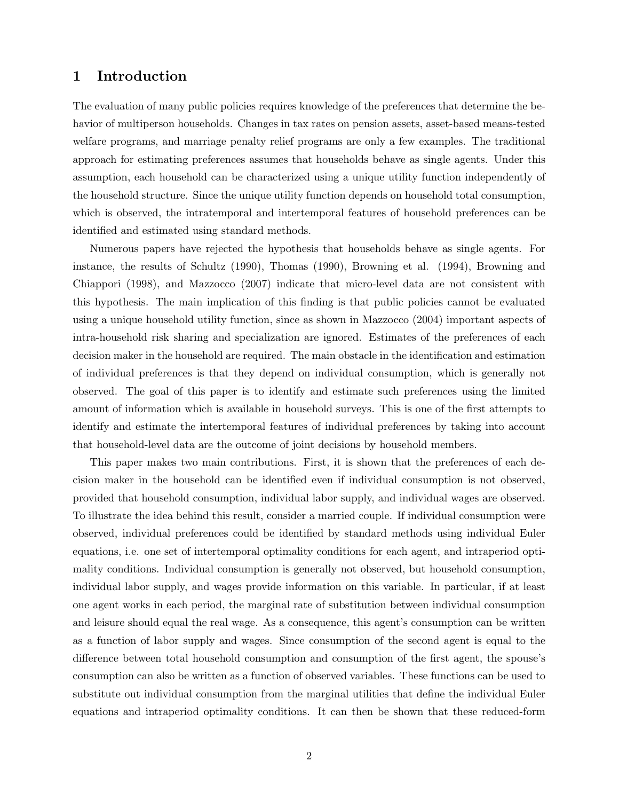# 1 Introduction

The evaluation of many public policies requires knowledge of the preferences that determine the behavior of multiperson households. Changes in tax rates on pension assets, asset-based means-tested welfare programs, and marriage penalty relief programs are only a few examples. The traditional approach for estimating preferences assumes that households behave as single agents. Under this assumption, each household can be characterized using a unique utility function independently of the household structure. Since the unique utility function depends on household total consumption, which is observed, the intratemporal and intertemporal features of household preferences can be identified and estimated using standard methods.

Numerous papers have rejected the hypothesis that households behave as single agents. For instance, the results of Schultz (1990), Thomas (1990), Browning et al. (1994), Browning and Chiappori (1998), and Mazzocco (2007) indicate that micro-level data are not consistent with this hypothesis. The main implication of this finding is that public policies cannot be evaluated using a unique household utility function, since as shown in Mazzocco (2004) important aspects of intra-household risk sharing and specialization are ignored. Estimates of the preferences of each decision maker in the household are required. The main obstacle in the identification and estimation of individual preferences is that they depend on individual consumption, which is generally not observed. The goal of this paper is to identify and estimate such preferences using the limited amount of information which is available in household surveys. This is one of the first attempts to identify and estimate the intertemporal features of individual preferences by taking into account that household-level data are the outcome of joint decisions by household members.

This paper makes two main contributions. First, it is shown that the preferences of each decision maker in the household can be identified even if individual consumption is not observed, provided that household consumption, individual labor supply, and individual wages are observed. To illustrate the idea behind this result, consider a married couple. If individual consumption were observed, individual preferences could be identified by standard methods using individual Euler equations, i.e. one set of intertemporal optimality conditions for each agent, and intraperiod optimality conditions. Individual consumption is generally not observed, but household consumption, individual labor supply, and wages provide information on this variable. In particular, if at least one agent works in each period, the marginal rate of substitution between individual consumption and leisure should equal the real wage. As a consequence, this agent's consumption can be written as a function of labor supply and wages. Since consumption of the second agent is equal to the difference between total household consumption and consumption of the first agent, the spouse's consumption can also be written as a function of observed variables. These functions can be used to substitute out individual consumption from the marginal utilities that define the individual Euler equations and intraperiod optimality conditions. It can then be shown that these reduced-form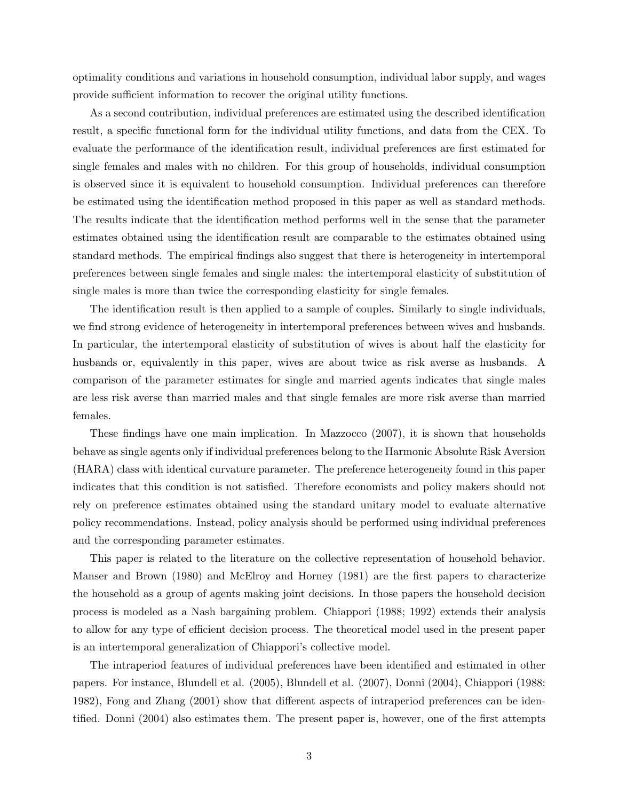optimality conditions and variations in household consumption, individual labor supply, and wages provide sufficient information to recover the original utility functions.

As a second contribution, individual preferences are estimated using the described identification result, a specific functional form for the individual utility functions, and data from the CEX. To evaluate the performance of the identification result, individual preferences are first estimated for single females and males with no children. For this group of households, individual consumption is observed since it is equivalent to household consumption. Individual preferences can therefore be estimated using the identification method proposed in this paper as well as standard methods. The results indicate that the identification method performs well in the sense that the parameter estimates obtained using the identification result are comparable to the estimates obtained using standard methods. The empirical findings also suggest that there is heterogeneity in intertemporal preferences between single females and single males: the intertemporal elasticity of substitution of single males is more than twice the corresponding elasticity for single females.

The identification result is then applied to a sample of couples. Similarly to single individuals, we find strong evidence of heterogeneity in intertemporal preferences between wives and husbands. In particular, the intertemporal elasticity of substitution of wives is about half the elasticity for husbands or, equivalently in this paper, wives are about twice as risk averse as husbands. A comparison of the parameter estimates for single and married agents indicates that single males are less risk averse than married males and that single females are more risk averse than married females.

These findings have one main implication. In Mazzocco (2007), it is shown that households behave as single agents only if individual preferences belong to the Harmonic Absolute Risk Aversion (HARA) class with identical curvature parameter. The preference heterogeneity found in this paper indicates that this condition is not satisfied. Therefore economists and policy makers should not rely on preference estimates obtained using the standard unitary model to evaluate alternative policy recommendations. Instead, policy analysis should be performed using individual preferences and the corresponding parameter estimates.

This paper is related to the literature on the collective representation of household behavior. Manser and Brown (1980) and McElroy and Horney (1981) are the first papers to characterize the household as a group of agents making joint decisions. In those papers the household decision process is modeled as a Nash bargaining problem. Chiappori (1988; 1992) extends their analysis to allow for any type of efficient decision process. The theoretical model used in the present paper is an intertemporal generalization of Chiappori's collective model.

The intraperiod features of individual preferences have been identified and estimated in other papers. For instance, Blundell et al. (2005), Blundell et al. (2007), Donni (2004), Chiappori (1988; 1982), Fong and Zhang (2001) show that different aspects of intraperiod preferences can be identified. Donni (2004) also estimates them. The present paper is, however, one of the first attempts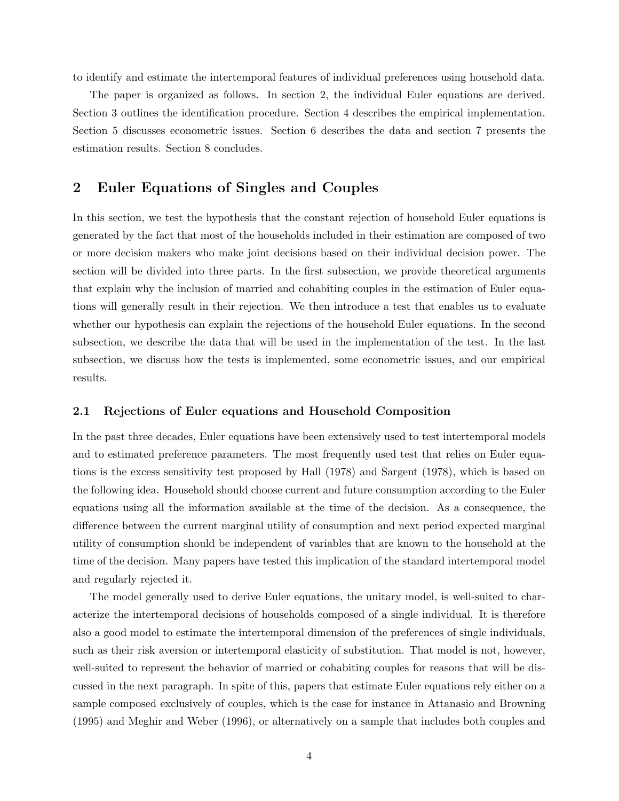to identify and estimate the intertemporal features of individual preferences using household data.

The paper is organized as follows. In section 2, the individual Euler equations are derived. Section 3 outlines the identification procedure. Section 4 describes the empirical implementation. Section 5 discusses econometric issues. Section 6 describes the data and section 7 presents the estimation results. Section 8 concludes.

# 2 Euler Equations of Singles and Couples

In this section, we test the hypothesis that the constant rejection of household Euler equations is generated by the fact that most of the households included in their estimation are composed of two or more decision makers who make joint decisions based on their individual decision power. The section will be divided into three parts. In the first subsection, we provide theoretical arguments that explain why the inclusion of married and cohabiting couples in the estimation of Euler equations will generally result in their rejection. We then introduce a test that enables us to evaluate whether our hypothesis can explain the rejections of the household Euler equations. In the second subsection, we describe the data that will be used in the implementation of the test. In the last subsection, we discuss how the tests is implemented, some econometric issues, and our empirical results.

### 2.1 Rejections of Euler equations and Household Composition

In the past three decades, Euler equations have been extensively used to test intertemporal models and to estimated preference parameters. The most frequently used test that relies on Euler equations is the excess sensitivity test proposed by Hall (1978) and Sargent (1978), which is based on the following idea. Household should choose current and future consumption according to the Euler equations using all the information available at the time of the decision. As a consequence, the difference between the current marginal utility of consumption and next period expected marginal utility of consumption should be independent of variables that are known to the household at the time of the decision. Many papers have tested this implication of the standard intertemporal model and regularly rejected it.

The model generally used to derive Euler equations, the unitary model, is well-suited to characterize the intertemporal decisions of households composed of a single individual. It is therefore also a good model to estimate the intertemporal dimension of the preferences of single individuals, such as their risk aversion or intertemporal elasticity of substitution. That model is not, however, well-suited to represent the behavior of married or cohabiting couples for reasons that will be discussed in the next paragraph. In spite of this, papers that estimate Euler equations rely either on a sample composed exclusively of couples, which is the case for instance in Attanasio and Browning (1995) and Meghir and Weber (1996), or alternatively on a sample that includes both couples and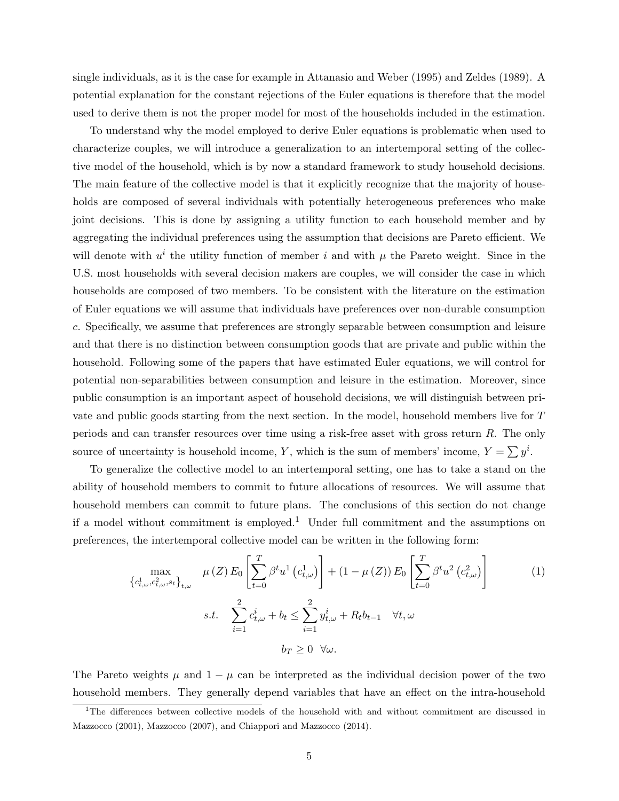single individuals, as it is the case for example in Attanasio and Weber (1995) and Zeldes (1989). A potential explanation for the constant rejections of the Euler equations is therefore that the model used to derive them is not the proper model for most of the households included in the estimation.

To understand why the model employed to derive Euler equations is problematic when used to characterize couples, we will introduce a generalization to an intertemporal setting of the collective model of the household, which is by now a standard framework to study household decisions. The main feature of the collective model is that it explicitly recognize that the majority of households are composed of several individuals with potentially heterogeneous preferences who make joint decisions. This is done by assigning a utility function to each household member and by aggregating the individual preferences using the assumption that decisions are Pareto efficient. We will denote with  $u^i$  the utility function of member i and with  $\mu$  the Pareto weight. Since in the U.S. most households with several decision makers are couples, we will consider the case in which households are composed of two members. To be consistent with the literature on the estimation of Euler equations we will assume that individuals have preferences over non-durable consumption c. Specifically, we assume that preferences are strongly separable between consumption and leisure and that there is no distinction between consumption goods that are private and public within the household. Following some of the papers that have estimated Euler equations, we will control for potential non-separabilities between consumption and leisure in the estimation. Moreover, since public consumption is an important aspect of household decisions, we will distinguish between private and public goods starting from the next section. In the model, household members live for T periods and can transfer resources over time using a risk-free asset with gross return R. The only source of uncertainty is household income, Y, which is the sum of members' income,  $Y = \sum y^i$ .

To generalize the collective model to an intertemporal setting, one has to take a stand on the ability of household members to commit to future allocations of resources. We will assume that household members can commit to future plans. The conclusions of this section do not change if a model without commitment is employed.<sup>1</sup> Under full commitment and the assumptions on preferences, the intertemporal collective model can be written in the following form:

$$
\max_{\{c_{t,\omega}^1, c_{t,\omega}^2, s_t\}_{t,\omega}} \mu(Z) E_0 \left[ \sum_{t=0}^T \beta^t u^1 (c_{t,\omega}^1) \right] + (1 - \mu(Z)) E_0 \left[ \sum_{t=0}^T \beta^t u^2 (c_{t,\omega}^2) \right]
$$
  
s.t. 
$$
\sum_{i=1}^2 c_{t,\omega}^i + b_t \le \sum_{i=1}^2 y_{t,\omega}^i + R_t b_{t-1} \quad \forall t, \omega
$$

$$
b_T \ge 0 \quad \forall \omega.
$$
 (1)

The Pareto weights  $\mu$  and  $1 - \mu$  can be interpreted as the individual decision power of the two household members. They generally depend variables that have an effect on the intra-household

<sup>&</sup>lt;sup>1</sup>The differences between collective models of the household with and without commitment are discussed in Mazzocco (2001), Mazzocco (2007), and Chiappori and Mazzocco (2014).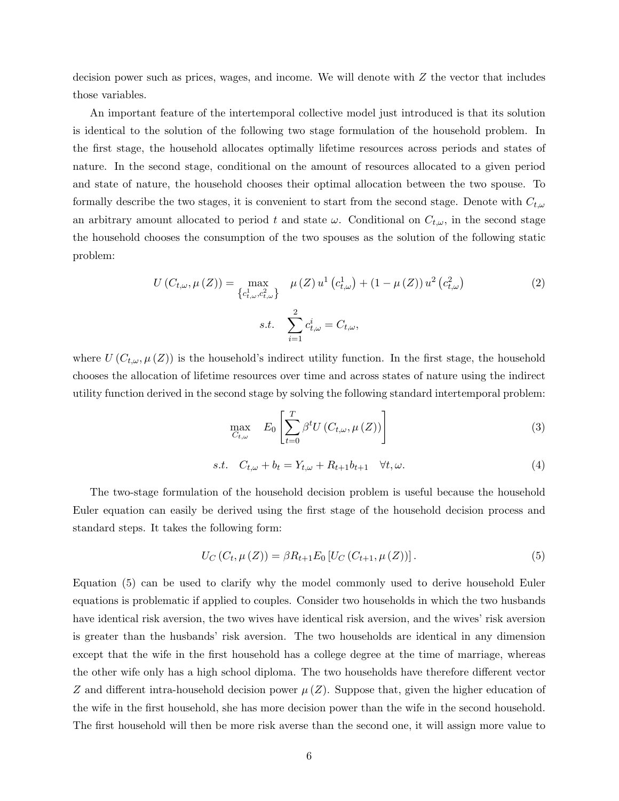decision power such as prices, wages, and income. We will denote with  $Z$  the vector that includes those variables.

An important feature of the intertemporal collective model just introduced is that its solution is identical to the solution of the following two stage formulation of the household problem. In the first stage, the household allocates optimally lifetime resources across periods and states of nature. In the second stage, conditional on the amount of resources allocated to a given period and state of nature, the household chooses their optimal allocation between the two spouse. To formally describe the two stages, it is convenient to start from the second stage. Denote with  $C_{t,\omega}$ an arbitrary amount allocated to period t and state  $\omega$ . Conditional on  $C_{t,\omega}$ , in the second stage the household chooses the consumption of the two spouses as the solution of the following static problem:

$$
U(C_{t,\omega}, \mu(Z)) = \max_{\{c_{t,\omega}^1, c_{t,\omega}^2\}} \mu(Z) u^1(c_{t,\omega}^1) + (1 - \mu(Z)) u^2(c_{t,\omega}^2)
$$
\n
$$
s.t. \sum_{i=1}^2 c_{t,\omega}^i = C_{t,\omega},
$$
\n(2)

where  $U(C_{t,\omega}, \mu(Z))$  is the household's indirect utility function. In the first stage, the household chooses the allocation of lifetime resources over time and across states of nature using the indirect utility function derived in the second stage by solving the following standard intertemporal problem:

$$
\max_{C_{t,\omega}} \quad E_0 \left[ \sum_{t=0}^T \beta^t U(C_{t,\omega}, \mu(Z)) \right] \tag{3}
$$

$$
s.t. \quad C_{t,\omega} + b_t = Y_{t,\omega} + R_{t+1}b_{t+1} \quad \forall t, \omega.
$$
\n
$$
(4)
$$

The two-stage formulation of the household decision problem is useful because the household Euler equation can easily be derived using the first stage of the household decision process and standard steps. It takes the following form:

$$
U_C(C_t, \mu(Z)) = \beta R_{t+1} E_0[U_C(C_{t+1}, \mu(Z))]. \tag{5}
$$

Equation (5) can be used to clarify why the model commonly used to derive household Euler equations is problematic if applied to couples. Consider two households in which the two husbands have identical risk aversion, the two wives have identical risk aversion, and the wives' risk aversion is greater than the husbands' risk aversion. The two households are identical in any dimension except that the wife in the first household has a college degree at the time of marriage, whereas the other wife only has a high school diploma. The two households have therefore different vector Z and different intra-household decision power  $\mu(Z)$ . Suppose that, given the higher education of the wife in the first household, she has more decision power than the wife in the second household. The first household will then be more risk averse than the second one, it will assign more value to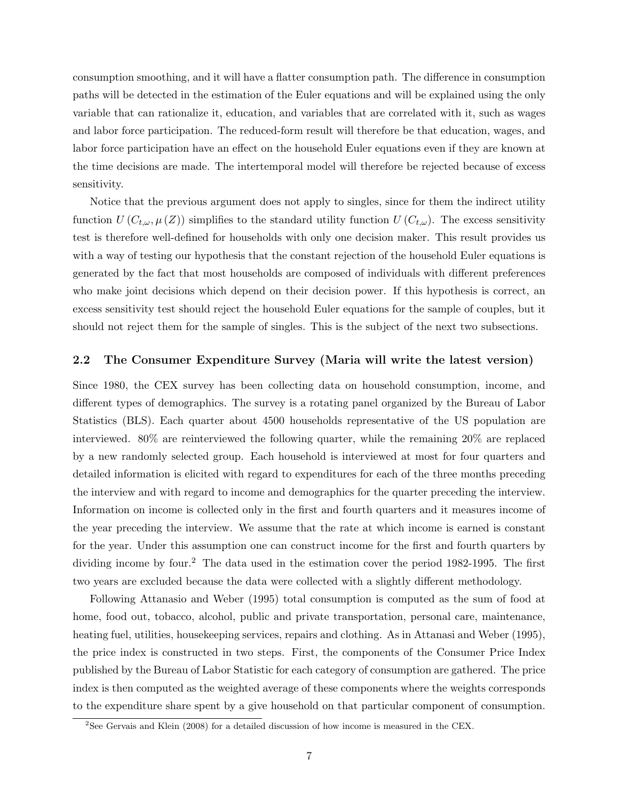consumption smoothing, and it will have a flatter consumption path. The difference in consumption paths will be detected in the estimation of the Euler equations and will be explained using the only variable that can rationalize it, education, and variables that are correlated with it, such as wages and labor force participation. The reduced-form result will therefore be that education, wages, and labor force participation have an effect on the household Euler equations even if they are known at the time decisions are made. The intertemporal model will therefore be rejected because of excess sensitivity.

Notice that the previous argument does not apply to singles, since for them the indirect utility function  $U(C_{t,\omega}, \mu(Z))$  simplifies to the standard utility function  $U(C_{t,\omega})$ . The excess sensitivity test is therefore well-defined for households with only one decision maker. This result provides us with a way of testing our hypothesis that the constant rejection of the household Euler equations is generated by the fact that most households are composed of individuals with different preferences who make joint decisions which depend on their decision power. If this hypothesis is correct, an excess sensitivity test should reject the household Euler equations for the sample of couples, but it should not reject them for the sample of singles. This is the subject of the next two subsections.

#### 2.2 The Consumer Expenditure Survey (Maria will write the latest version)

Since 1980, the CEX survey has been collecting data on household consumption, income, and different types of demographics. The survey is a rotating panel organized by the Bureau of Labor Statistics (BLS). Each quarter about 4500 households representative of the US population are interviewed. 80% are reinterviewed the following quarter, while the remaining 20% are replaced by a new randomly selected group. Each household is interviewed at most for four quarters and detailed information is elicited with regard to expenditures for each of the three months preceding the interview and with regard to income and demographics for the quarter preceding the interview. Information on income is collected only in the first and fourth quarters and it measures income of the year preceding the interview. We assume that the rate at which income is earned is constant for the year. Under this assumption one can construct income for the first and fourth quarters by dividing income by four.<sup>2</sup> The data used in the estimation cover the period 1982-1995. The first two years are excluded because the data were collected with a slightly different methodology.

Following Attanasio and Weber (1995) total consumption is computed as the sum of food at home, food out, tobacco, alcohol, public and private transportation, personal care, maintenance, heating fuel, utilities, housekeeping services, repairs and clothing. As in Attanasi and Weber (1995), the price index is constructed in two steps. First, the components of the Consumer Price Index published by the Bureau of Labor Statistic for each category of consumption are gathered. The price index is then computed as the weighted average of these components where the weights corresponds to the expenditure share spent by a give household on that particular component of consumption.

<sup>&</sup>lt;sup>2</sup>See Gervais and Klein (2008) for a detailed discussion of how income is measured in the CEX.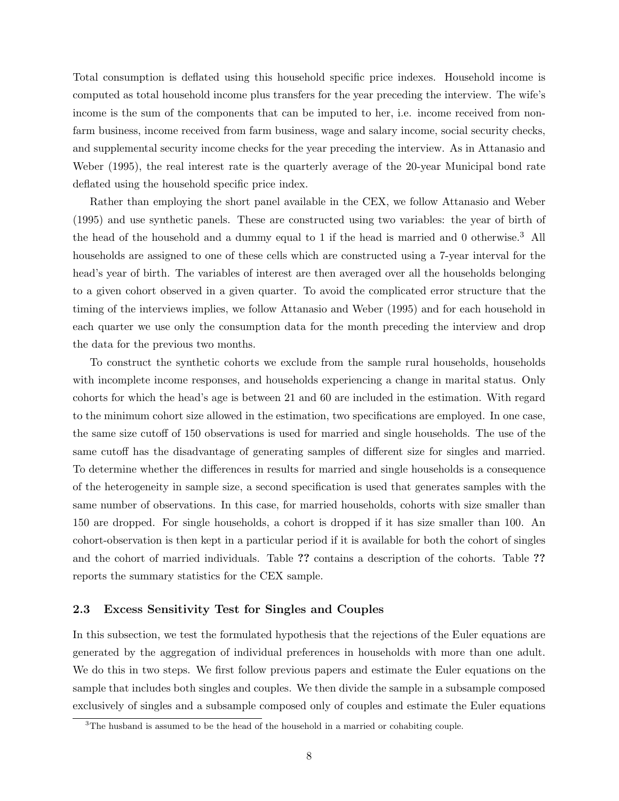Total consumption is deflated using this household specific price indexes. Household income is computed as total household income plus transfers for the year preceding the interview. The wife's income is the sum of the components that can be imputed to her, i.e. income received from nonfarm business, income received from farm business, wage and salary income, social security checks, and supplemental security income checks for the year preceding the interview. As in Attanasio and Weber (1995), the real interest rate is the quarterly average of the 20-year Municipal bond rate deflated using the household specific price index.

Rather than employing the short panel available in the CEX, we follow Attanasio and Weber (1995) and use synthetic panels. These are constructed using two variables: the year of birth of the head of the household and a dummy equal to 1 if the head is married and 0 otherwise.<sup>3</sup> All households are assigned to one of these cells which are constructed using a 7-year interval for the head's year of birth. The variables of interest are then averaged over all the households belonging to a given cohort observed in a given quarter. To avoid the complicated error structure that the timing of the interviews implies, we follow Attanasio and Weber (1995) and for each household in each quarter we use only the consumption data for the month preceding the interview and drop the data for the previous two months.

To construct the synthetic cohorts we exclude from the sample rural households, households with incomplete income responses, and households experiencing a change in marital status. Only cohorts for which the head's age is between 21 and 60 are included in the estimation. With regard to the minimum cohort size allowed in the estimation, two specifications are employed. In one case, the same size cutoff of 150 observations is used for married and single households. The use of the same cutoff has the disadvantage of generating samples of different size for singles and married. To determine whether the differences in results for married and single households is a consequence of the heterogeneity in sample size, a second specification is used that generates samples with the same number of observations. In this case, for married households, cohorts with size smaller than 150 are dropped. For single households, a cohort is dropped if it has size smaller than 100. An cohort-observation is then kept in a particular period if it is available for both the cohort of singles and the cohort of married individuals. Table ?? contains a description of the cohorts. Table ?? reports the summary statistics for the CEX sample.

#### 2.3 Excess Sensitivity Test for Singles and Couples

In this subsection, we test the formulated hypothesis that the rejections of the Euler equations are generated by the aggregation of individual preferences in households with more than one adult. We do this in two steps. We first follow previous papers and estimate the Euler equations on the sample that includes both singles and couples. We then divide the sample in a subsample composed exclusively of singles and a subsample composed only of couples and estimate the Euler equations

<sup>&</sup>lt;sup>3</sup>The husband is assumed to be the head of the household in a married or cohabiting couple.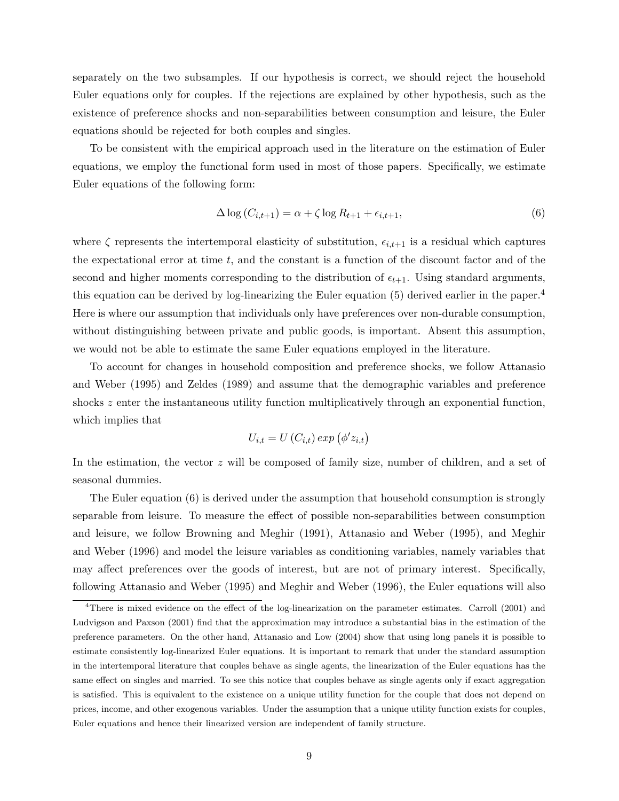separately on the two subsamples. If our hypothesis is correct, we should reject the household Euler equations only for couples. If the rejections are explained by other hypothesis, such as the existence of preference shocks and non-separabilities between consumption and leisure, the Euler equations should be rejected for both couples and singles.

To be consistent with the empirical approach used in the literature on the estimation of Euler equations, we employ the functional form used in most of those papers. Specifically, we estimate Euler equations of the following form:

$$
\Delta \log \left( C_{i,t+1} \right) = \alpha + \zeta \log R_{t+1} + \epsilon_{i,t+1},\tag{6}
$$

where  $\zeta$  represents the intertemporal elasticity of substitution,  $\epsilon_{i,t+1}$  is a residual which captures the expectational error at time  $t$ , and the constant is a function of the discount factor and of the second and higher moments corresponding to the distribution of  $\epsilon_{t+1}$ . Using standard arguments, this equation can be derived by log-linearizing the Euler equation (5) derived earlier in the paper.<sup>4</sup> Here is where our assumption that individuals only have preferences over non-durable consumption, without distinguishing between private and public goods, is important. Absent this assumption, we would not be able to estimate the same Euler equations employed in the literature.

To account for changes in household composition and preference shocks, we follow Attanasio and Weber (1995) and Zeldes (1989) and assume that the demographic variables and preference shocks z enter the instantaneous utility function multiplicatively through an exponential function, which implies that

$$
U_{i,t} = U\left(C_{i,t}\right) \exp\left(\phi' z_{i,t}\right)
$$

In the estimation, the vector z will be composed of family size, number of children, and a set of seasonal dummies.

The Euler equation (6) is derived under the assumption that household consumption is strongly separable from leisure. To measure the effect of possible non-separabilities between consumption and leisure, we follow Browning and Meghir (1991), Attanasio and Weber (1995), and Meghir and Weber (1996) and model the leisure variables as conditioning variables, namely variables that may affect preferences over the goods of interest, but are not of primary interest. Specifically, following Attanasio and Weber (1995) and Meghir and Weber (1996), the Euler equations will also

<sup>&</sup>lt;sup>4</sup>There is mixed evidence on the effect of the log-linearization on the parameter estimates. Carroll (2001) and Ludvigson and Paxson (2001) find that the approximation may introduce a substantial bias in the estimation of the preference parameters. On the other hand, Attanasio and Low (2004) show that using long panels it is possible to estimate consistently log-linearized Euler equations. It is important to remark that under the standard assumption in the intertemporal literature that couples behave as single agents, the linearization of the Euler equations has the same effect on singles and married. To see this notice that couples behave as single agents only if exact aggregation is satisfied. This is equivalent to the existence on a unique utility function for the couple that does not depend on prices, income, and other exogenous variables. Under the assumption that a unique utility function exists for couples, Euler equations and hence their linearized version are independent of family structure.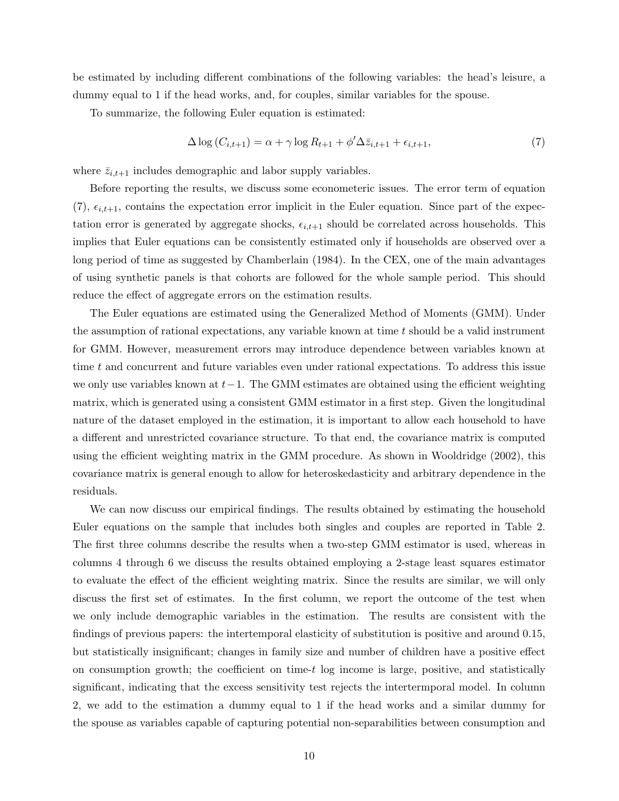be estimated by including different combinations of the following variables: the head's leisure, a dummy equal to 1 if the head works, and, for couples, similar variables for the spouse.

To summarize, the following Euler equation is estimated:

$$
\Delta \log \left( C_{i,t+1} \right) = \alpha + \gamma \log R_{t+1} + \phi' \Delta \bar{z}_{i,t+1} + \epsilon_{i,t+1},\tag{7}
$$

where  $\bar{z}_{i,t+1}$  includes demographic and labor supply variables.

Before reporting the results, we discuss some econometeric issues. The error term of equation  $(7), \epsilon_{i,t+1}$ , contains the expectation error implicit in the Euler equation. Since part of the expectation error is generated by aggregate shocks,  $\epsilon_{i,t+1}$  should be correlated across households. This implies that Euler equations can be consistently estimated only if households are observed over a long period of time as suggested by Chamberlain (1984). In the CEX, one of the main advantages of using synthetic panels is that cohorts are followed for the whole sample period. This should reduce the effect of aggregate errors on the estimation results.

The Euler equations are estimated using the Generalized Method of Moments (GMM). Under the assumption of rational expectations, any variable known at time  $t$  should be a valid instrument for GMM. However, measurement errors may introduce dependence between variables known at time  $t$  and concurrent and future variables even under rational expectations. To address this issue we only use variables known at  $t-1$ . The GMM estimates are obtained using the efficient weighting matrix, which is generated using a consistent GMM estimator in a first step. Given the longitudinal nature of the dataset employed in the estimation, it is important to allow each household to have a different and unrestricted covariance structure. To that end, the covariance matrix is computed using the efficient weighting matrix in the GMM procedure. As shown in Wooldridge (2002), this covariance matrix is general enough to allow for heteroskedasticity and arbitrary dependence in the residuals.

We can now discuss our empirical findings. The results obtained by estimating the household Euler equations on the sample that includes both singles and couples are reported in Table 2. The first three columns describe the results when a two-step GMM estimator is used, whereas in columns 4 through 6 we discuss the results obtained employing a 2-stage least squares estimator to evaluate the effect of the efficient weighting matrix. Since the results are similar, we will only discuss the first set of estimates. In the first column, we report the outcome of the test when we only include demographic variables in the estimation. The results are consistent with the findings of previous papers: the intertemporal elasticity of substitution is positive and around 0.15, but statistically insignificant; changes in family size and number of children have a positive effect on consumption growth; the coefficient on time- $t$  log income is large, positive, and statistically significant, indicating that the excess sensitivity test rejects the intertermporal model. In column 2, we add to the estimation a dummy equal to 1 if the head works and a similar dummy for the spouse as variables capable of capturing potential non-separabilities between consumption and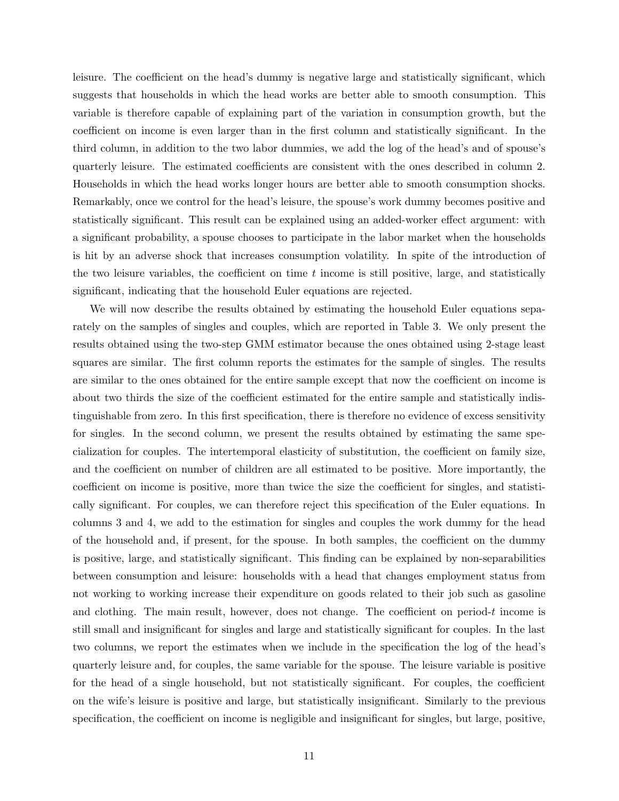leisure. The coefficient on the head's dummy is negative large and statistically significant, which suggests that households in which the head works are better able to smooth consumption. This variable is therefore capable of explaining part of the variation in consumption growth, but the coefficient on income is even larger than in the first column and statistically significant. In the third column, in addition to the two labor dummies, we add the log of the head's and of spouse's quarterly leisure. The estimated coefficients are consistent with the ones described in column 2. Households in which the head works longer hours are better able to smooth consumption shocks. Remarkably, once we control for the head's leisure, the spouse's work dummy becomes positive and statistically significant. This result can be explained using an added-worker effect argument: with a significant probability, a spouse chooses to participate in the labor market when the households is hit by an adverse shock that increases consumption volatility. In spite of the introduction of the two leisure variables, the coefficient on time  $t$  income is still positive, large, and statistically significant, indicating that the household Euler equations are rejected.

We will now describe the results obtained by estimating the household Euler equations separately on the samples of singles and couples, which are reported in Table 3. We only present the results obtained using the two-step GMM estimator because the ones obtained using 2-stage least squares are similar. The first column reports the estimates for the sample of singles. The results are similar to the ones obtained for the entire sample except that now the coefficient on income is about two thirds the size of the coefficient estimated for the entire sample and statistically indistinguishable from zero. In this first specification, there is therefore no evidence of excess sensitivity for singles. In the second column, we present the results obtained by estimating the same specialization for couples. The intertemporal elasticity of substitution, the coefficient on family size, and the coefficient on number of children are all estimated to be positive. More importantly, the coefficient on income is positive, more than twice the size the coefficient for singles, and statistically significant. For couples, we can therefore reject this specification of the Euler equations. In columns 3 and 4, we add to the estimation for singles and couples the work dummy for the head of the household and, if present, for the spouse. In both samples, the coefficient on the dummy is positive, large, and statistically significant. This finding can be explained by non-separabilities between consumption and leisure: households with a head that changes employment status from not working to working increase their expenditure on goods related to their job such as gasoline and clothing. The main result, however, does not change. The coefficient on period-t income is still small and insignificant for singles and large and statistically significant for couples. In the last two columns, we report the estimates when we include in the specification the log of the head's quarterly leisure and, for couples, the same variable for the spouse. The leisure variable is positive for the head of a single household, but not statistically significant. For couples, the coefficient on the wife's leisure is positive and large, but statistically insignificant. Similarly to the previous specification, the coefficient on income is negligible and insignificant for singles, but large, positive,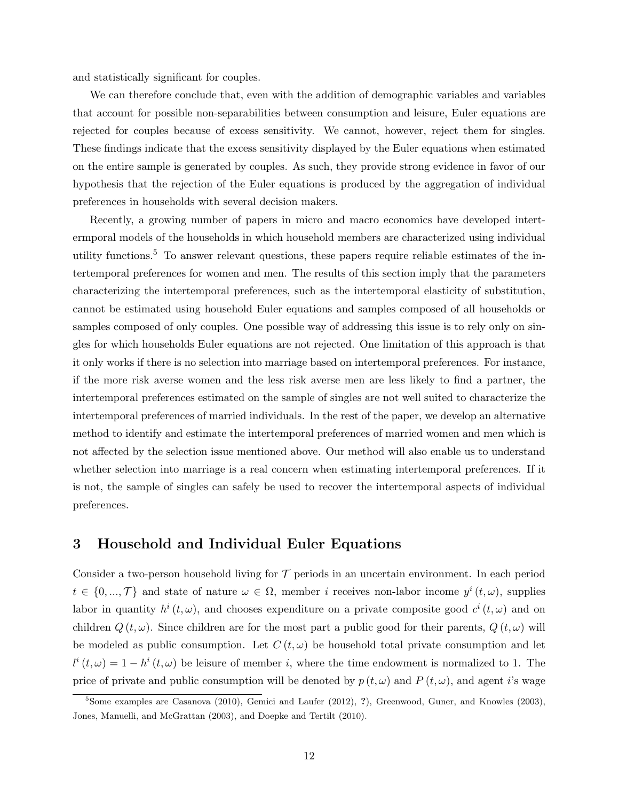and statistically significant for couples.

We can therefore conclude that, even with the addition of demographic variables and variables that account for possible non-separabilities between consumption and leisure, Euler equations are rejected for couples because of excess sensitivity. We cannot, however, reject them for singles. These findings indicate that the excess sensitivity displayed by the Euler equations when estimated on the entire sample is generated by couples. As such, they provide strong evidence in favor of our hypothesis that the rejection of the Euler equations is produced by the aggregation of individual preferences in households with several decision makers.

Recently, a growing number of papers in micro and macro economics have developed intertermporal models of the households in which household members are characterized using individual utility functions.<sup>5</sup> To answer relevant questions, these papers require reliable estimates of the intertemporal preferences for women and men. The results of this section imply that the parameters characterizing the intertemporal preferences, such as the intertemporal elasticity of substitution, cannot be estimated using household Euler equations and samples composed of all households or samples composed of only couples. One possible way of addressing this issue is to rely only on singles for which households Euler equations are not rejected. One limitation of this approach is that it only works if there is no selection into marriage based on intertemporal preferences. For instance, if the more risk averse women and the less risk averse men are less likely to find a partner, the intertemporal preferences estimated on the sample of singles are not well suited to characterize the intertemporal preferences of married individuals. In the rest of the paper, we develop an alternative method to identify and estimate the intertemporal preferences of married women and men which is not affected by the selection issue mentioned above. Our method will also enable us to understand whether selection into marriage is a real concern when estimating intertemporal preferences. If it is not, the sample of singles can safely be used to recover the intertemporal aspects of individual preferences.

# 3 Household and Individual Euler Equations

Consider a two-person household living for  $\mathcal T$  periods in an uncertain environment. In each period  $t \in \{0, ..., \mathcal{T}\}\$ and state of nature  $\omega \in \Omega$ , member *i* receives non-labor income  $y^i(t, \omega)$ , supplies labor in quantity  $h^{i}(t,\omega)$ , and chooses expenditure on a private composite good  $c^{i}(t,\omega)$  and on children  $Q(t, \omega)$ . Since children are for the most part a public good for their parents,  $Q(t, \omega)$  will be modeled as public consumption. Let  $C(t, \omega)$  be household total private consumption and let  $l^{i}(t,\omega) = 1 - h^{i}(t,\omega)$  be leisure of member i, where the time endowment is normalized to 1. The price of private and public consumption will be denoted by  $p(t, \omega)$  and  $P(t, \omega)$ , and agent i's wage

 $5$ Some examples are Casanova (2010), Gemici and Laufer (2012), ?), Greenwood, Guner, and Knowles (2003), Jones, Manuelli, and McGrattan (2003), and Doepke and Tertilt (2010).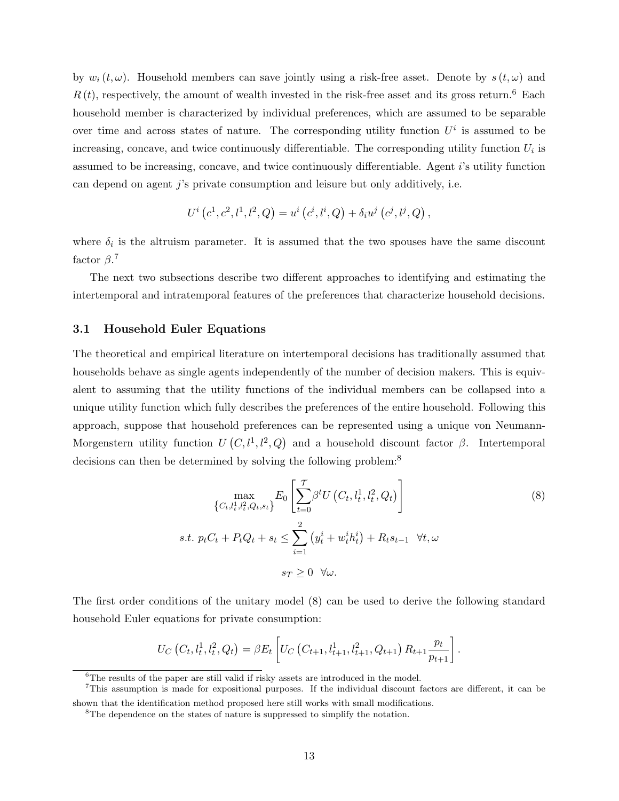by  $w_i(t, \omega)$ . Household members can save jointly using a risk-free asset. Denote by  $s(t, \omega)$  and  $R(t)$ , respectively, the amount of wealth invested in the risk-free asset and its gross return.<sup>6</sup> Each household member is characterized by individual preferences, which are assumed to be separable over time and across states of nature. The corresponding utility function  $U^i$  is assumed to be increasing, concave, and twice continuously differentiable. The corresponding utility function  $U_i$  is assumed to be increasing, concave, and twice continuously differentiable. Agent i's utility function can depend on agent  $j$ 's private consumption and leisure but only additively, i.e.

$$
U^{i}(c^{1}, c^{2}, l^{1}, l^{2}, Q) = u^{i}(c^{i}, l^{i}, Q) + \delta_{i}u^{j}(c^{j}, l^{j}, Q),
$$

where  $\delta_i$  is the altruism parameter. It is assumed that the two spouses have the same discount factor  $\beta$ <sup>7</sup>

The next two subsections describe two different approaches to identifying and estimating the intertemporal and intratemporal features of the preferences that characterize household decisions.

#### 3.1 Household Euler Equations

The theoretical and empirical literature on intertemporal decisions has traditionally assumed that households behave as single agents independently of the number of decision makers. This is equivalent to assuming that the utility functions of the individual members can be collapsed into a unique utility function which fully describes the preferences of the entire household. Following this approach, suppose that household preferences can be represented using a unique von Neumann-Morgenstern utility function  $U(C, l^1, l^2, Q)$  and a household discount factor  $\beta$ . Intertemporal decisions can then be determined by solving the following problem:<sup>8</sup>

$$
\max_{\{C_t, l_t^1, l_t^2, Q_t, s_t\}} E_0\left[\sum_{t=0}^{\mathcal{T}} \beta^t U\left(C_t, l_t^1, l_t^2, Q_t\right)\right]
$$
\n
$$
s.t. p_t C_t + P_t Q_t + s_t \le \sum_{i=1}^2 \left(y_t^i + w_t^i h_t^i\right) + R_t s_{t-1} \quad \forall t, \omega
$$
\n
$$
s_T \ge 0 \quad \forall \omega.
$$
\n
$$
(8)
$$

The first order conditions of the unitary model (8) can be used to derive the following standard household Euler equations for private consumption:

$$
U_C(C_t, l_t^1, l_t^2, Q_t) = \beta E_t \left[ U_C(C_{t+1}, l_{t+1}^1, l_{t+1}^2, Q_{t+1}) R_{t+1} \frac{p_t}{p_{t+1}} \right].
$$

<sup>6</sup>The results of the paper are still valid if risky assets are introduced in the model.

<sup>7</sup>This assumption is made for expositional purposes. If the individual discount factors are different, it can be shown that the identification method proposed here still works with small modifications.

<sup>&</sup>lt;sup>8</sup>The dependence on the states of nature is suppressed to simplify the notation.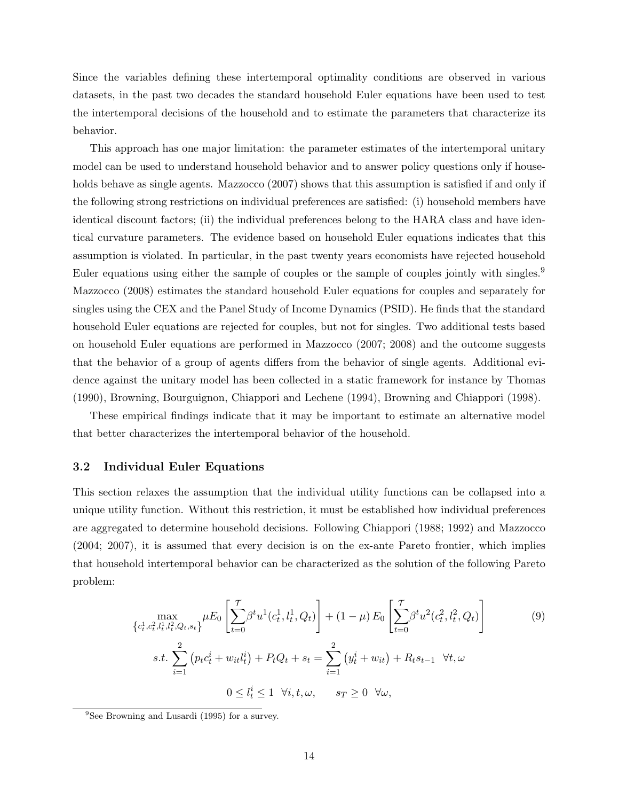Since the variables defining these intertemporal optimality conditions are observed in various datasets, in the past two decades the standard household Euler equations have been used to test the intertemporal decisions of the household and to estimate the parameters that characterize its behavior.

This approach has one major limitation: the parameter estimates of the intertemporal unitary model can be used to understand household behavior and to answer policy questions only if households behave as single agents. Mazzocco (2007) shows that this assumption is satisfied if and only if the following strong restrictions on individual preferences are satisfied: (i) household members have identical discount factors; (ii) the individual preferences belong to the HARA class and have identical curvature parameters. The evidence based on household Euler equations indicates that this assumption is violated. In particular, in the past twenty years economists have rejected household Euler equations using either the sample of couples or the sample of couples jointly with singles.<sup>9</sup> Mazzocco (2008) estimates the standard household Euler equations for couples and separately for singles using the CEX and the Panel Study of Income Dynamics (PSID). He finds that the standard household Euler equations are rejected for couples, but not for singles. Two additional tests based on household Euler equations are performed in Mazzocco (2007; 2008) and the outcome suggests that the behavior of a group of agents differs from the behavior of single agents. Additional evidence against the unitary model has been collected in a static framework for instance by Thomas (1990), Browning, Bourguignon, Chiappori and Lechene (1994), Browning and Chiappori (1998).

These empirical findings indicate that it may be important to estimate an alternative model that better characterizes the intertemporal behavior of the household.

#### 3.2 Individual Euler Equations

This section relaxes the assumption that the individual utility functions can be collapsed into a unique utility function. Without this restriction, it must be established how individual preferences are aggregated to determine household decisions. Following Chiappori (1988; 1992) and Mazzocco (2004; 2007), it is assumed that every decision is on the ex-ante Pareto frontier, which implies that household intertemporal behavior can be characterized as the solution of the following Pareto problem:

$$
\max_{\{c_t^1, c_t^2, l_t^1, l_t^2, Q_t, s_t\}} \mu E_0 \left[ \sum_{t=0}^{\mathcal{T}} \beta^t u^1(c_t^1, l_t^1, Q_t) \right] + (1 - \mu) E_0 \left[ \sum_{t=0}^{\mathcal{T}} \beta^t u^2(c_t^2, l_t^2, Q_t) \right]
$$
\n
$$
s.t. \sum_{i=1}^2 \left( p_t c_t^i + w_{it} l_t^i \right) + P_t Q_t + s_t = \sum_{i=1}^2 \left( y_t^i + w_{it} \right) + R_t s_{t-1} \quad \forall t, \omega
$$
\n
$$
0 \le l_t^i \le 1 \quad \forall i, t, \omega, \qquad s_T \ge 0 \quad \forall \omega,
$$
\n(9)

<sup>9</sup>See Browning and Lusardi (1995) for a survey.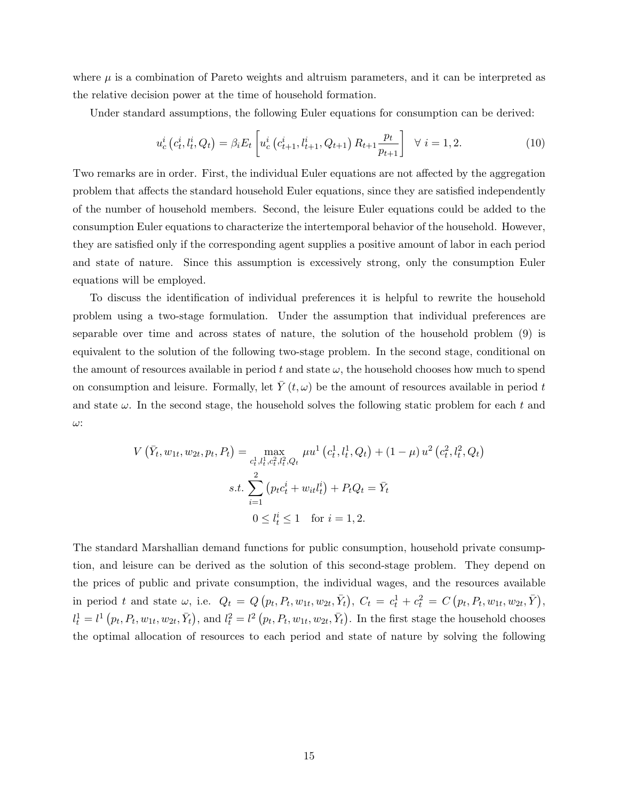where  $\mu$  is a combination of Pareto weights and altruism parameters, and it can be interpreted as the relative decision power at the time of household formation.

Under standard assumptions, the following Euler equations for consumption can be derived:

$$
u_c^i\left(c_t^i, l_t^i, Q_t\right) = \beta_i E_t \left[ u_c^i\left(c_{t+1}^i, l_{t+1}^i, Q_{t+1}\right) R_{t+1} \frac{p_t}{p_{t+1}} \right] \quad \forall \ i = 1, 2. \tag{10}
$$

Two remarks are in order. First, the individual Euler equations are not affected by the aggregation problem that affects the standard household Euler equations, since they are satisfied independently of the number of household members. Second, the leisure Euler equations could be added to the consumption Euler equations to characterize the intertemporal behavior of the household. However, they are satisfied only if the corresponding agent supplies a positive amount of labor in each period and state of nature. Since this assumption is excessively strong, only the consumption Euler equations will be employed.

To discuss the identification of individual preferences it is helpful to rewrite the household problem using a two-stage formulation. Under the assumption that individual preferences are separable over time and across states of nature, the solution of the household problem (9) is equivalent to the solution of the following two-stage problem. In the second stage, conditional on the amount of resources available in period t and state  $\omega$ , the household chooses how much to spend on consumption and leisure. Formally, let  $\overline{Y}(t,\omega)$  be the amount of resources available in period t and state  $\omega$ . In the second stage, the household solves the following static problem for each t and ω:

$$
V\left(\bar{Y}_t, w_{1t}, w_{2t}, p_t, P_t\right) = \max_{\substack{c_t^1, l_t^1, c_t^2, l_t^2, Q_t \\ i=1}} \mu u^1\left(c_t^1, l_t^1, Q_t\right) + (1 - \mu) u^2\left(c_t^2, l_t^2, Q_t\right)
$$

$$
s.t. \sum_{i=1}^2 \left(p_t c_t^i + w_{it} l_t^i\right) + P_t Q_t = \bar{Y}_t
$$

$$
0 \le l_t^i \le 1 \quad \text{for } i = 1, 2.
$$

The standard Marshallian demand functions for public consumption, household private consumption, and leisure can be derived as the solution of this second-stage problem. They depend on the prices of public and private consumption, the individual wages, and the resources available in period t and state  $\omega$ , i.e.  $Q_t = Q(p_t, P_t, w_{1t}, w_{2t}, \bar{Y}_t), C_t = c_t^1 + c_t^2 = C(p_t, P_t, w_{1t}, w_{2t}, \bar{Y}),$  $l_t^1 = l^1(p_t, P_t, w_{1t}, w_{2t}, \bar{Y}_t)$ , and  $l_t^2 = l^2(p_t, P_t, w_{1t}, w_{2t}, \bar{Y}_t)$ . In the first stage the household chooses the optimal allocation of resources to each period and state of nature by solving the following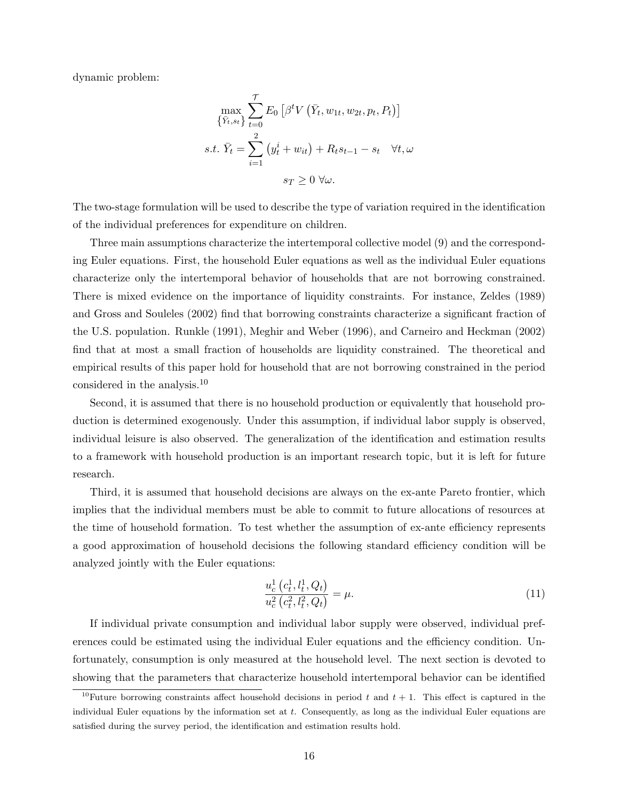dynamic problem:

$$
\max_{\{\bar{Y}_t, s_t\}} \sum_{t=0}^{\mathcal{T}} E_0 \left[ \beta^t V\left(\bar{Y}_t, w_{1t}, w_{2t}, p_t, P_t\right) \right]
$$
  
s.t.  $\bar{Y}_t = \sum_{i=1}^2 \left( y_t^i + w_{it} \right) + R_t s_{t-1} - s_t \quad \forall t, \omega$   
 $s_T \ge 0 \ \forall \omega.$ 

The two-stage formulation will be used to describe the type of variation required in the identification of the individual preferences for expenditure on children.

Three main assumptions characterize the intertemporal collective model (9) and the corresponding Euler equations. First, the household Euler equations as well as the individual Euler equations characterize only the intertemporal behavior of households that are not borrowing constrained. There is mixed evidence on the importance of liquidity constraints. For instance, Zeldes (1989) and Gross and Souleles (2002) find that borrowing constraints characterize a significant fraction of the U.S. population. Runkle (1991), Meghir and Weber (1996), and Carneiro and Heckman (2002) find that at most a small fraction of households are liquidity constrained. The theoretical and empirical results of this paper hold for household that are not borrowing constrained in the period considered in the analysis.<sup>10</sup>

Second, it is assumed that there is no household production or equivalently that household production is determined exogenously. Under this assumption, if individual labor supply is observed, individual leisure is also observed. The generalization of the identification and estimation results to a framework with household production is an important research topic, but it is left for future research.

Third, it is assumed that household decisions are always on the ex-ante Pareto frontier, which implies that the individual members must be able to commit to future allocations of resources at the time of household formation. To test whether the assumption of ex-ante efficiency represents a good approximation of household decisions the following standard efficiency condition will be analyzed jointly with the Euler equations:

$$
\frac{u_c^1(c_t^1, l_t^1, Q_t)}{u_c^2(c_t^2, l_t^2, Q_t)} = \mu.
$$
\n(11)

If individual private consumption and individual labor supply were observed, individual preferences could be estimated using the individual Euler equations and the efficiency condition. Unfortunately, consumption is only measured at the household level. The next section is devoted to showing that the parameters that characterize household intertemporal behavior can be identified

<sup>&</sup>lt;sup>10</sup>Future borrowing constraints affect household decisions in period t and  $t + 1$ . This effect is captured in the individual Euler equations by the information set at t. Consequently, as long as the individual Euler equations are satisfied during the survey period, the identification and estimation results hold.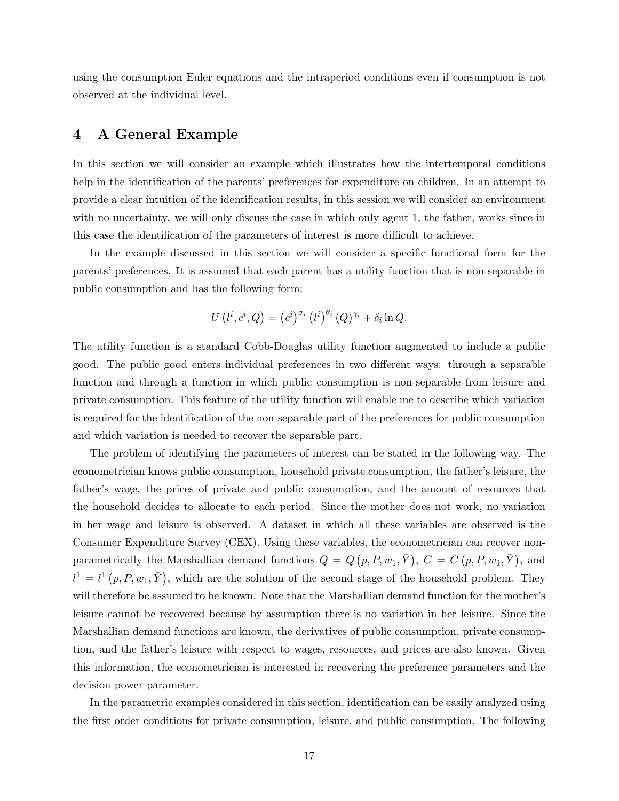using the consumption Euler equations and the intraperiod conditions even if consumption is not observed at the individual level.

# 4 A General Example

In this section we will consider an example which illustrates how the intertemporal conditions help in the identification of the parents' preferences for expenditure on children. In an attempt to provide a clear intuition of the identification results, in this session we will consider an environment with no uncertainty, we will only discuss the case in which only agent 1, the father, works since in this case the identification of the parameters of interest is more difficult to achieve.

In the example discussed in this section we will consider a specific functional form for the parents' preferences. It is assumed that each parent has a utility function that is non-separable in public consumption and has the following form:

$$
U(l^i, c^i, Q) = (c^i)^{\sigma_i} (l^i)^{\theta_i} (Q)^{\gamma_i} + \delta_i \ln Q.
$$

The utility function is a standard Cobb-Douglas utility function augmented to include a public good. The public good enters individual preferences in two different ways: through a separable function and through a function in which public consumption is non-separable from leisure and private consumption. This feature of the utility function will enable me to describe which variation is required for the identification of the non-separable part of the preferences for public consumption and which variation is needed to recover the separable part.

The problem of identifying the parameters of interest can be stated in the following way. The econometrician knows public consumption, household private consumption, the father's leisure, the father's wage, the prices of private and public consumption, and the amount of resources that the household decides to allocate to each period. Since the mother does not work, no variation in her wage and leisure is observed. A dataset in which all these variables are observed is the Consumer Expenditure Survey (CEX). Using these variables, the econometrician can recover nonparametrically the Marshallian demand functions  $Q = Q(p, P, w_1, \bar{Y}), C = C(p, P, w_1, \bar{Y}),$  and  $l^1 = l^1(p, P, w_1, \bar{Y})$ , which are the solution of the second stage of the household problem. They will therefore be assumed to be known. Note that the Marshallian demand function for the mother's leisure cannot be recovered because by assumption there is no variation in her leisure. Since the Marshallian demand functions are known, the derivatives of public consumption, private consumption, and the father's leisure with respect to wages, resources, and prices are also known. Given this information, the econometrician is interested in recovering the preference parameters and the decision power parameter.

In the parametric examples considered in this section, identification can be easily analyzed using the first order conditions for private consumption, leisure, and public consumption. The following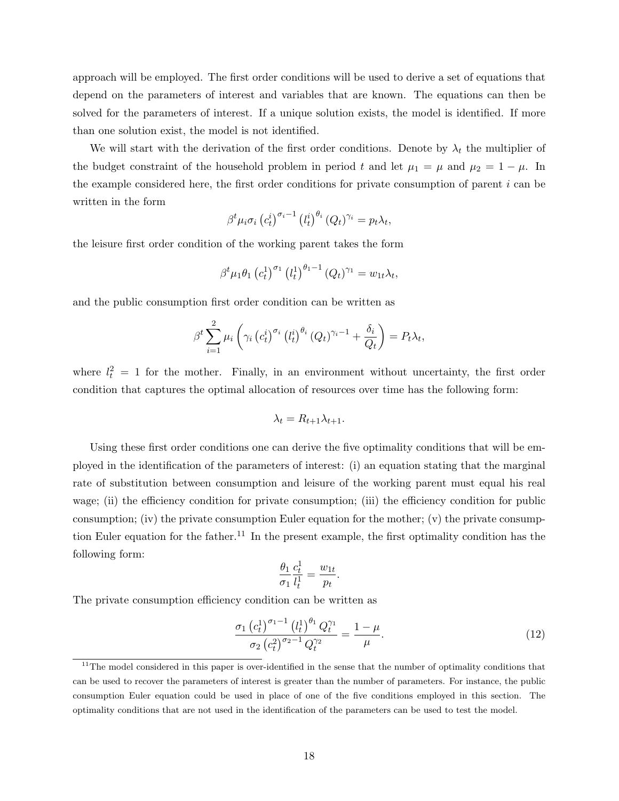approach will be employed. The first order conditions will be used to derive a set of equations that depend on the parameters of interest and variables that are known. The equations can then be solved for the parameters of interest. If a unique solution exists, the model is identified. If more than one solution exist, the model is not identified.

We will start with the derivation of the first order conditions. Denote by  $\lambda_t$  the multiplier of the budget constraint of the household problem in period t and let  $\mu_1 = \mu$  and  $\mu_2 = 1 - \mu$ . In the example considered here, the first order conditions for private consumption of parent  $i$  can be written in the form

$$
\beta^t \mu_i \sigma_i \left( c_t^i \right)^{\sigma_i - 1} \left( l_t^i \right)^{\theta_i} \left( Q_t \right)^{\gamma_i} = p_t \lambda_t,
$$

the leisure first order condition of the working parent takes the form

$$
\beta^{t} \mu_{1} \theta_{1} (c_{t}^{1})^{\sigma_{1}} (l_{t}^{1})^{\theta_{1}-1} (Q_{t})^{\gamma_{1}} = w_{1t} \lambda_{t},
$$

and the public consumption first order condition can be written as

$$
\beta^{t} \sum_{i=1}^{2} \mu_{i} \left( \gamma_{i} \left( c_{t}^{i} \right)^{\sigma_{i}} \left( l_{t}^{i} \right)^{\theta_{i}} (Q_{t})^{\gamma_{i}-1} + \frac{\delta_{i}}{Q_{t}} \right) = P_{t} \lambda_{t},
$$

where  $l_t^2 = 1$  for the mother. Finally, in an environment without uncertainty, the first order condition that captures the optimal allocation of resources over time has the following form:

$$
\lambda_t = R_{t+1} \lambda_{t+1}.
$$

Using these first order conditions one can derive the five optimality conditions that will be employed in the identification of the parameters of interest: (i) an equation stating that the marginal rate of substitution between consumption and leisure of the working parent must equal his real wage; (ii) the efficiency condition for private consumption; (iii) the efficiency condition for public consumption; (iv) the private consumption Euler equation for the mother; (v) the private consumption Euler equation for the father.<sup>11</sup> In the present example, the first optimality condition has the following form:

$$
\frac{\theta_1}{\sigma_1} \frac{c_t^1}{l_t^1} = \frac{w_{1t}}{p_t}
$$

.

The private consumption efficiency condition can be written as

$$
\frac{\sigma_1 \left(c_t^1\right)^{\sigma_1 - 1} \left(l_t^1\right)^{\theta_1} Q_t^{\gamma_1}}{\sigma_2 \left(c_t^2\right)^{\sigma_2 - 1} Q_t^{\gamma_2}} = \frac{1 - \mu}{\mu}.
$$
\n(12)

 $11$ The model considered in this paper is over-identified in the sense that the number of optimality conditions that can be used to recover the parameters of interest is greater than the number of parameters. For instance, the public consumption Euler equation could be used in place of one of the five conditions employed in this section. The optimality conditions that are not used in the identification of the parameters can be used to test the model.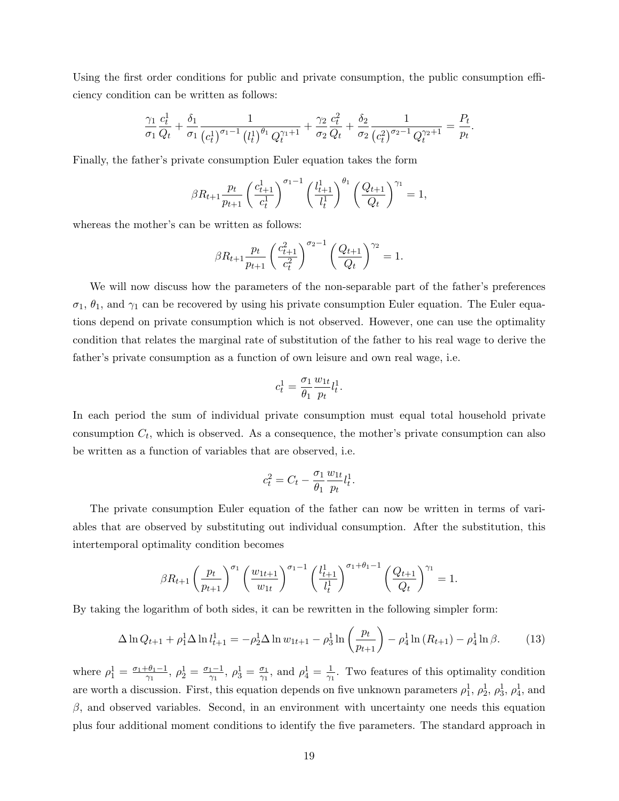Using the first order conditions for public and private consumption, the public consumption efficiency condition can be written as follows:

$$
\frac{\gamma_1}{\sigma_1} \frac{c_t^1}{Q_t} + \frac{\delta_1}{\sigma_1} \frac{1}{(c_t^1)^{\sigma_1 - 1} (l_t^1)^{\theta_1} Q_t^{\gamma_1 + 1}} + \frac{\gamma_2}{\sigma_2} \frac{c_t^2}{Q_t} + \frac{\delta_2}{\sigma_2} \frac{1}{(c_t^2)^{\sigma_2 - 1} Q_t^{\gamma_2 + 1}} = \frac{P_t}{p_t}.
$$

Finally, the father's private consumption Euler equation takes the form

$$
\beta R_{t+1} \frac{p_t}{p_{t+1}} \left(\frac{c_{t+1}^1}{c_t^1}\right)^{\sigma_1-1} \left(\frac{l_{t+1}^1}{l_t^1}\right)^{\theta_1} \left(\frac{Q_{t+1}}{Q_t}\right)^{\gamma_1} = 1,
$$

whereas the mother's can be written as follows:

$$
\beta R_{t+1} \frac{p_t}{p_{t+1}} \left(\frac{c_{t+1}^2}{c_t^2}\right)^{\sigma_2 - 1} \left(\frac{Q_{t+1}}{Q_t}\right)^{\gamma_2} = 1.
$$

We will now discuss how the parameters of the non-separable part of the father's preferences  $\sigma_1$ ,  $\theta_1$ , and  $\gamma_1$  can be recovered by using his private consumption Euler equation. The Euler equations depend on private consumption which is not observed. However, one can use the optimality condition that relates the marginal rate of substitution of the father to his real wage to derive the father's private consumption as a function of own leisure and own real wage, i.e.

$$
c_t^1 = \frac{\sigma_1}{\theta_1} \frac{w_{1t}}{p_t} l_t^1.
$$

In each period the sum of individual private consumption must equal total household private consumption  $C_t$ , which is observed. As a consequence, the mother's private consumption can also be written as a function of variables that are observed, i.e.

$$
c_t^2 = C_t - \frac{\sigma_1}{\theta_1} \frac{w_{1t}}{p_t} l_t^1.
$$

The private consumption Euler equation of the father can now be written in terms of variables that are observed by substituting out individual consumption. After the substitution, this intertemporal optimality condition becomes

$$
\beta R_{t+1} \left(\frac{p_t}{p_{t+1}}\right)^{\sigma_1} \left(\frac{w_{1t+1}}{w_{1t}}\right)^{\sigma_1-1} \left(\frac{l_{t+1}^1}{l_t^1}\right)^{\sigma_1+\theta_1-1} \left(\frac{Q_{t+1}}{Q_t}\right)^{\gamma_1} = 1.
$$

By taking the logarithm of both sides, it can be rewritten in the following simpler form:

$$
\Delta \ln Q_{t+1} + \rho_1^1 \Delta \ln l_{t+1}^1 = -\rho_2^1 \Delta \ln w_{1t+1} - \rho_3^1 \ln \left( \frac{p_t}{p_{t+1}} \right) - \rho_4^1 \ln (R_{t+1}) - \rho_4^1 \ln \beta. \tag{13}
$$

where  $\rho_1^1 = \frac{\sigma_1 + \theta_1 - 1}{\gamma_1}$  $\frac{\theta_1 - 1}{\gamma_1}, \ \rho_2^1 = \frac{\sigma_1 - 1}{\gamma_1}$  $\frac{1-1}{\gamma_1}, \rho_3^1 = \frac{\sigma_1}{\gamma_1}$  $\frac{\sigma_1}{\gamma_1}$ , and  $\rho_4^1 = \frac{1}{\gamma_1}$  $\frac{1}{\gamma_1}$ . Two features of this optimality condition are worth a discussion. First, this equation depends on five unknown parameters  $\rho_1^1$ ,  $\rho_2^1$ ,  $\rho_3^1$ ,  $\rho_4^1$ , and  $β$ , and observed variables. Second, in an environment with uncertainty one needs this equation plus four additional moment conditions to identify the five parameters. The standard approach in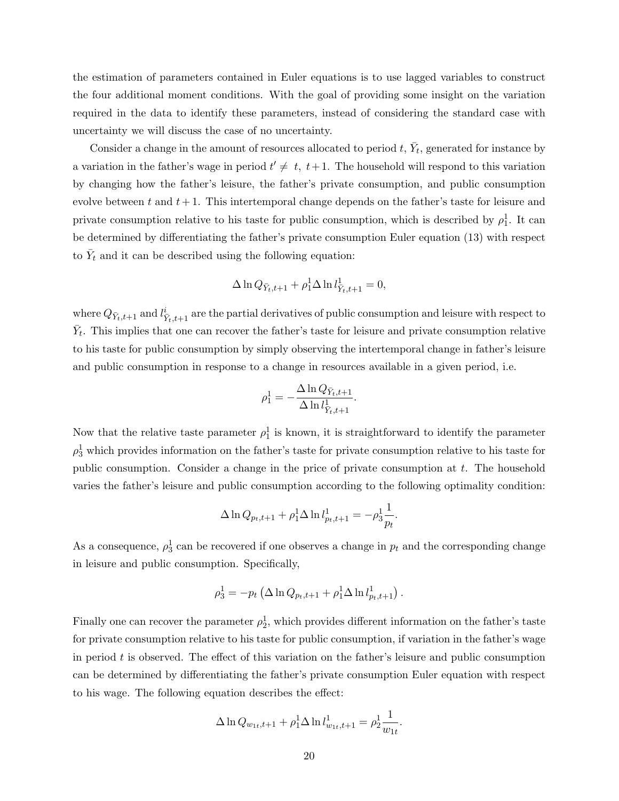the estimation of parameters contained in Euler equations is to use lagged variables to construct the four additional moment conditions. With the goal of providing some insight on the variation required in the data to identify these parameters, instead of considering the standard case with uncertainty we will discuss the case of no uncertainty.

Consider a change in the amount of resources allocated to period  $t, \bar{Y}_t$ , generated for instance by a variation in the father's wage in period  $t' \neq t$ ,  $t+1$ . The household will respond to this variation by changing how the father's leisure, the father's private consumption, and public consumption evolve between t and  $t + 1$ . This intertemporal change depends on the father's taste for leisure and private consumption relative to his taste for public consumption, which is described by  $\rho_1^1$ . It can be determined by differentiating the father's private consumption Euler equation (13) with respect to  $\bar{Y}_t$  and it can be described using the following equation:

$$
\Delta \ln Q_{\bar{Y}_t,t+1} + \rho_1^1 \Delta \ln l_{\bar{Y}_t,t+1}^1 = 0,
$$

where  $Q_{\bar{Y}_t,t+1}$  and  $l^i_{\bar{Y}_t,t+1}$  are the partial derivatives of public consumption and leisure with respect to  $\bar{Y}_t$ . This implies that one can recover the father's taste for leisure and private consumption relative to his taste for public consumption by simply observing the intertemporal change in father's leisure and public consumption in response to a change in resources available in a given period, i.e.

$$
\rho_1^1 = -\frac{\Delta \ln Q_{\bar{Y}_t,t+1}}{\Delta \ln l_{\bar{Y}_t,t+1}^1}.
$$

Now that the relative taste parameter  $\rho_1^1$  is known, it is straightforward to identify the parameter  $\rho_3^1$  which provides information on the father's taste for private consumption relative to his taste for public consumption. Consider a change in the price of private consumption at  $t$ . The household varies the father's leisure and public consumption according to the following optimality condition:

$$
\Delta \ln Q_{p_t, t+1} + \rho_1^1 \Delta \ln l_{p_t, t+1}^1 = -\rho_3^1 \frac{1}{p_t}.
$$

As a consequence,  $\rho_3^1$  can be recovered if one observes a change in  $p_t$  and the corresponding change in leisure and public consumption. Specifically,

$$
\rho_3^1 = -p_t \left( \Delta \ln Q_{p_t,t+1} + \rho_1^1 \Delta \ln l_{p_t,t+1}^1 \right).
$$

Finally one can recover the parameter  $\rho_2^1$ , which provides different information on the father's taste for private consumption relative to his taste for public consumption, if variation in the father's wage in period  $t$  is observed. The effect of this variation on the father's leisure and public consumption can be determined by differentiating the father's private consumption Euler equation with respect to his wage. The following equation describes the effect:

$$
\Delta \ln Q_{w_{1t},t+1} + \rho_1^1 \Delta \ln l_{w_{1t},t+1}^1 = \rho_2^1 \frac{1}{w_{1t}}.
$$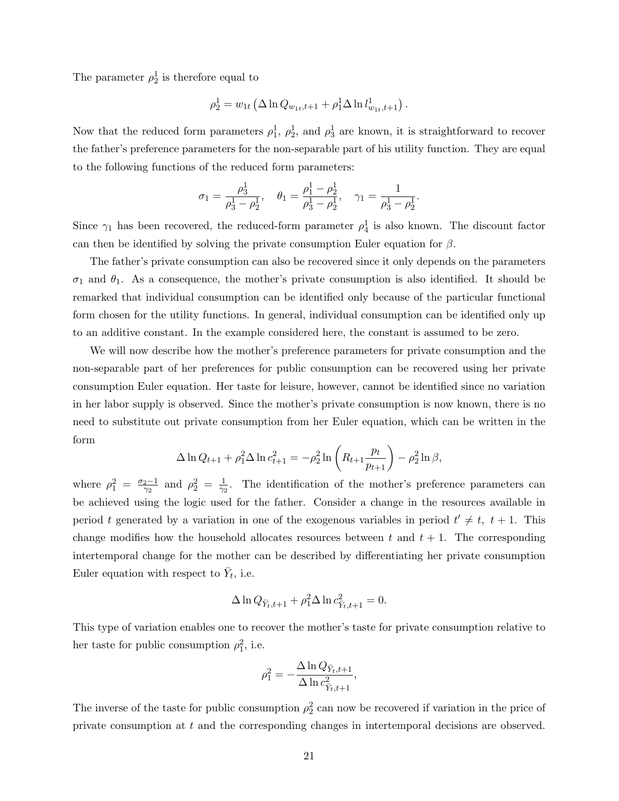The parameter  $\rho_2^1$  is therefore equal to

$$
\rho_2^1 = w_{1t} \left( \Delta \ln Q_{w_{1t}, t+1} + \rho_1^1 \Delta \ln l_{w_{1t}, t+1}^1 \right).
$$

Now that the reduced form parameters  $\rho_1^1$ ,  $\rho_2^1$ , and  $\rho_3^1$  are known, it is straightforward to recover the father's preference parameters for the non-separable part of his utility function. They are equal to the following functions of the reduced form parameters:

$$
\sigma_1 = \frac{\rho_3^1}{\rho_3^1 - \rho_2^1}, \quad \theta_1 = \frac{\rho_1^1 - \rho_2^1}{\rho_3^1 - \rho_2^1}, \quad \gamma_1 = \frac{1}{\rho_3^1 - \rho_2^1}.
$$

Since  $\gamma_1$  has been recovered, the reduced-form parameter  $\rho_4^1$  is also known. The discount factor can then be identified by solving the private consumption Euler equation for  $\beta$ .

The father's private consumption can also be recovered since it only depends on the parameters  $\sigma_1$  and  $\theta_1$ . As a consequence, the mother's private consumption is also identified. It should be remarked that individual consumption can be identified only because of the particular functional form chosen for the utility functions. In general, individual consumption can be identified only up to an additive constant. In the example considered here, the constant is assumed to be zero.

We will now describe how the mother's preference parameters for private consumption and the non-separable part of her preferences for public consumption can be recovered using her private consumption Euler equation. Her taste for leisure, however, cannot be identified since no variation in her labor supply is observed. Since the mother's private consumption is now known, there is no need to substitute out private consumption from her Euler equation, which can be written in the form

$$
\Delta \ln Q_{t+1} + \rho_1^2 \Delta \ln c_{t+1}^2 = -\rho_2^2 \ln \left( R_{t+1} \frac{p_t}{p_{t+1}} \right) - \rho_2^2 \ln \beta,
$$

where  $\rho_1^2 = \frac{\sigma_2 - 1}{\gamma_2}$  $\frac{2-1}{\gamma_2}$  and  $\rho_2^2 = \frac{1}{\gamma_2}$  $\frac{1}{\gamma_2}$ . The identification of the mother's preference parameters can be achieved using the logic used for the father. Consider a change in the resources available in period t generated by a variation in one of the exogenous variables in period  $t' \neq t$ ,  $t + 1$ . This change modifies how the household allocates resources between t and  $t + 1$ . The corresponding intertemporal change for the mother can be described by differentiating her private consumption Euler equation with respect to  $\bar{Y}_t$ , i.e.

$$
\Delta \ln Q_{\bar{Y}_t,t+1} + \rho_1^2 \Delta \ln c_{\bar{Y}_t,t+1}^2 = 0.
$$

This type of variation enables one to recover the mother's taste for private consumption relative to her taste for public consumption  $\rho_1^2$ , i.e.

$$
\rho_1^2 = -\frac{\Delta \ln Q_{\bar{Y}_t,t+1}}{\Delta \ln c_{\bar{Y}_t,t+1}^2},
$$

The inverse of the taste for public consumption  $\rho_2^2$  can now be recovered if variation in the price of private consumption at t and the corresponding changes in intertemporal decisions are observed.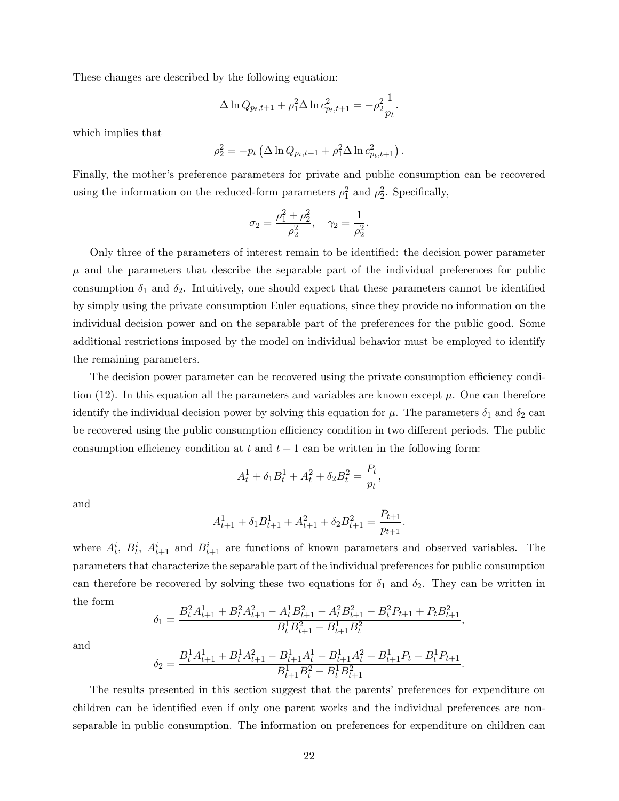These changes are described by the following equation:

$$
\Delta \ln Q_{p_t, t+1} + \rho_1^2 \Delta \ln c_{p_t, t+1}^2 = -\rho_2^2 \frac{1}{p_t}.
$$

which implies that

$$
\rho_2^2 = -p_t \left( \Delta \ln Q_{p_t,t+1} + \rho_1^2 \Delta \ln c_{p_t,t+1}^2 \right).
$$

Finally, the mother's preference parameters for private and public consumption can be recovered using the information on the reduced-form parameters  $\rho_1^2$  and  $\rho_2^2$ . Specifically,

$$
\sigma_2 = \frac{\rho_1^2 + \rho_2^2}{\rho_2^2}, \quad \gamma_2 = \frac{1}{\rho_2^2}.
$$

Only three of the parameters of interest remain to be identified: the decision power parameter  $\mu$  and the parameters that describe the separable part of the individual preferences for public consumption  $\delta_1$  and  $\delta_2$ . Intuitively, one should expect that these parameters cannot be identified by simply using the private consumption Euler equations, since they provide no information on the individual decision power and on the separable part of the preferences for the public good. Some additional restrictions imposed by the model on individual behavior must be employed to identify the remaining parameters.

The decision power parameter can be recovered using the private consumption efficiency condition (12). In this equation all the parameters and variables are known except  $\mu$ . One can therefore identify the individual decision power by solving this equation for  $\mu$ . The parameters  $\delta_1$  and  $\delta_2$  can be recovered using the public consumption efficiency condition in two different periods. The public consumption efficiency condition at t and  $t + 1$  can be written in the following form:

$$
A_t^1 + \delta_1 B_t^1 + A_t^2 + \delta_2 B_t^2 = \frac{P_t}{p_t},
$$

and

$$
A_{t+1}^1 + \delta_1 B_{t+1}^1 + A_{t+1}^2 + \delta_2 B_{t+1}^2 = \frac{P_{t+1}}{p_{t+1}}.
$$

where  $A_t^i$ ,  $B_t^i$ ,  $A_{t+1}^i$  and  $B_{t+1}^i$  are functions of known parameters and observed variables. The parameters that characterize the separable part of the individual preferences for public consumption can therefore be recovered by solving these two equations for  $\delta_1$  and  $\delta_2$ . They can be written in the form

$$
\delta_1 = \frac{B_t^2 A_{t+1}^1 + B_t^2 A_{t+1}^2 - A_t^1 B_{t+1}^2 - A_t^2 B_{t+1}^2 - B_t^2 P_{t+1} + P_t B_{t+1}^2}{B_t^1 B_{t+1}^2 - B_{t+1}^1 B_t^2}
$$

,

and

$$
\delta_2 = \frac{B_t^1 A_{t+1}^1 + B_t^1 A_{t+1}^2 - B_{t+1}^1 A_t^1 - B_{t+1}^1 A_t^2 + B_{t+1}^1 P_t - B_t^1 P_{t+1}}{B_{t+1}^1 B_t^2 - B_t^1 B_{t+1}^2}.
$$

The results presented in this section suggest that the parents' preferences for expenditure on children can be identified even if only one parent works and the individual preferences are nonseparable in public consumption. The information on preferences for expenditure on children can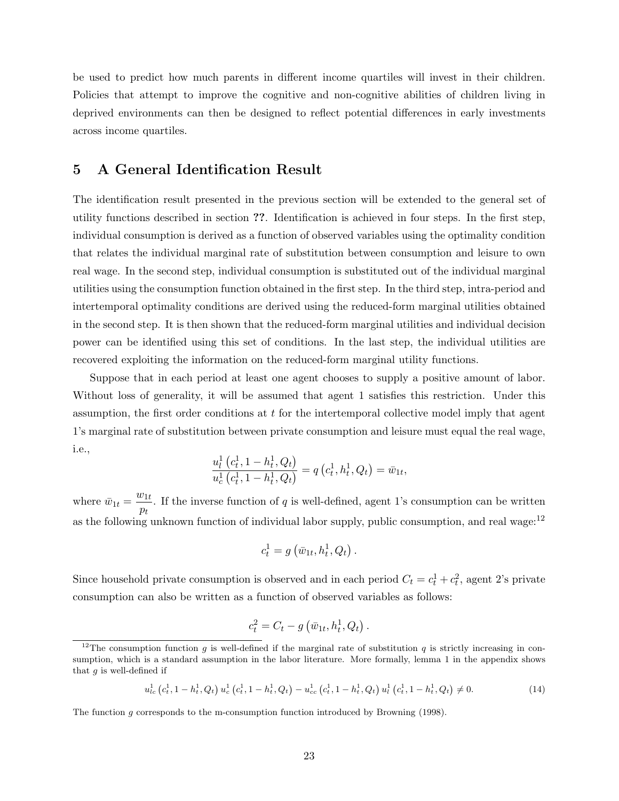be used to predict how much parents in different income quartiles will invest in their children. Policies that attempt to improve the cognitive and non-cognitive abilities of children living in deprived environments can then be designed to reflect potential differences in early investments across income quartiles.

# 5 A General Identification Result

The identification result presented in the previous section will be extended to the general set of utility functions described in section ??. Identification is achieved in four steps. In the first step, individual consumption is derived as a function of observed variables using the optimality condition that relates the individual marginal rate of substitution between consumption and leisure to own real wage. In the second step, individual consumption is substituted out of the individual marginal utilities using the consumption function obtained in the first step. In the third step, intra-period and intertemporal optimality conditions are derived using the reduced-form marginal utilities obtained in the second step. It is then shown that the reduced-form marginal utilities and individual decision power can be identified using this set of conditions. In the last step, the individual utilities are recovered exploiting the information on the reduced-form marginal utility functions.

Suppose that in each period at least one agent chooses to supply a positive amount of labor. Without loss of generality, it will be assumed that agent 1 satisfies this restriction. Under this assumption, the first order conditions at t for the intertemporal collective model imply that agent 1's marginal rate of substitution between private consumption and leisure must equal the real wage, i.e.,

$$
\frac{u_l^1(c_t^1, 1 - h_t^1, Q_t)}{u_c^1(c_t^1, 1 - h_t^1, Q_t)} = q(c_t^1, h_t^1, Q_t) = \bar{w}_{1t},
$$

where  $\bar{w}_{1t} = \frac{w_{1t}}{w_{1t}}$  $\frac{\partial^2 \mathbf{h}}{\partial t}$ . If the inverse function of q is well-defined, agent 1's consumption can be written as the following unknown function of individual labor supply, public consumption, and real wage: $12$ 

$$
c_t^1 = g\left(\bar{w}_{1t}, h_t^1, Q_t\right).
$$

Since household private consumption is observed and in each period  $C_t = c_t^1 + c_t^2$ , agent 2's private consumption can also be written as a function of observed variables as follows:

$$
c_t^2 = C_t - g\left(\bar{w}_{1t}, h_t^1, Q_t\right).
$$

$$
u_{lc}^{1}(c_{t}^{1}, 1-h_{t}^{1}, Q_{t}) u_{c}^{1}(c_{t}^{1}, 1-h_{t}^{1}, Q_{t}) - u_{cc}^{1}(c_{t}^{1}, 1-h_{t}^{1}, Q_{t}) u_{l}^{1}(c_{t}^{1}, 1-h_{t}^{1}, Q_{t}) \neq 0.
$$
\n
$$
(14)
$$

The function g corresponds to the m-consumption function introduced by Browning (1998).

<sup>&</sup>lt;sup>12</sup>The consumption function g is well-defined if the marginal rate of substitution q is strictly increasing in consumption, which is a standard assumption in the labor literature. More formally, lemma 1 in the appendix shows that  $q$  is well-defined if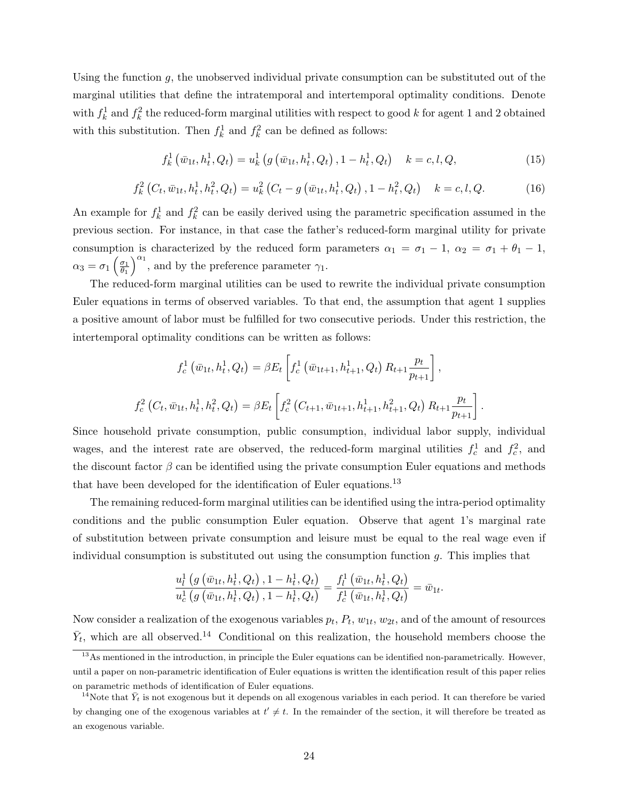Using the function  $g$ , the unobserved individual private consumption can be substituted out of the marginal utilities that define the intratemporal and intertemporal optimality conditions. Denote with  $f_k^1$  and  $f_k^2$  the reduced-form marginal utilities with respect to good k for agent 1 and 2 obtained with this substitution. Then  $f_k^1$  and  $f_k^2$  can be defined as follows:

$$
f_k^1(\bar{w}_{1t}, h_t^1, Q_t) = u_k^1(g(\bar{w}_{1t}, h_t^1, Q_t), 1 - h_t^1, Q_t) \quad k = c, l, Q,
$$
\n(15)

$$
f_{k}^{2}\left(C_{t},\bar{w}_{1t},h_{t}^{1},h_{t}^{2},Q_{t}\right)=u_{k}^{2}\left(C_{t}-g\left(\bar{w}_{1t},h_{t}^{1},Q_{t}\right),1-h_{t}^{2},Q_{t}\right) \quad k=c,l,Q.
$$
 (16)

An example for  $f_k^1$  and  $f_k^2$  can be easily derived using the parametric specification assumed in the previous section. For instance, in that case the father's reduced-form marginal utility for private consumption is characterized by the reduced form parameters  $\alpha_1 = \sigma_1 - 1$ ,  $\alpha_2 = \sigma_1 + \theta_1 - 1$ ,  $\alpha_3=\sigma_1\left(\frac{\sigma_1}{\theta_1}\right)$  $\overline{\theta_1}$  $a_1^{\alpha_1}$ , and by the preference parameter  $\gamma_1$ .

The reduced-form marginal utilities can be used to rewrite the individual private consumption Euler equations in terms of observed variables. To that end, the assumption that agent 1 supplies a positive amount of labor must be fulfilled for two consecutive periods. Under this restriction, the intertemporal optimality conditions can be written as follows:

$$
f_c^1(\bar{w}_{1t}, h_t^1, Q_t) = \beta E_t \left[ f_c^1(\bar{w}_{1t+1}, h_{t+1}^1, Q_t) R_{t+1} \frac{p_t}{p_{t+1}} \right],
$$
  

$$
f_c^2(C_t, \bar{w}_{1t}, h_t^1, h_t^2, Q_t) = \beta E_t \left[ f_c^2(C_{t+1}, \bar{w}_{1t+1}, h_{t+1}^1, h_{t+1}^2, Q_t) R_{t+1} \frac{p_t}{p_{t+1}} \right].
$$

Since household private consumption, public consumption, individual labor supply, individual wages, and the interest rate are observed, the reduced-form marginal utilities  $f_c^1$  and  $f_c^2$ , and the discount factor  $\beta$  can be identified using the private consumption Euler equations and methods that have been developed for the identification of Euler equations.<sup>13</sup>

The remaining reduced-form marginal utilities can be identified using the intra-period optimality conditions and the public consumption Euler equation. Observe that agent 1's marginal rate of substitution between private consumption and leisure must be equal to the real wage even if individual consumption is substituted out using the consumption function g. This implies that

$$
\frac{u_l^1\left(g\left(\bar{w}_{1t}, h_t^1, Q_t\right), 1 - h_t^1, Q_t\right)}{u_c^1\left(g\left(\bar{w}_{1t}, h_t^1, Q_t\right), 1 - h_t^1, Q_t\right)} = \frac{f_l^1\left(\bar{w}_{1t}, h_t^1, Q_t\right)}{f_c^1\left(\bar{w}_{1t}, h_t^1, Q_t\right)} = \bar{w}_{1t}
$$

.

Now consider a realization of the exogenous variables  $p_t$ ,  $P_t$ ,  $w_{1t}$ ,  $w_{2t}$ , and of the amount of resources  $\bar{Y}_t$ , which are all observed.<sup>14</sup> Conditional on this realization, the household members choose the

<sup>&</sup>lt;sup>13</sup>As mentioned in the introduction, in principle the Euler equations can be identified non-parametrically. However, until a paper on non-parametric identification of Euler equations is written the identification result of this paper relies on parametric methods of identification of Euler equations.

<sup>&</sup>lt;sup>14</sup>Note that  $\bar{Y}_t$  is not exogenous but it depends on all exogenous variables in each period. It can therefore be varied by changing one of the exogenous variables at  $t' \neq t$ . In the remainder of the section, it will therefore be treated as an exogenous variable.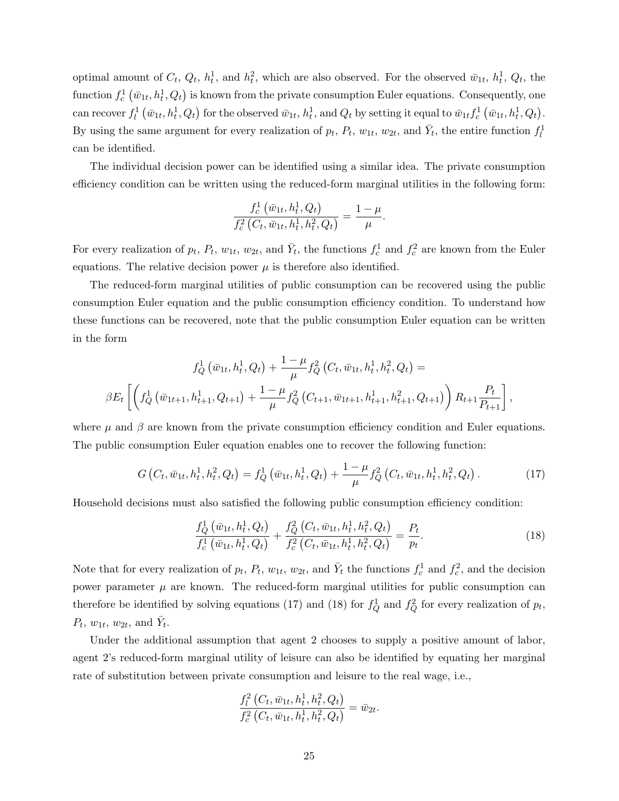optimal amount of  $C_t$ ,  $Q_t$ ,  $h_t^1$ , and  $h_t^2$ , which are also observed. For the observed  $\bar{w}_{1t}$ ,  $h_t^1$ ,  $Q_t$ , the function  $f_c^1(\bar{w}_{1t}, h_t^1, Q_t)$  is known from the private consumption Euler equations. Consequently, one can recover  $f_l^1(\bar{w}_{1t}, h_t^1, Q_t)$  for the observed  $\bar{w}_{1t}, h_t^1$ , and  $Q_t$  by setting it equal to  $\bar{w}_{1t} f_c^1(\bar{w}_{1t}, h_t^1, Q_t)$ . By using the same argument for every realization of  $p_t$ ,  $P_t$ ,  $w_{1t}$ ,  $w_{2t}$ , and  $\bar{Y}_t$ , the entire function  $f_l^1$ can be identified.

The individual decision power can be identified using a similar idea. The private consumption efficiency condition can be written using the reduced-form marginal utilities in the following form:

$$
\frac{f_c^1(\bar{w}_{1t}, h_t^1, Q_t)}{f_c^2(C_t, \bar{w}_{1t}, h_t^1, h_t^2, Q_t)} = \frac{1 - \mu}{\mu}.
$$

For every realization of  $p_t$ ,  $P_t$ ,  $w_{1t}$ ,  $w_{2t}$ , and  $\bar{Y}_t$ , the functions  $f_c^1$  and  $f_c^2$  are known from the Euler equations. The relative decision power  $\mu$  is therefore also identified.

The reduced-form marginal utilities of public consumption can be recovered using the public consumption Euler equation and the public consumption efficiency condition. To understand how these functions can be recovered, note that the public consumption Euler equation can be written in the form

$$
f_Q^1(\bar{w}_{1t}, h_t^1, Q_t) + \frac{1-\mu}{\mu} f_Q^2(C_t, \bar{w}_{1t}, h_t^1, h_t^2, Q_t) =
$$
  

$$
\beta E_t \left[ \left( f_Q^1(\bar{w}_{1t+1}, h_{t+1}^1, Q_{t+1}) + \frac{1-\mu}{\mu} f_Q^2(C_{t+1}, \bar{w}_{1t+1}, h_{t+1}^1, h_{t+1}^2, Q_{t+1}) \right) R_{t+1} \frac{P_t}{P_{t+1}} \right],
$$

where  $\mu$  and  $\beta$  are known from the private consumption efficiency condition and Euler equations. The public consumption Euler equation enables one to recover the following function:

$$
G\left(C_t, \bar{w}_{1t}, h_t^1, h_t^2, Q_t\right) = f_Q^1\left(\bar{w}_{1t}, h_t^1, Q_t\right) + \frac{1-\mu}{\mu} f_Q^2\left(C_t, \bar{w}_{1t}, h_t^1, h_t^2, Q_t\right). \tag{17}
$$

Household decisions must also satisfied the following public consumption efficiency condition:

$$
\frac{f_Q^1(\bar{w}_{1t}, h_t^1, Q_t)}{f_c^1(\bar{w}_{1t}, h_t^1, Q_t)} + \frac{f_Q^2(C_t, \bar{w}_{1t}, h_t^1, h_t^2, Q_t)}{f_c^2(C_t, \bar{w}_{1t}, h_t^1, h_t^2, Q_t)} = \frac{P_t}{p_t}.
$$
\n(18)

Note that for every realization of  $p_t$ ,  $P_t$ ,  $w_{1t}$ ,  $w_{2t}$ , and  $\bar{Y}_t$  the functions  $f_c^1$  and  $f_c^2$ , and the decision power parameter  $\mu$  are known. The reduced-form marginal utilities for public consumption can therefore be identified by solving equations (17) and (18) for  $f_Q^1$  and  $f_Q^2$  for every realization of  $p_t$ ,  $P_t$ ,  $w_{1t}$ ,  $w_{2t}$ , and  $\bar{Y}_t$ .

Under the additional assumption that agent 2 chooses to supply a positive amount of labor, agent 2's reduced-form marginal utility of leisure can also be identified by equating her marginal rate of substitution between private consumption and leisure to the real wage, i.e.,

$$
\frac{f_l^2\left(C_t, \bar{w}_{1t}, h_t^1, h_t^2, Q_t\right)}{f_c^2\left(C_t, \bar{w}_{1t}, h_t^1, h_t^2, Q_t\right)} = \bar{w}_{2t}.
$$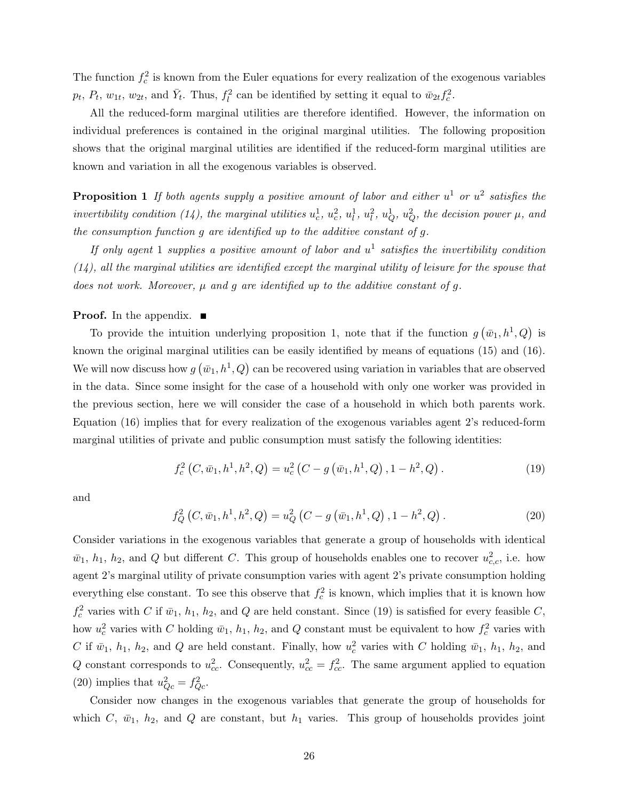The function  $f_c^2$  is known from the Euler equations for every realization of the exogenous variables  $p_t$ ,  $P_t$ ,  $w_{1t}$ ,  $w_{2t}$ , and  $\bar{Y}_t$ . Thus,  $f_l^2$  can be identified by setting it equal to  $\bar{w}_{2t} f_c^2$ .

All the reduced-form marginal utilities are therefore identified. However, the information on individual preferences is contained in the original marginal utilities. The following proposition shows that the original marginal utilities are identified if the reduced-form marginal utilities are known and variation in all the exogenous variables is observed.

**Proposition 1** If both agents supply a positive amount of labor and either  $u^1$  or  $u^2$  satisfies the invertibility condition (14), the marginal utilities  $u_c^1$ ,  $u_c^2$ ,  $u_l^1$ ,  $u_l^2$ ,  $u_Q^1$ ,  $u_Q^2$ , the decision power  $\mu$ , and the consumption function g are identified up to the additive constant of g.

If only agent 1 supplies a positive amount of labor and  $u^1$  satisfies the invertibility condition  $(14)$ , all the marginal utilities are identified except the marginal utility of leisure for the spouse that does not work. Moreover,  $\mu$  and  $q$  are identified up to the additive constant of  $q$ .

#### **Proof.** In the appendix.  $\blacksquare$

To provide the intuition underlying proposition 1, note that if the function  $g(\bar{w}_1, h^1, Q)$  is known the original marginal utilities can be easily identified by means of equations (15) and (16). We will now discuss how  $g(\bar{w}_1, h^1, Q)$  can be recovered using variation in variables that are observed in the data. Since some insight for the case of a household with only one worker was provided in the previous section, here we will consider the case of a household in which both parents work. Equation (16) implies that for every realization of the exogenous variables agent 2's reduced-form marginal utilities of private and public consumption must satisfy the following identities:

$$
f_c^2(C, \bar{w}_1, h^1, h^2, Q) = u_c^2(C - g(\bar{w}_1, h^1, Q), 1 - h^2, Q).
$$
 (19)

and

$$
f_Q^2(C, \bar{w}_1, h^1, h^2, Q) = u_Q^2(C - g(\bar{w}_1, h^1, Q), 1 - h^2, Q). \tag{20}
$$

Consider variations in the exogenous variables that generate a group of households with identical  $\bar{w}_1$ ,  $h_1$ ,  $h_2$ , and Q but different C. This group of households enables one to recover  $u_{c,c}^2$ , i.e. how agent 2's marginal utility of private consumption varies with agent 2's private consumption holding everything else constant. To see this observe that  $f_c^2$  is known, which implies that it is known how  $f_c^2$  varies with C if  $\bar{w}_1$ ,  $h_1$ ,  $h_2$ , and Q are held constant. Since (19) is satisfied for every feasible C, how  $u_c^2$  varies with C holding  $\bar{w}_1$ ,  $h_1$ ,  $h_2$ , and Q constant must be equivalent to how  $f_c^2$  varies with C if  $\bar{w}_1$ ,  $h_1$ ,  $h_2$ , and Q are held constant. Finally, how  $u_c^2$  varies with C holding  $\bar{w}_1$ ,  $h_1$ ,  $h_2$ , and Q constant corresponds to  $u_{cc}^2$ . Consequently,  $u_{cc}^2 = f_{cc}^2$ . The same argument applied to equation (20) implies that  $u_{Qc}^2 = f_{Qc}^2$ .

Consider now changes in the exogenous variables that generate the group of households for which C,  $\bar{w}_1$ ,  $h_2$ , and Q are constant, but  $h_1$  varies. This group of households provides joint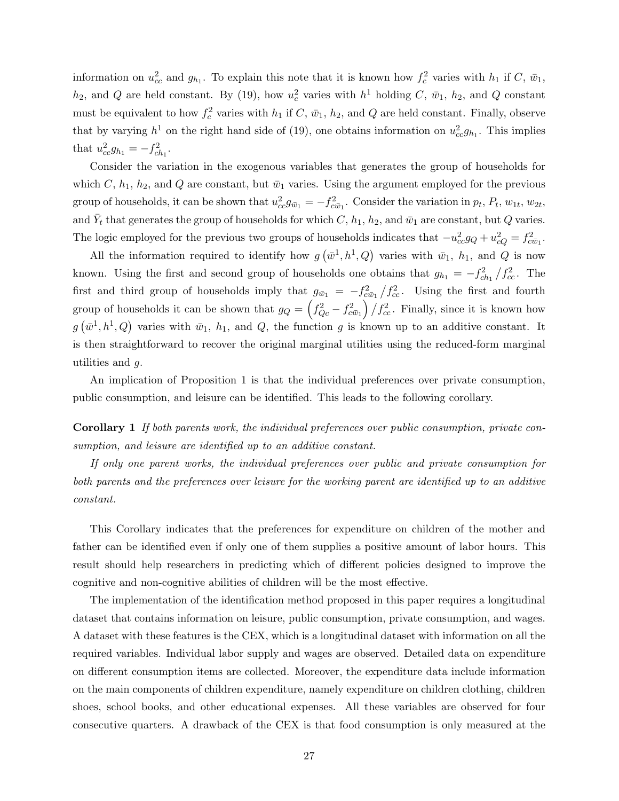information on  $u_{cc}^2$  and  $g_{h_1}$ . To explain this note that it is known how  $f_c^2$  varies with  $h_1$  if C,  $\bar{w}_1$ ,  $h_2$ , and Q are held constant. By (19), how  $u_c^2$  varies with  $h^1$  holding C,  $\bar{w}_1$ ,  $h_2$ , and Q constant must be equivalent to how  $f_c^2$  varies with  $h_1$  if  $C$ ,  $\bar{w}_1$ ,  $h_2$ , and  $Q$  are held constant. Finally, observe that by varying  $h^1$  on the right hand side of (19), one obtains information on  $u_{cc}^2g_{h_1}$ . This implies that  $u_{cc}^2 g_{h_1} = -f_{ch_1}^2$ .

Consider the variation in the exogenous variables that generates the group of households for which C,  $h_1$ ,  $h_2$ , and Q are constant, but  $\bar{w}_1$  varies. Using the argument employed for the previous group of households, it can be shown that  $u_{cc}^2 g_{\bar{w}_1} = -f_{c\bar{w}_1}^2$ . Consider the variation in  $p_t$ ,  $P_t$ ,  $w_{1t}$ ,  $w_{2t}$ , and  $\bar{Y}_t$  that generates the group of households for which  $C$ ,  $h_1$ ,  $h_2$ , and  $\bar{w}_1$  are constant, but  $Q$  varies. The logic employed for the previous two groups of households indicates that  $-u_{cc}^2 g_Q + u_{cQ}^2 = f_{c\bar{w}_1}^2$ .

All the information required to identify how  $g(\bar{w}^1, h^1, Q)$  varies with  $\bar{w}_1$ ,  $h_1$ , and Q is now known. Using the first and second group of households one obtains that  $g_{h_1} = -f_{ch_1}^2/f_{cc}^2$ . The first and third group of households imply that  $g_{\bar{w}_1} = -f_{c\bar{w}_1}^2/f_{cc}^2$ . Using the first and fourth group of households it can be shown that  $g_Q = \left(\frac{f_{Qc}^2 - f_{c\bar{w}_1}^2}{f_{cc}^2 - f_{c\bar{w}_1}^2}\right) / f_{cc}^2$ . Finally, since it is known how  $g(\bar{w}^1, h^1, Q)$  varies with  $\bar{w}_1$ ,  $h_1$ , and  $Q$ , the function g is known up to an additive constant. It is then straightforward to recover the original marginal utilities using the reduced-form marginal utilities and g.

An implication of Proposition 1 is that the individual preferences over private consumption, public consumption, and leisure can be identified. This leads to the following corollary.

Corollary 1 If both parents work, the individual preferences over public consumption, private consumption, and leisure are identified up to an additive constant.

If only one parent works, the individual preferences over public and private consumption for both parents and the preferences over leisure for the working parent are identified up to an additive constant.

This Corollary indicates that the preferences for expenditure on children of the mother and father can be identified even if only one of them supplies a positive amount of labor hours. This result should help researchers in predicting which of different policies designed to improve the cognitive and non-cognitive abilities of children will be the most effective.

The implementation of the identification method proposed in this paper requires a longitudinal dataset that contains information on leisure, public consumption, private consumption, and wages. A dataset with these features is the CEX, which is a longitudinal dataset with information on all the required variables. Individual labor supply and wages are observed. Detailed data on expenditure on different consumption items are collected. Moreover, the expenditure data include information on the main components of children expenditure, namely expenditure on children clothing, children shoes, school books, and other educational expenses. All these variables are observed for four consecutive quarters. A drawback of the CEX is that food consumption is only measured at the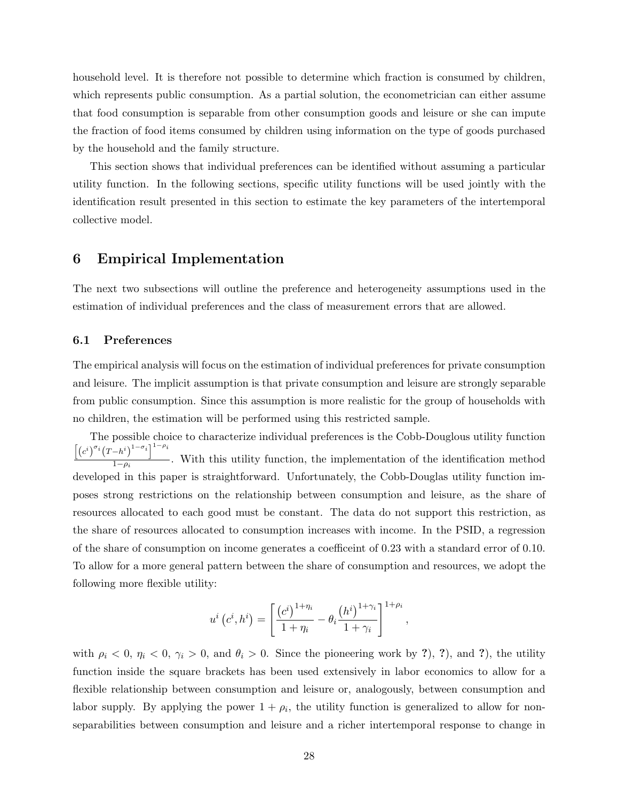household level. It is therefore not possible to determine which fraction is consumed by children, which represents public consumption. As a partial solution, the econometrician can either assume that food consumption is separable from other consumption goods and leisure or she can impute the fraction of food items consumed by children using information on the type of goods purchased by the household and the family structure.

This section shows that individual preferences can be identified without assuming a particular utility function. In the following sections, specific utility functions will be used jointly with the identification result presented in this section to estimate the key parameters of the intertemporal collective model.

# 6 Empirical Implementation

The next two subsections will outline the preference and heterogeneity assumptions used in the estimation of individual preferences and the class of measurement errors that are allowed.

#### 6.1 Preferences

The empirical analysis will focus on the estimation of individual preferences for private consumption and leisure. The implicit assumption is that private consumption and leisure are strongly separable from public consumption. Since this assumption is more realistic for the group of households with no children, the estimation will be performed using this restricted sample.

The possible choice to characterize individual preferences is the Cobb-Douglous utility function  $\left[ \left( c^{i} \right)^{\sigma_{i}} \left( T-h^{i} \right)^{1-\sigma_{i}} \right]^{1-\rho_{i}}$  $\frac{1}{1-\rho_i}$ . With this utility function, the implementation of the identification method developed in this paper is straightforward. Unfortunately, the Cobb-Douglas utility function imposes strong restrictions on the relationship between consumption and leisure, as the share of resources allocated to each good must be constant. The data do not support this restriction, as the share of resources allocated to consumption increases with income. In the PSID, a regression of the share of consumption on income generates a coefficeint of 0.23 with a standard error of 0.10. To allow for a more general pattern between the share of consumption and resources, we adopt the following more flexible utility:

$$
u^{i}(c^{i},h^{i}) = \left[\frac{(c^{i})^{1+\eta_{i}}}{1+\eta_{i}} - \theta_{i}\frac{(h^{i})^{1+\gamma_{i}}}{1+\gamma_{i}}\right]^{1+\rho_{i}},
$$

with  $\rho_i < 0$ ,  $\eta_i < 0$ ,  $\gamma_i > 0$ , and  $\theta_i > 0$ . Since the pioneering work by ?), ?), and ?), the utility function inside the square brackets has been used extensively in labor economics to allow for a flexible relationship between consumption and leisure or, analogously, between consumption and labor supply. By applying the power  $1 + \rho_i$ , the utility function is generalized to allow for nonseparabilities between consumption and leisure and a richer intertemporal response to change in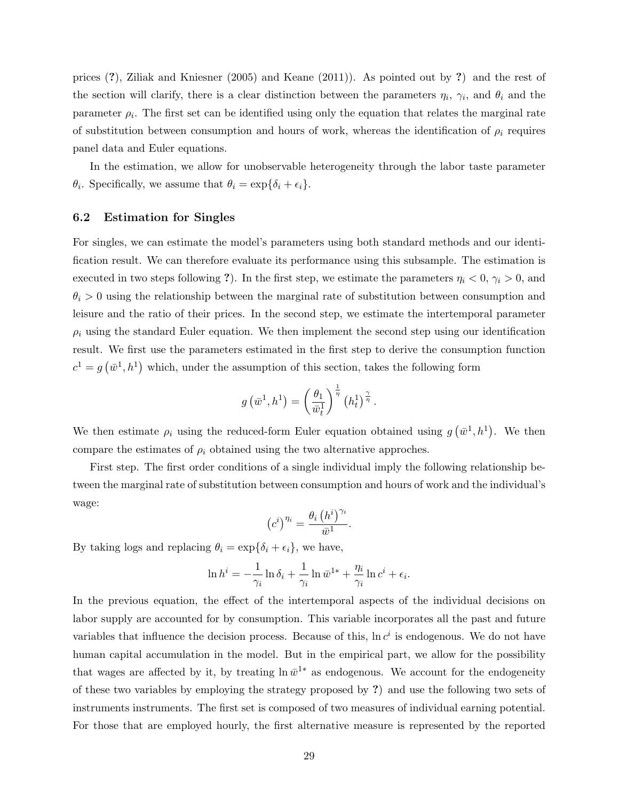prices (?), Ziliak and Kniesner (2005) and Keane (2011)). As pointed out by ?) and the rest of the section will clarify, there is a clear distinction between the parameters  $\eta_i$ ,  $\gamma_i$ , and  $\theta_i$  and the parameter  $\rho_i$ . The first set can be identified using only the equation that relates the marginal rate of substitution between consumption and hours of work, whereas the identification of  $\rho_i$  requires panel data and Euler equations.

In the estimation, we allow for unobservable heterogeneity through the labor taste parameter  $\theta_i$ . Specifically, we assume that  $\theta_i = \exp{\{\delta_i + \epsilon_i\}}$ .

#### 6.2 Estimation for Singles

For singles, we can estimate the model's parameters using both standard methods and our identification result. We can therefore evaluate its performance using this subsample. The estimation is executed in two steps following ?). In the first step, we estimate the parameters  $\eta_i < 0$ ,  $\gamma_i > 0$ , and  $\theta_i > 0$  using the relationship between the marginal rate of substitution between consumption and leisure and the ratio of their prices. In the second step, we estimate the intertemporal parameter  $\rho_i$  using the standard Euler equation. We then implement the second step using our identification result. We first use the parameters estimated in the first step to derive the consumption function  $c^1 = g(\bar{w}^1, h^1)$  which, under the assumption of this section, takes the following form

$$
g\left(\bar{w}^1,h^1\right) = \left(\frac{\theta_1}{\bar{w}_t^1}\right)^{\frac{1}{\eta}} \left(h_t^1\right)^{\frac{\gamma}{\eta}}.
$$

We then estimate  $\rho_i$  using the reduced-form Euler equation obtained using  $g(\bar{w}^1, h^1)$ . We then compare the estimates of  $\rho_i$  obtained using the two alternative approches.

First step. The first order conditions of a single individual imply the following relationship between the marginal rate of substitution between consumption and hours of work and the individual's wage:

$$
\left(c^{i}\right)^{\eta_{i}} = \frac{\theta_{i}\left(h^{i}\right)^{\gamma_{i}}}{\bar{\omega}^{1}}.
$$

By taking logs and replacing  $\theta_i = \exp{\{\delta_i + \epsilon_i\}}$ , we have,

$$
\ln h^{i} = -\frac{1}{\gamma_{i}} \ln \delta_{i} + \frac{1}{\gamma_{i}} \ln \bar{w}^{1*} + \frac{\eta_{i}}{\gamma_{i}} \ln c^{i} + \epsilon_{i}.
$$

In the previous equation, the effect of the intertemporal aspects of the individual decisions on labor supply are accounted for by consumption. This variable incorporates all the past and future variables that influence the decision process. Because of this,  $\ln c^i$  is endogenous. We do not have human capital accumulation in the model. But in the empirical part, we allow for the possibility that wages are affected by it, by treating  $\ln \bar{w}^{1*}$  as endogenous. We account for the endogeneity of these two variables by employing the strategy proposed by ?) and use the following two sets of instruments instruments. The first set is composed of two measures of individual earning potential. For those that are employed hourly, the first alternative measure is represented by the reported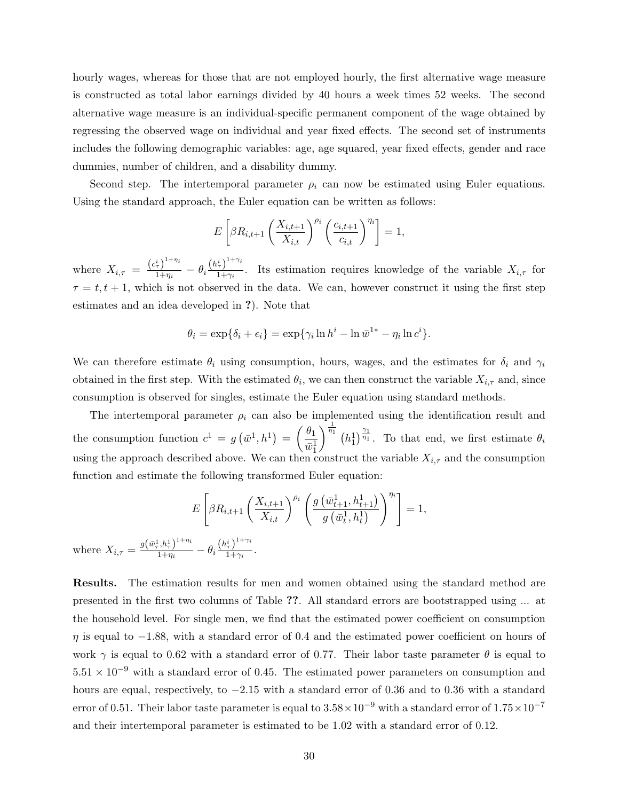hourly wages, whereas for those that are not employed hourly, the first alternative wage measure is constructed as total labor earnings divided by 40 hours a week times 52 weeks. The second alternative wage measure is an individual-specific permanent component of the wage obtained by regressing the observed wage on individual and year fixed effects. The second set of instruments includes the following demographic variables: age, age squared, year fixed effects, gender and race dummies, number of children, and a disability dummy.

Second step. The intertemporal parameter  $\rho_i$  can now be estimated using Euler equations. Using the standard approach, the Euler equation can be written as follows:

$$
E\left[\beta R_{i,t+1}\left(\frac{X_{i,t+1}}{X_{i,t}}\right)^{\rho_i}\left(\frac{c_{i,t+1}}{c_{i,t}}\right)^{\eta_i}\right] = 1,
$$

where  $X_{i,\tau} = \frac{(c_{\tau}^{i})^{1+\eta_{i}}}{1+\eta_{i}}$  $\frac{\left(\frac{i}{\tau}\right)^{1+\eta_i}}{1+\eta_i} - \theta_i \frac{\left(h_\tau^i\right)^{1+\gamma_i}}{1+\gamma_i}$  $\frac{\tau}{1+\gamma_i}$ . Its estimation requires knowledge of the variable  $X_{i,\tau}$  for  $\tau = t, t + 1$ , which is not observed in the data. We can, however construct it using the first step estimates and an idea developed in ?). Note that

$$
\theta_i = \exp\{\delta_i + \epsilon_i\} = \exp\{\gamma_i \ln h^i - \ln \bar{w}^{1*} - \eta_i \ln c^i\}.
$$

We can therefore estimate  $\theta_i$  using consumption, hours, wages, and the estimates for  $\delta_i$  and  $\gamma_i$ obtained in the first step. With the estimated  $\theta_i$ , we can then construct the variable  $X_{i,\tau}$  and, since consumption is observed for singles, estimate the Euler equation using standard methods.

The intertemporal parameter  $\rho_i$  can also be implemented using the identification result and the consumption function  $c^1 = g(\bar{w}^1, h^1) = \begin{pmatrix} \theta_1 \\ \frac{-1}{\sqrt{a^1}} \end{pmatrix}$  $\bar{w}_1^1$  $\int_{0}^{\frac{1}{n_1}} (h_1^1)^{\frac{\gamma_1}{\eta_1}}$ . To that end, we first estimate  $\theta_i$ using the approach described above. We can then construct the variable  $X_{i,\tau}$  and the consumption function and estimate the following transformed Euler equation:

$$
E\left[\beta R_{i,t+1}\left(\frac{X_{i,t+1}}{X_{i,t}}\right)^{\rho_i}\left(\frac{g\left(\bar{w}_{t+1}^1, h_{t+1}^1\right)}{g\left(\bar{w}_t^1, h_t^1\right)}\right)^{\eta_i}\right] = 1,
$$
  
where  $X_{i,\tau} = \frac{g\left(\bar{w}_\tau^1, h_\tau^1\right)^{1+\eta_i}}{1+\eta_i} - \theta_i \frac{\left(h_\tau^i\right)^{1+\gamma_i}}{1+\gamma_i}.$ 

Results. The estimation results for men and women obtained using the standard method are presented in the first two columns of Table ??. All standard errors are bootstrapped using ... at the household level. For single men, we find that the estimated power coefficient on consumption  $\eta$  is equal to  $-1.88$ , with a standard error of 0.4 and the estimated power coefficient on hours of work  $\gamma$  is equal to 0.62 with a standard error of 0.77. Their labor taste parameter  $\theta$  is equal to  $5.51 \times 10^{-9}$  with a standard error of 0.45. The estimated power parameters on consumption and hours are equal, respectively, to −2.15 with a standard error of 0.36 and to 0.36 with a standard error of 0.51. Their labor taste parameter is equal to  $3.58 \times 10^{-9}$  with a standard error of  $1.75 \times 10^{-7}$ and their intertemporal parameter is estimated to be 1.02 with a standard error of 0.12.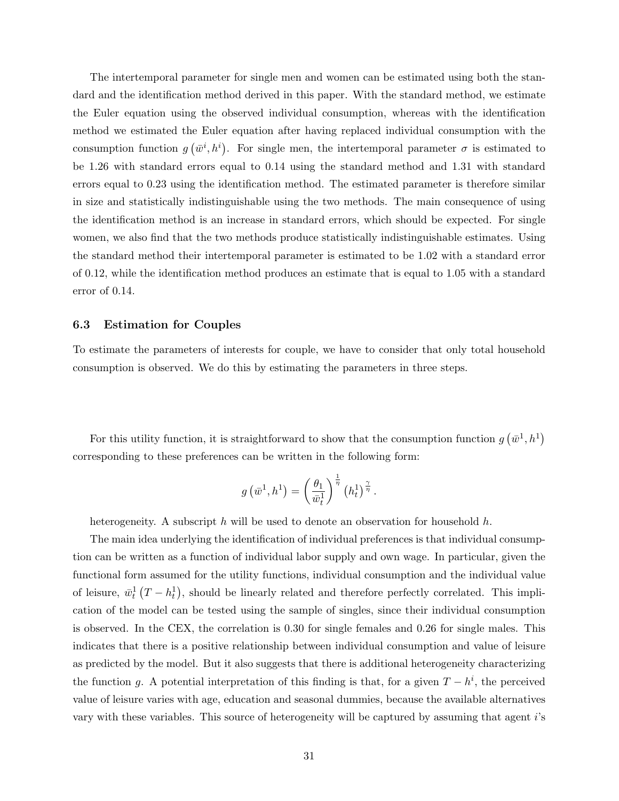The intertemporal parameter for single men and women can be estimated using both the standard and the identification method derived in this paper. With the standard method, we estimate the Euler equation using the observed individual consumption, whereas with the identification method we estimated the Euler equation after having replaced individual consumption with the consumption function  $g(\bar{w}^i, h^i)$ . For single men, the intertemporal parameter  $\sigma$  is estimated to be 1.26 with standard errors equal to 0.14 using the standard method and 1.31 with standard errors equal to 0.23 using the identification method. The estimated parameter is therefore similar in size and statistically indistinguishable using the two methods. The main consequence of using the identification method is an increase in standard errors, which should be expected. For single women, we also find that the two methods produce statistically indistinguishable estimates. Using the standard method their intertemporal parameter is estimated to be 1.02 with a standard error of 0.12, while the identification method produces an estimate that is equal to 1.05 with a standard error of 0.14.

#### 6.3 Estimation for Couples

To estimate the parameters of interests for couple, we have to consider that only total household consumption is observed. We do this by estimating the parameters in three steps.

For this utility function, it is straightforward to show that the consumption function  $g(\bar{w}^1, h^1)$ corresponding to these preferences can be written in the following form:

$$
g\left(\bar{w}^1,h^1\right) = \left(\frac{\theta_1}{\bar{w}_t^1}\right)^{\frac{1}{\eta}} \left(h_t^1\right)^{\frac{\gamma}{\eta}}.
$$

heterogeneity. A subscript h will be used to denote an observation for household  $h$ .

The main idea underlying the identification of individual preferences is that individual consumption can be written as a function of individual labor supply and own wage. In particular, given the functional form assumed for the utility functions, individual consumption and the individual value of leisure,  $\bar{w}_t^1(T-h_t^1)$ , should be linearly related and therefore perfectly correlated. This implication of the model can be tested using the sample of singles, since their individual consumption is observed. In the CEX, the correlation is 0.30 for single females and 0.26 for single males. This indicates that there is a positive relationship between individual consumption and value of leisure as predicted by the model. But it also suggests that there is additional heterogeneity characterizing the function g. A potential interpretation of this finding is that, for a given  $T - h^i$ , the perceived value of leisure varies with age, education and seasonal dummies, because the available alternatives vary with these variables. This source of heterogeneity will be captured by assuming that agent i's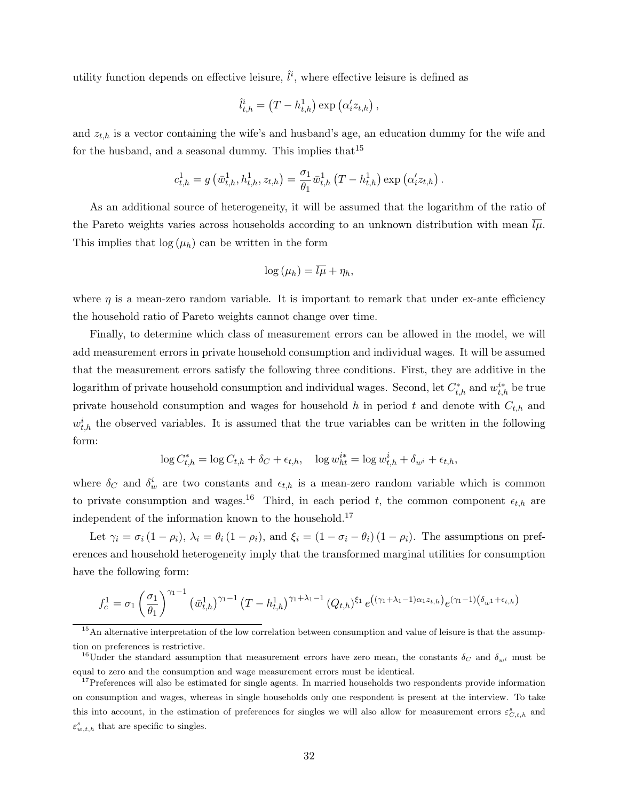utility function depends on effective leisure,  $\hat{l}^i$ , where effective leisure is defined as

$$
\hat{l}_{t,h}^i = (T - h_{t,h}^1) \exp (\alpha_i' z_{t,h}),
$$

and  $z_{t,h}$  is a vector containing the wife's and husband's age, an education dummy for the wife and for the husband, and a seasonal dummy. This implies that  $15$ 

$$
c_{t,h}^1 = g\left(\bar{w}_{t,h}^1, h_{t,h}^1, z_{t,h}\right) = \frac{\sigma_1}{\theta_1}\bar{w}_{t,h}^1\left(T - h_{t,h}^1\right) \exp\left(\alpha_i' z_{t,h}\right).
$$

As an additional source of heterogeneity, it will be assumed that the logarithm of the ratio of the Pareto weights varies across households according to an unknown distribution with mean  $\bar{l}\mu$ . This implies that  $log(\mu_h)$  can be written in the form

$$
\log(\mu_h) = \overline{l\mu} + \eta_h,
$$

where  $\eta$  is a mean-zero random variable. It is important to remark that under ex-ante efficiency the household ratio of Pareto weights cannot change over time.

Finally, to determine which class of measurement errors can be allowed in the model, we will add measurement errors in private household consumption and individual wages. It will be assumed that the measurement errors satisfy the following three conditions. First, they are additive in the logarithm of private household consumption and individual wages. Second, let  $C_{t,h}^*$  and  $w_{t,h}^{i*}$  be true private household consumption and wages for household h in period t and denote with  $C_{t,h}$  and  $w_{t,h}^i$  the observed variables. It is assumed that the true variables can be written in the following form:

$$
\log C_{t,h}^* = \log C_{t,h} + \delta_C + \epsilon_{t,h}, \quad \log w_{ht}^{i*} = \log w_{t,h}^i + \delta_{w^i} + \epsilon_{t,h},
$$

where  $\delta_C$  and  $\delta_w^i$  are two constants and  $\epsilon_{t,h}$  is a mean-zero random variable which is common to private consumption and wages.<sup>16</sup> Third, in each period t, the common component  $\epsilon_{t,h}$  are independent of the information known to the household.<sup>17</sup>

Let  $\gamma_i = \sigma_i (1 - \rho_i)$ ,  $\lambda_i = \theta_i (1 - \rho_i)$ , and  $\xi_i = (1 - \sigma_i - \theta_i) (1 - \rho_i)$ . The assumptions on preferences and household heterogeneity imply that the transformed marginal utilities for consumption have the following form:

$$
f_c^1 = \sigma_1 \left(\frac{\sigma_1}{\theta_1}\right)^{\gamma_1 - 1} \left(\bar{w}_{t,h}^1\right)^{\gamma_1 - 1} \left(T - h_{t,h}^1\right)^{\gamma_1 + \lambda_1 - 1} (Q_{t,h})^{\xi_1} e^{\left((\gamma_1 + \lambda_1 - 1)\alpha_1 z_{t,h}\right)} e^{(\gamma_1 - 1)(\delta_{w_1} + \epsilon_{t,h})}
$$

<sup>15</sup>An alternative interpretation of the low correlation between consumption and value of leisure is that the assumption on preferences is restrictive.

<sup>&</sup>lt;sup>16</sup>Under the standard assumption that measurement errors have zero mean, the constants  $\delta_C$  and  $\delta_{w^i}$  must be equal to zero and the consumption and wage measurement errors must be identical.

<sup>&</sup>lt;sup>17</sup>Preferences will also be estimated for single agents. In married households two respondents provide information on consumption and wages, whereas in single households only one respondent is present at the interview. To take this into account, in the estimation of preferences for singles we will also allow for measurement errors  $\varepsilon_{C,t,h}^s$  and  $\varepsilon_{w,t,h}^s$  that are specific to singles.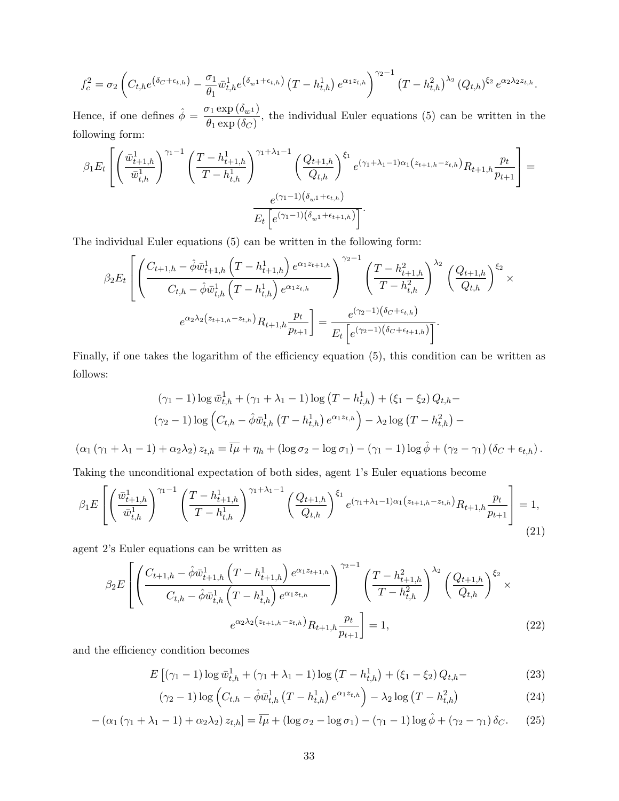$$
f_c^2 = \sigma_2 \left( C_{t,h} e^{\left( \delta_C + \epsilon_{t,h} \right)} - \frac{\sigma_1}{\theta_1} \bar{w}_{t,h}^1 e^{\left( \delta_{w_1} + \epsilon_{t,h} \right)} \left( T - h_{t,h}^1 \right) e^{\alpha_1 z_{t,h}} \right)^{\gamma_2 - 1} \left( T - h_{t,h}^2 \right)^{\lambda_2} (Q_{t,h})^{\xi_2} e^{\alpha_2 \lambda_2 z_{t,h}}.
$$

Hence, if one defines  $\hat{\phi} = \frac{\sigma_1 \exp(\delta_{w_1})}{\sigma_1 \exp(\delta_{w_1})}$  $\frac{\partial_1 \exp(\delta w \nu)}{\partial_1 \exp(\delta C)}$ , the individual Euler equations (5) can be written in the following form:

$$
\beta_1 E_t \left[ \left( \frac{\bar{w}_{t+1,h}^1}{\bar{w}_{t,h}^1} \right)^{\gamma_1 - 1} \left( \frac{T - h_{t+1,h}^1}{T - h_{t,h}^1} \right)^{\gamma_1 + \lambda_1 - 1} \left( \frac{Q_{t+1,h}}{Q_{t,h}} \right)^{\xi_1} e^{(\gamma_1 + \lambda_1 - 1)\alpha_1 (z_{t+1,h} - z_{t,h})} R_{t+1,h} \frac{p_t}{p_{t+1}} \right] =
$$
  

$$
\frac{e^{(\gamma_1 - 1)(\delta_{w^1} + \epsilon_{t,h})}}{E_t \left[ e^{(\gamma_1 - 1)(\delta_{w^1} + \epsilon_{t+1,h})} \right]}.
$$

The individual Euler equations (5) can be written in the following form:

$$
\beta_2 E_t \left[ \left( \frac{C_{t+1,h} - \hat{\phi}\bar{w}_{t+1,h}^1 \left(T - h_{t+1,h}^1\right) e^{\alpha_1 z_{t+1,h}}}{C_{t,h} - \hat{\phi}\bar{w}_{t,h}^1 \left(T - h_{t,h}^1\right) e^{\alpha_1 z_{t,h}}}\right)^{\gamma_2 - 1} \left( \frac{T - h_{t+1,h}^2}{T - h_{t,h}^2}\right)^{\lambda_2} \left( \frac{Q_{t+1,h}}{Q_{t,h}} \right)^{\xi_2} \times
$$

$$
e^{\alpha_2 \lambda_2 \left(z_{t+1,h} - z_{t,h}\right)} R_{t+1,h} \frac{p_t}{p_{t+1}} \right] = \frac{e^{(\gamma_2 - 1)\left(\delta_C + \epsilon_{t,h}\right)}}{E_t \left[e^{(\gamma_2 - 1)\left(\delta_C + \epsilon_{t+1,h}\right)}\right]}.
$$

Finally, if one takes the logarithm of the efficiency equation (5), this condition can be written as follows:

$$
(\gamma_1 - 1) \log \bar{w}_{t,h}^1 + (\gamma_1 + \lambda_1 - 1) \log (T - h_{t,h}^1) + (\xi_1 - \xi_2) Q_{t,h} -
$$
  

$$
(\gamma_2 - 1) \log \left( C_{t,h} - \hat{\phi} \bar{w}_{t,h}^1 (T - h_{t,h}^1) e^{\alpha_1 z_{t,h}} \right) - \lambda_2 \log (T - h_{t,h}^2) -
$$

 $(\alpha_1 (\gamma_1 + \lambda_1 - 1) + \alpha_2 \lambda_2) z_{t,h} = \overline{l\mu} + \eta_h + (\log \sigma_2 - \log \sigma_1) - (\gamma_1 - 1) \log \hat{\phi} + (\gamma_2 - \gamma_1) (\delta_C + \epsilon_{t,h}).$ 

Taking the unconditional expectation of both sides, agent 1's Euler equations become

$$
\beta_1 E\left[ \left( \frac{\bar{w}_{t+1,h}^1}{\bar{w}_{t,h}^1} \right)^{\gamma_1 - 1} \left( \frac{T - h_{t+1,h}^1}{T - h_{t,h}^1} \right)^{\gamma_1 + \lambda_1 - 1} \left( \frac{Q_{t+1,h}}{Q_{t,h}} \right)^{\xi_1} e^{(\gamma_1 + \lambda_1 - 1)\alpha_1 (z_{t+1,h} - z_{t,h})} R_{t+1,h} \frac{p_t}{p_{t+1}} \right] = 1,
$$
\n(21)

agent 2's Euler equations can be written as

$$
\beta_2 E\left[ \left( \frac{C_{t+1,h} - \hat{\phi}\bar{w}_{t+1,h}^1 \left(T - h_{t+1,h}^1\right) e^{\alpha_1 z_{t+1,h}}}{C_{t,h} - \hat{\phi}\bar{w}_{t,h}^1 \left(T - h_{t,h}^1\right) e^{\alpha_1 z_{t,h}}}\right)^{\gamma_2 - 1} \left(\frac{T - h_{t+1,h}^2}{T - h_{t,h}^2}\right)^{\lambda_2} \left(\frac{Q_{t+1,h}}{Q_{t,h}}\right)^{\xi_2} \times e^{\alpha_2 \lambda_2 \left(z_{t+1,h} - z_{t,h}\right)} R_{t+1,h} \frac{p_t}{p_{t+1}} \right] = 1, \tag{22}
$$

and the efficiency condition becomes

$$
E\left[\left(\gamma_{1}-1\right)\log\bar{w}_{t,h}^{1}+\left(\gamma_{1}+\lambda_{1}-1\right)\log\left(T-h_{t,h}^{1}\right)+\left(\xi_{1}-\xi_{2}\right)Q_{t,h}-\right]
$$
\n(23)

$$
(\gamma_2 - 1) \log \left( C_{t,h} - \hat{\phi} \bar{w}_{t,h}^1 \left( T - h_{t,h}^1 \right) e^{\alpha_1 z_{t,h}} \right) - \lambda_2 \log \left( T - h_{t,h}^2 \right) \tag{24}
$$

$$
-(\alpha_1(\gamma_1+\lambda_1-1)+\alpha_2\lambda_2) z_{t,h}]=\overline{l\mu}+(\log \sigma_2-\log \sigma_1)-(\gamma_1-1)\log \hat{\phi}+(\gamma_2-\gamma_1)\delta_C. \tag{25}
$$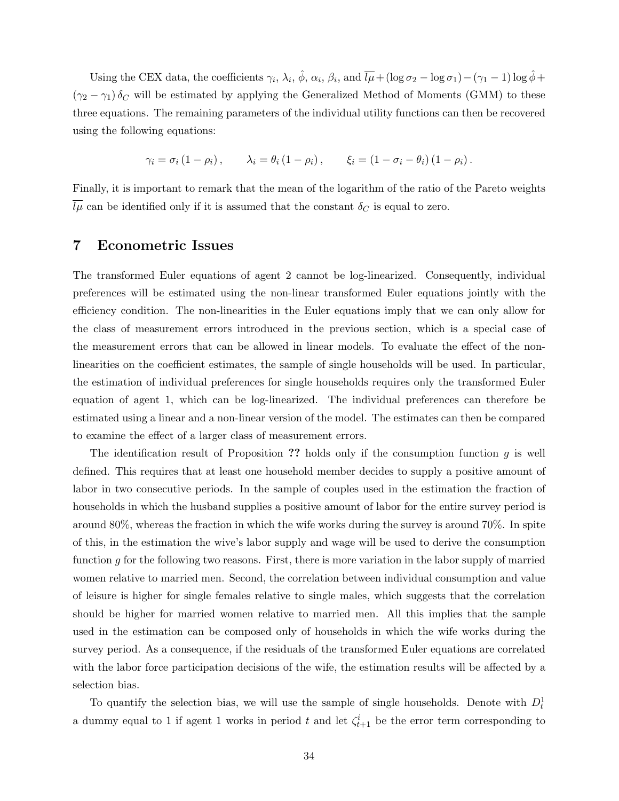Using the CEX data, the coefficients  $\gamma_i$ ,  $\lambda_i$ ,  $\hat{\phi}$ ,  $\alpha_i$ ,  $\beta_i$ , and  $\overline{l\mu} + (\log \sigma_2 - \log \sigma_1) - (\gamma_1 - 1) \log \hat{\phi} +$  $(\gamma_2 - \gamma_1) \delta_C$  will be estimated by applying the Generalized Method of Moments (GMM) to these three equations. The remaining parameters of the individual utility functions can then be recovered using the following equations:

$$
\gamma_i = \sigma_i (1 - \rho_i), \qquad \lambda_i = \theta_i (1 - \rho_i), \qquad \xi_i = (1 - \sigma_i - \theta_i) (1 - \rho_i).
$$

Finally, it is important to remark that the mean of the logarithm of the ratio of the Pareto weights  $\overline{l\mu}$  can be identified only if it is assumed that the constant  $\delta_C$  is equal to zero.

## 7 Econometric Issues

The transformed Euler equations of agent 2 cannot be log-linearized. Consequently, individual preferences will be estimated using the non-linear transformed Euler equations jointly with the efficiency condition. The non-linearities in the Euler equations imply that we can only allow for the class of measurement errors introduced in the previous section, which is a special case of the measurement errors that can be allowed in linear models. To evaluate the effect of the nonlinearities on the coefficient estimates, the sample of single households will be used. In particular, the estimation of individual preferences for single households requires only the transformed Euler equation of agent 1, which can be log-linearized. The individual preferences can therefore be estimated using a linear and a non-linear version of the model. The estimates can then be compared to examine the effect of a larger class of measurement errors.

The identification result of Proposition ?? holds only if the consumption function  $g$  is well defined. This requires that at least one household member decides to supply a positive amount of labor in two consecutive periods. In the sample of couples used in the estimation the fraction of households in which the husband supplies a positive amount of labor for the entire survey period is around 80%, whereas the fraction in which the wife works during the survey is around 70%. In spite of this, in the estimation the wive's labor supply and wage will be used to derive the consumption function  $g$  for the following two reasons. First, there is more variation in the labor supply of married women relative to married men. Second, the correlation between individual consumption and value of leisure is higher for single females relative to single males, which suggests that the correlation should be higher for married women relative to married men. All this implies that the sample used in the estimation can be composed only of households in which the wife works during the survey period. As a consequence, if the residuals of the transformed Euler equations are correlated with the labor force participation decisions of the wife, the estimation results will be affected by a selection bias.

To quantify the selection bias, we will use the sample of single households. Denote with  $D_t^1$ a dummy equal to 1 if agent 1 works in period t and let  $\zeta_{t+1}^i$  be the error term corresponding to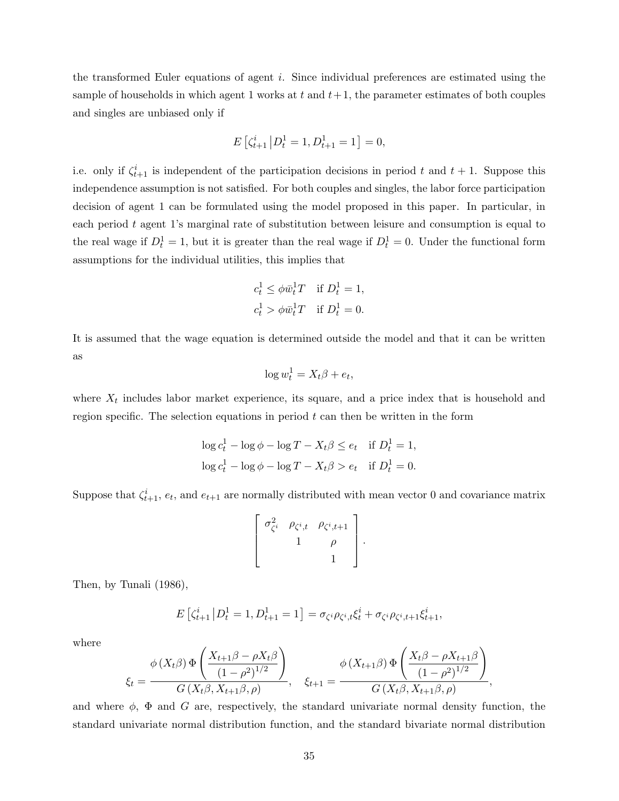the transformed Euler equations of agent i. Since individual preferences are estimated using the sample of households in which agent 1 works at t and  $t+1$ , the parameter estimates of both couples and singles are unbiased only if

$$
E\left[\zeta_{t+1}^i \, \middle| \, D_t^1 = 1, D_{t+1}^1 = 1\right] = 0,
$$

i.e. only if  $\zeta_{t+1}^i$  is independent of the participation decisions in period t and  $t + 1$ . Suppose this independence assumption is not satisfied. For both couples and singles, the labor force participation decision of agent 1 can be formulated using the model proposed in this paper. In particular, in each period t agent 1's marginal rate of substitution between leisure and consumption is equal to the real wage if  $D_t^1 = 1$ , but it is greater than the real wage if  $D_t^1 = 0$ . Under the functional form assumptions for the individual utilities, this implies that

$$
c_t^1 \leq \phi \overline{w}_t^1 T \quad \text{if } D_t^1 = 1,
$$
  

$$
c_t^1 > \phi \overline{w}_t^1 T \quad \text{if } D_t^1 = 0.
$$

It is assumed that the wage equation is determined outside the model and that it can be written as

$$
\log w_t^1 = X_t \beta + e_t,
$$

where  $X_t$  includes labor market experience, its square, and a price index that is household and region specific. The selection equations in period  $t$  can then be written in the form

$$
\log c_t^1 - \log \phi - \log T - X_t \beta \le e_t \quad \text{if } D_t^1 = 1,
$$
  

$$
\log c_t^1 - \log \phi - \log T - X_t \beta > e_t \quad \text{if } D_t^1 = 0.
$$

Suppose that  $\zeta_{t+1}^i$ ,  $e_t$ , and  $e_{t+1}$  are normally distributed with mean vector 0 and covariance matrix

$$
\left[\begin{array}{cccc} \sigma_{\zeta^i}^2 & \rho_{\zeta^i,t} & \rho_{\zeta^i,t+1} \\ 1 & \rho \\ & 1 & 1 \end{array}\right].
$$

Then, by Tunali (1986),

$$
E\left[\zeta_{t+1}^i \left| D_t^1 = 1, D_{t+1}^1 = 1 \right.\right] = \sigma_{\zeta^i} \rho_{\zeta^i, t} \zeta_t^i + \sigma_{\zeta^i} \rho_{\zeta^i, t+1} \zeta_{t+1}^i,
$$

where

$$
\xi_t = \frac{\phi(X_t \beta) \Phi\left(\frac{X_{t+1} \beta - \rho X_t \beta}{(1 - \rho^2)^{1/2}}\right)}{G(X_t \beta, X_{t+1} \beta, \rho)}, \quad \xi_{t+1} = \frac{\phi(X_{t+1} \beta) \Phi\left(\frac{X_t \beta - \rho X_{t+1} \beta}{(1 - \rho^2)^{1/2}}\right)}{G(X_t \beta, X_{t+1} \beta, \rho)},
$$

and where  $\phi$ ,  $\Phi$  and G are, respectively, the standard univariate normal density function, the standard univariate normal distribution function, and the standard bivariate normal distribution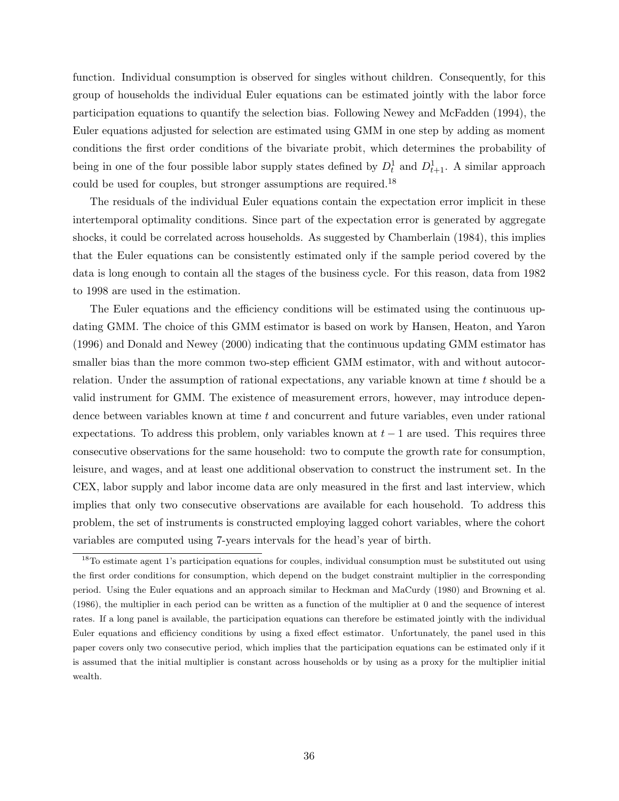function. Individual consumption is observed for singles without children. Consequently, for this group of households the individual Euler equations can be estimated jointly with the labor force participation equations to quantify the selection bias. Following Newey and McFadden (1994), the Euler equations adjusted for selection are estimated using GMM in one step by adding as moment conditions the first order conditions of the bivariate probit, which determines the probability of being in one of the four possible labor supply states defined by  $D_t^1$  and  $D_{t+1}^1$ . A similar approach could be used for couples, but stronger assumptions are required.<sup>18</sup>

The residuals of the individual Euler equations contain the expectation error implicit in these intertemporal optimality conditions. Since part of the expectation error is generated by aggregate shocks, it could be correlated across households. As suggested by Chamberlain (1984), this implies that the Euler equations can be consistently estimated only if the sample period covered by the data is long enough to contain all the stages of the business cycle. For this reason, data from 1982 to 1998 are used in the estimation.

The Euler equations and the efficiency conditions will be estimated using the continuous updating GMM. The choice of this GMM estimator is based on work by Hansen, Heaton, and Yaron (1996) and Donald and Newey (2000) indicating that the continuous updating GMM estimator has smaller bias than the more common two-step efficient GMM estimator, with and without autocorrelation. Under the assumption of rational expectations, any variable known at time  $t$  should be a valid instrument for GMM. The existence of measurement errors, however, may introduce dependence between variables known at time t and concurrent and future variables, even under rational expectations. To address this problem, only variables known at  $t-1$  are used. This requires three consecutive observations for the same household: two to compute the growth rate for consumption, leisure, and wages, and at least one additional observation to construct the instrument set. In the CEX, labor supply and labor income data are only measured in the first and last interview, which implies that only two consecutive observations are available for each household. To address this problem, the set of instruments is constructed employing lagged cohort variables, where the cohort variables are computed using 7-years intervals for the head's year of birth.

<sup>&</sup>lt;sup>18</sup>To estimate agent 1's participation equations for couples, individual consumption must be substituted out using the first order conditions for consumption, which depend on the budget constraint multiplier in the corresponding period. Using the Euler equations and an approach similar to Heckman and MaCurdy (1980) and Browning et al. (1986), the multiplier in each period can be written as a function of the multiplier at 0 and the sequence of interest rates. If a long panel is available, the participation equations can therefore be estimated jointly with the individual Euler equations and efficiency conditions by using a fixed effect estimator. Unfortunately, the panel used in this paper covers only two consecutive period, which implies that the participation equations can be estimated only if it is assumed that the initial multiplier is constant across households or by using as a proxy for the multiplier initial wealth.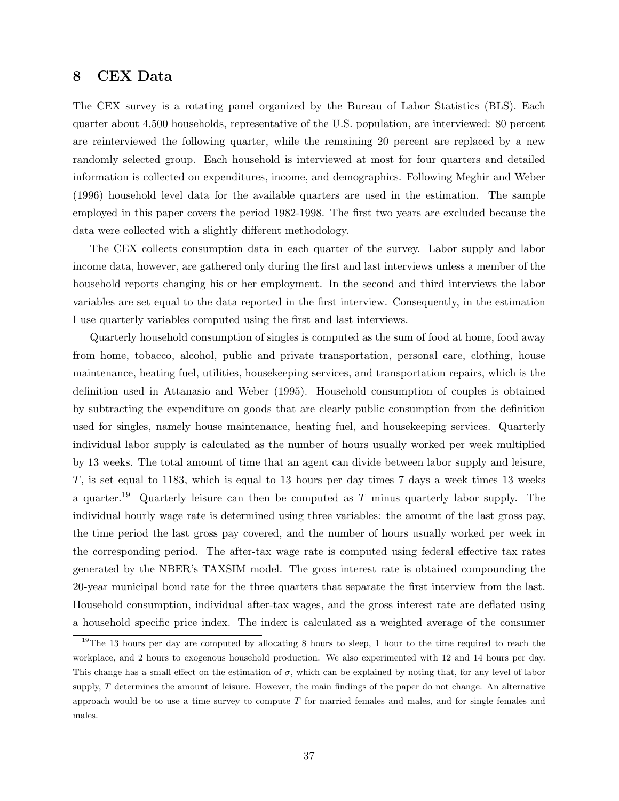# 8 CEX Data

The CEX survey is a rotating panel organized by the Bureau of Labor Statistics (BLS). Each quarter about 4,500 households, representative of the U.S. population, are interviewed: 80 percent are reinterviewed the following quarter, while the remaining 20 percent are replaced by a new randomly selected group. Each household is interviewed at most for four quarters and detailed information is collected on expenditures, income, and demographics. Following Meghir and Weber (1996) household level data for the available quarters are used in the estimation. The sample employed in this paper covers the period 1982-1998. The first two years are excluded because the data were collected with a slightly different methodology.

The CEX collects consumption data in each quarter of the survey. Labor supply and labor income data, however, are gathered only during the first and last interviews unless a member of the household reports changing his or her employment. In the second and third interviews the labor variables are set equal to the data reported in the first interview. Consequently, in the estimation I use quarterly variables computed using the first and last interviews.

Quarterly household consumption of singles is computed as the sum of food at home, food away from home, tobacco, alcohol, public and private transportation, personal care, clothing, house maintenance, heating fuel, utilities, housekeeping services, and transportation repairs, which is the definition used in Attanasio and Weber (1995). Household consumption of couples is obtained by subtracting the expenditure on goods that are clearly public consumption from the definition used for singles, namely house maintenance, heating fuel, and housekeeping services. Quarterly individual labor supply is calculated as the number of hours usually worked per week multiplied by 13 weeks. The total amount of time that an agent can divide between labor supply and leisure, T, is set equal to 1183, which is equal to 13 hours per day times 7 days a week times 13 weeks a quarter.<sup>19</sup> Quarterly leisure can then be computed as  $T$  minus quarterly labor supply. The individual hourly wage rate is determined using three variables: the amount of the last gross pay, the time period the last gross pay covered, and the number of hours usually worked per week in the corresponding period. The after-tax wage rate is computed using federal effective tax rates generated by the NBER's TAXSIM model. The gross interest rate is obtained compounding the 20-year municipal bond rate for the three quarters that separate the first interview from the last. Household consumption, individual after-tax wages, and the gross interest rate are deflated using a household specific price index. The index is calculated as a weighted average of the consumer

<sup>&</sup>lt;sup>19</sup>The 13 hours per day are computed by allocating 8 hours to sleep, 1 hour to the time required to reach the workplace, and 2 hours to exogenous household production. We also experimented with 12 and 14 hours per day. This change has a small effect on the estimation of  $\sigma$ , which can be explained by noting that, for any level of labor supply,  $T$  determines the amount of leisure. However, the main findings of the paper do not change. An alternative approach would be to use a time survey to compute  $T$  for married females and males, and for single females and males.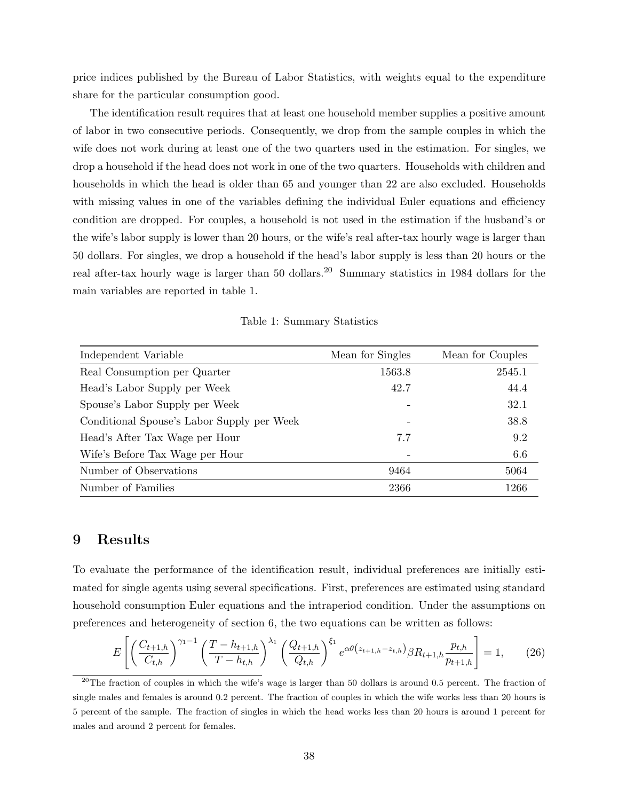price indices published by the Bureau of Labor Statistics, with weights equal to the expenditure share for the particular consumption good.

The identification result requires that at least one household member supplies a positive amount of labor in two consecutive periods. Consequently, we drop from the sample couples in which the wife does not work during at least one of the two quarters used in the estimation. For singles, we drop a household if the head does not work in one of the two quarters. Households with children and households in which the head is older than 65 and younger than 22 are also excluded. Households with missing values in one of the variables defining the individual Euler equations and efficiency condition are dropped. For couples, a household is not used in the estimation if the husband's or the wife's labor supply is lower than 20 hours, or the wife's real after-tax hourly wage is larger than 50 dollars. For singles, we drop a household if the head's labor supply is less than 20 hours or the real after-tax hourly wage is larger than 50 dollars.<sup>20</sup> Summary statistics in 1984 dollars for the main variables are reported in table 1.

Table 1: Summary Statistics

| Independent Variable                       | Mean for Singles | Mean for Couples |
|--------------------------------------------|------------------|------------------|
| Real Consumption per Quarter               | 1563.8           | 2545.1           |
| Head's Labor Supply per Week               | 42.7             | 44.4             |
| Spouse's Labor Supply per Week             |                  | 32.1             |
| Conditional Spouse's Labor Supply per Week |                  | 38.8             |
| Head's After Tax Wage per Hour             | 7.7              | 9.2              |
| Wife's Before Tax Wage per Hour            |                  | 6.6              |
| Number of Observations                     | 9464             | 5064             |
| Number of Families                         | 2366             | 1266             |
|                                            |                  |                  |

# 9 Results

To evaluate the performance of the identification result, individual preferences are initially estimated for single agents using several specifications. First, preferences are estimated using standard household consumption Euler equations and the intraperiod condition. Under the assumptions on preferences and heterogeneity of section 6, the two equations can be written as follows:

$$
E\left[\left(\frac{C_{t+1,h}}{C_{t,h}}\right)^{\gamma_1-1}\left(\frac{T-h_{t+1,h}}{T-h_{t,h}}\right)^{\lambda_1}\left(\frac{Q_{t+1,h}}{Q_{t,h}}\right)^{\xi_1}e^{\alpha\theta(z_{t+1,h}-z_{t,h})}\beta R_{t+1,h}\frac{p_{t,h}}{p_{t+1,h}}\right]=1,\qquad(26)
$$

 $^{20}$ The fraction of couples in which the wife's wage is larger than 50 dollars is around 0.5 percent. The fraction of single males and females is around 0.2 percent. The fraction of couples in which the wife works less than 20 hours is 5 percent of the sample. The fraction of singles in which the head works less than 20 hours is around 1 percent for males and around 2 percent for females.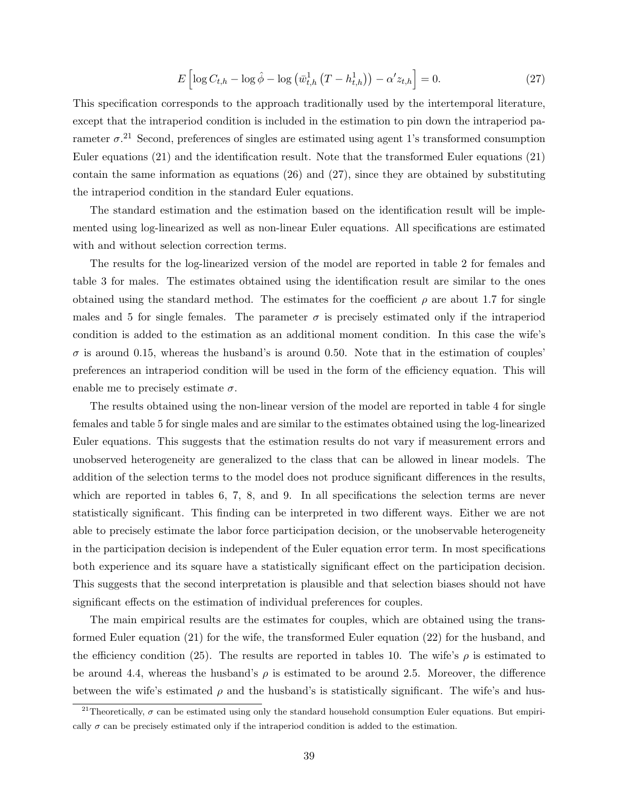$$
E\left[\log C_{t,h} - \log \hat{\phi} - \log \left(\bar{w}_{t,h}^1 \left(T - h_{t,h}^1\right)\right) - \alpha' z_{t,h}\right] = 0. \tag{27}
$$

This specification corresponds to the approach traditionally used by the intertemporal literature, except that the intraperiod condition is included in the estimation to pin down the intraperiod parameter  $\sigma$ <sup>21</sup>. Second, preferences of singles are estimated using agent 1's transformed consumption Euler equations (21) and the identification result. Note that the transformed Euler equations (21) contain the same information as equations (26) and (27), since they are obtained by substituting the intraperiod condition in the standard Euler equations.

The standard estimation and the estimation based on the identification result will be implemented using log-linearized as well as non-linear Euler equations. All specifications are estimated with and without selection correction terms.

The results for the log-linearized version of the model are reported in table 2 for females and table 3 for males. The estimates obtained using the identification result are similar to the ones obtained using the standard method. The estimates for the coefficient  $\rho$  are about 1.7 for single males and 5 for single females. The parameter  $\sigma$  is precisely estimated only if the intraperiod condition is added to the estimation as an additional moment condition. In this case the wife's  $\sigma$  is around 0.15, whereas the husband's is around 0.50. Note that in the estimation of couples' preferences an intraperiod condition will be used in the form of the efficiency equation. This will enable me to precisely estimate  $\sigma$ .

The results obtained using the non-linear version of the model are reported in table 4 for single females and table 5 for single males and are similar to the estimates obtained using the log-linearized Euler equations. This suggests that the estimation results do not vary if measurement errors and unobserved heterogeneity are generalized to the class that can be allowed in linear models. The addition of the selection terms to the model does not produce significant differences in the results, which are reported in tables 6, 7, 8, and 9. In all specifications the selection terms are never statistically significant. This finding can be interpreted in two different ways. Either we are not able to precisely estimate the labor force participation decision, or the unobservable heterogeneity in the participation decision is independent of the Euler equation error term. In most specifications both experience and its square have a statistically significant effect on the participation decision. This suggests that the second interpretation is plausible and that selection biases should not have significant effects on the estimation of individual preferences for couples.

The main empirical results are the estimates for couples, which are obtained using the transformed Euler equation (21) for the wife, the transformed Euler equation (22) for the husband, and the efficiency condition (25). The results are reported in tables 10. The wife's  $\rho$  is estimated to be around 4.4, whereas the husband's  $\rho$  is estimated to be around 2.5. Moreover, the difference between the wife's estimated  $\rho$  and the husband's is statistically significant. The wife's and hus-

<sup>&</sup>lt;sup>21</sup>Theoretically,  $\sigma$  can be estimated using only the standard household consumption Euler equations. But empirically  $\sigma$  can be precisely estimated only if the intraperiod condition is added to the estimation.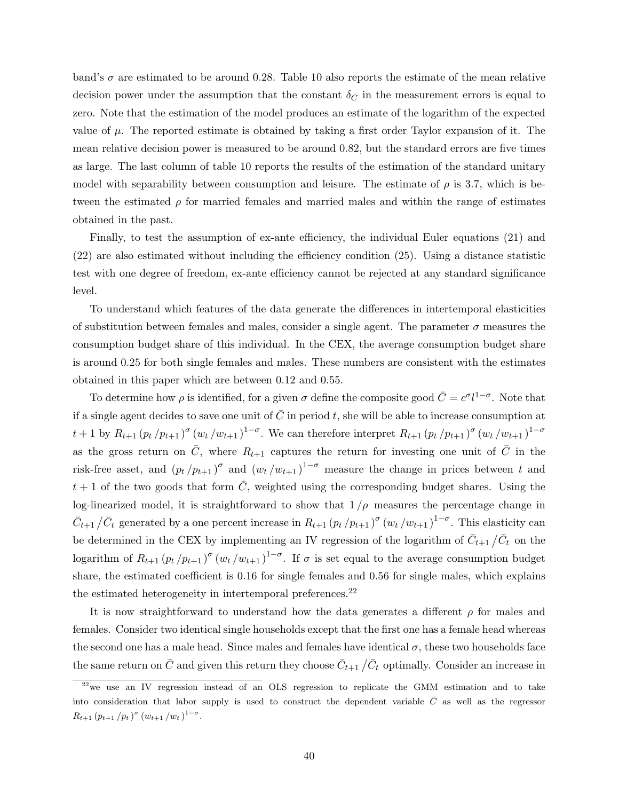band's  $\sigma$  are estimated to be around 0.28. Table 10 also reports the estimate of the mean relative decision power under the assumption that the constant  $\delta_C$  in the measurement errors is equal to zero. Note that the estimation of the model produces an estimate of the logarithm of the expected value of  $\mu$ . The reported estimate is obtained by taking a first order Taylor expansion of it. The mean relative decision power is measured to be around 0.82, but the standard errors are five times as large. The last column of table 10 reports the results of the estimation of the standard unitary model with separability between consumption and leisure. The estimate of  $\rho$  is 3.7, which is between the estimated  $\rho$  for married females and married males and within the range of estimates obtained in the past.

Finally, to test the assumption of ex-ante efficiency, the individual Euler equations (21) and (22) are also estimated without including the efficiency condition (25). Using a distance statistic test with one degree of freedom, ex-ante efficiency cannot be rejected at any standard significance level.

To understand which features of the data generate the differences in intertemporal elasticities of substitution between females and males, consider a single agent. The parameter  $\sigma$  measures the consumption budget share of this individual. In the CEX, the average consumption budget share is around 0.25 for both single females and males. These numbers are consistent with the estimates obtained in this paper which are between 0.12 and 0.55.

To determine how  $\rho$  is identified, for a given  $\sigma$  define the composite good  $\bar{C} = c^{\sigma}l^{1-\sigma}$ . Note that if a single agent decides to save one unit of  $\overline{C}$  in period t, she will be able to increase consumption at  $t+1$  by  $R_{t+1} (p_t / p_{t+1})^{\sigma} (w_t / w_{t+1})^{1-\sigma}$ . We can therefore interpret  $R_{t+1} (p_t / p_{t+1})^{\sigma} (w_t / w_{t+1})^{1-\sigma}$ as the gross return on  $\overline{C}$ , where  $R_{t+1}$  captures the return for investing one unit of  $\overline{C}$  in the risk-free asset, and  $(p_t / p_{t+1})^{\sigma}$  and  $(w_t / w_{t+1})^{1-\sigma}$  measure the change in prices between t and  $t+1$  of the two goods that form  $\overline{C}$ , weighted using the corresponding budget shares. Using the log-linearized model, it is straightforward to show that  $1/\rho$  measures the percentage change in  $\bar{C}_{t+1}/\bar{C}_t$  generated by a one percent increase in  $R_{t+1} (p_t / p_{t+1})^{\sigma} (w_t / w_{t+1})^{1-\sigma}$ . This elasticity can be determined in the CEX by implementing an IV regression of the logarithm of  $\bar{C}_{t+1}/\bar{C}_t$  on the logarithm of  $R_{t+1} (p_t / p_{t+1})^{\sigma} (w_t / w_{t+1})^{1-\sigma}$ . If  $\sigma$  is set equal to the average consumption budget share, the estimated coefficient is 0.16 for single females and 0.56 for single males, which explains the estimated heterogeneity in intertemporal preferences.<sup>22</sup>

It is now straightforward to understand how the data generates a different  $\rho$  for males and females. Consider two identical single households except that the first one has a female head whereas the second one has a male head. Since males and females have identical  $\sigma$ , these two households face the same return on  $\bar{C}$  and given this return they choose  $\bar{C}_{t+1}$  / $\bar{C}_t$  optimally. Consider an increase in

 $22$ we use an IV regression instead of an OLS regression to replicate the GMM estimation and to take into consideration that labor supply is used to construct the dependent variable  $\bar{C}$  as well as the regressor  $R_{t+1} (p_{t+1}/p_t)^\sigma (w_{t+1}/w_t)^{1-\sigma}.$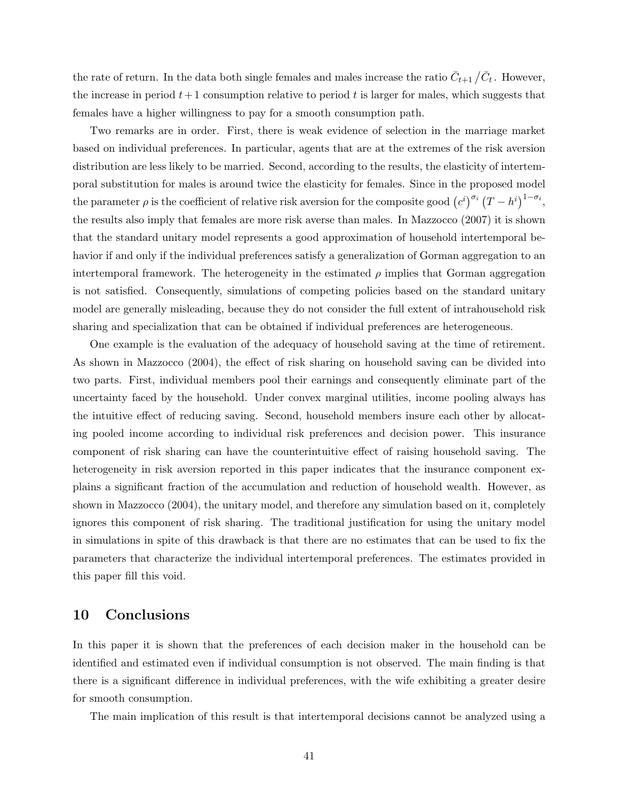the rate of return. In the data both single females and males increase the ratio  $\bar{C}_{t+1}/\bar{C}_t$ . However, the increase in period  $t+1$  consumption relative to period t is larger for males, which suggests that females have a higher willingness to pay for a smooth consumption path.

Two remarks are in order. First, there is weak evidence of selection in the marriage market based on individual preferences. In particular, agents that are at the extremes of the risk aversion distribution are less likely to be married. Second, according to the results, the elasticity of intertemporal substitution for males is around twice the elasticity for females. Since in the proposed model the parameter  $\rho$  is the coefficient of relative risk aversion for the composite good  $(c^i)^{\sigma_i}(T-h^i)^{1-\sigma_i}$ , the results also imply that females are more risk averse than males. In Mazzocco (2007) it is shown that the standard unitary model represents a good approximation of household intertemporal behavior if and only if the individual preferences satisfy a generalization of Gorman aggregation to an intertemporal framework. The heterogeneity in the estimated  $\rho$  implies that Gorman aggregation is not satisfied. Consequently, simulations of competing policies based on the standard unitary model are generally misleading, because they do not consider the full extent of intrahousehold risk sharing and specialization that can be obtained if individual preferences are heterogeneous.

One example is the evaluation of the adequacy of household saving at the time of retirement. As shown in Mazzocco (2004), the effect of risk sharing on household saving can be divided into two parts. First, individual members pool their earnings and consequently eliminate part of the uncertainty faced by the household. Under convex marginal utilities, income pooling always has the intuitive effect of reducing saving. Second, household members insure each other by allocating pooled income according to individual risk preferences and decision power. This insurance component of risk sharing can have the counterintuitive effect of raising household saving. The heterogeneity in risk aversion reported in this paper indicates that the insurance component explains a significant fraction of the accumulation and reduction of household wealth. However, as shown in Mazzocco (2004), the unitary model, and therefore any simulation based on it, completely ignores this component of risk sharing. The traditional justification for using the unitary model in simulations in spite of this drawback is that there are no estimates that can be used to fix the parameters that characterize the individual intertemporal preferences. The estimates provided in this paper fill this void.

## 10 Conclusions

In this paper it is shown that the preferences of each decision maker in the household can be identified and estimated even if individual consumption is not observed. The main finding is that there is a significant difference in individual preferences, with the wife exhibiting a greater desire for smooth consumption.

The main implication of this result is that intertemporal decisions cannot be analyzed using a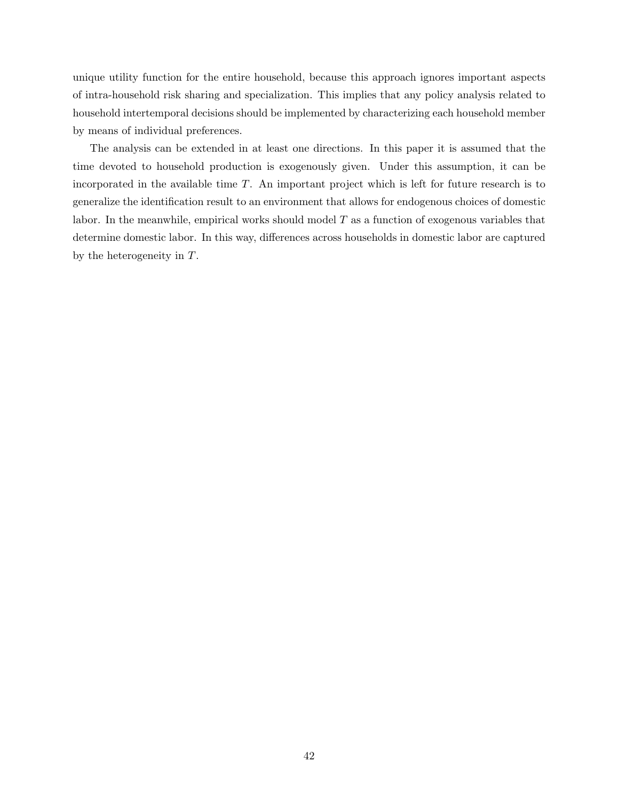unique utility function for the entire household, because this approach ignores important aspects of intra-household risk sharing and specialization. This implies that any policy analysis related to household intertemporal decisions should be implemented by characterizing each household member by means of individual preferences.

The analysis can be extended in at least one directions. In this paper it is assumed that the time devoted to household production is exogenously given. Under this assumption, it can be incorporated in the available time  $T$ . An important project which is left for future research is to generalize the identification result to an environment that allows for endogenous choices of domestic labor. In the meanwhile, empirical works should model T as a function of exogenous variables that determine domestic labor. In this way, differences across households in domestic labor are captured by the heterogeneity in T.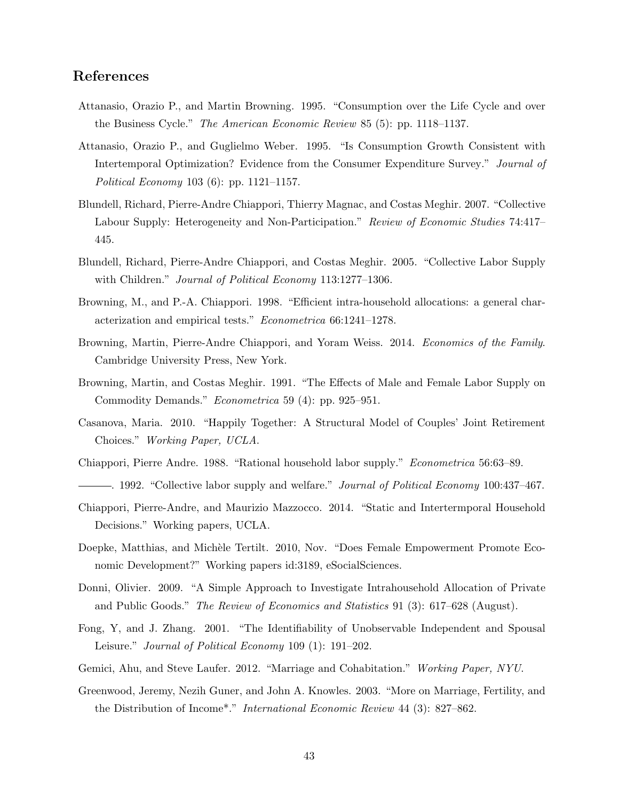# References

- Attanasio, Orazio P., and Martin Browning. 1995. "Consumption over the Life Cycle and over the Business Cycle." The American Economic Review 85 (5): pp. 1118–1137.
- Attanasio, Orazio P., and Guglielmo Weber. 1995. "Is Consumption Growth Consistent with Intertemporal Optimization? Evidence from the Consumer Expenditure Survey." Journal of Political Economy 103 (6): pp. 1121–1157.
- Blundell, Richard, Pierre-Andre Chiappori, Thierry Magnac, and Costas Meghir. 2007. "Collective Labour Supply: Heterogeneity and Non-Participation." Review of Economic Studies 74:417– 445.
- Blundell, Richard, Pierre-Andre Chiappori, and Costas Meghir. 2005. "Collective Labor Supply with Children." *Journal of Political Economy* 113:1277–1306.
- Browning, M., and P.-A. Chiappori. 1998. "Efficient intra-household allocations: a general characterization and empirical tests." Econometrica 66:1241–1278.
- Browning, Martin, Pierre-Andre Chiappori, and Yoram Weiss. 2014. Economics of the Family. Cambridge University Press, New York.
- Browning, Martin, and Costas Meghir. 1991. "The Effects of Male and Female Labor Supply on Commodity Demands." Econometrica 59 (4): pp. 925–951.
- Casanova, Maria. 2010. "Happily Together: A Structural Model of Couples' Joint Retirement Choices." Working Paper, UCLA.
- Chiappori, Pierre Andre. 1988. "Rational household labor supply." Econometrica 56:63–89.
- . 1992. "Collective labor supply and welfare." *Journal of Political Economy* 100:437–467.
- Chiappori, Pierre-Andre, and Maurizio Mazzocco. 2014. "Static and Intertermporal Household Decisions." Working papers, UCLA.
- Doepke, Matthias, and Michèle Tertilt. 2010, Nov. "Does Female Empowerment Promote Economic Development?" Working papers id:3189, eSocialSciences.
- Donni, Olivier. 2009. "A Simple Approach to Investigate Intrahousehold Allocation of Private and Public Goods." The Review of Economics and Statistics 91 (3): 617–628 (August).
- Fong, Y, and J. Zhang. 2001. "The Identifiability of Unobservable Independent and Spousal Leisure." Journal of Political Economy 109 (1): 191-202.
- Gemici, Ahu, and Steve Laufer. 2012. "Marriage and Cohabitation." Working Paper, NYU.
- Greenwood, Jeremy, Nezih Guner, and John A. Knowles. 2003. "More on Marriage, Fertility, and the Distribution of Income\*." International Economic Review 44 (3): 827–862.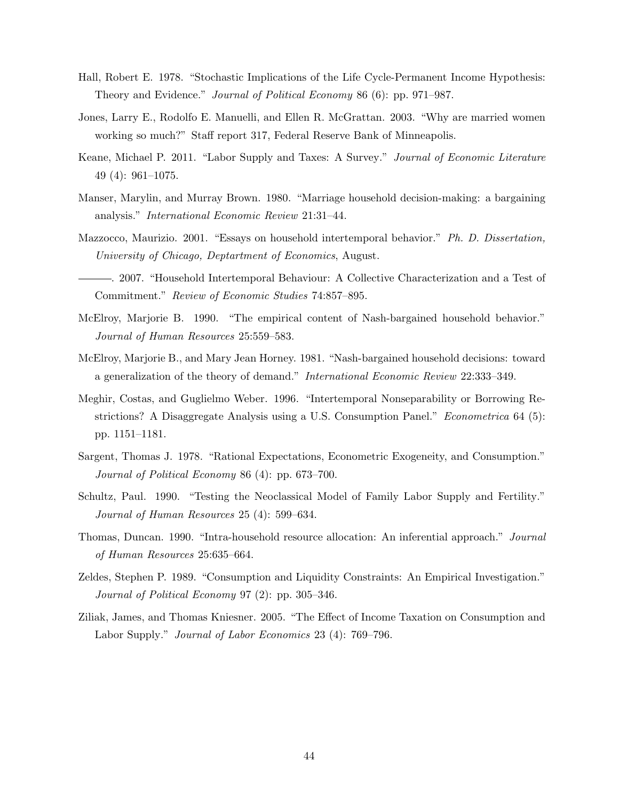- Hall, Robert E. 1978. "Stochastic Implications of the Life Cycle-Permanent Income Hypothesis: Theory and Evidence." Journal of Political Economy 86 (6): pp. 971–987.
- Jones, Larry E., Rodolfo E. Manuelli, and Ellen R. McGrattan. 2003. "Why are married women working so much?" Staff report 317, Federal Reserve Bank of Minneapolis.
- Keane, Michael P. 2011. "Labor Supply and Taxes: A Survey." Journal of Economic Literature 49 (4): 961–1075.
- Manser, Marylin, and Murray Brown. 1980. "Marriage household decision-making: a bargaining analysis." International Economic Review 21:31–44.
- Mazzocco, Maurizio. 2001. "Essays on household intertemporal behavior." Ph. D. Dissertation, University of Chicago, Deptartment of Economics, August.

. 2007. "Household Intertemporal Behaviour: A Collective Characterization and a Test of Commitment." Review of Economic Studies 74:857–895.

- McElroy, Marjorie B. 1990. "The empirical content of Nash-bargained household behavior." Journal of Human Resources 25:559–583.
- McElroy, Marjorie B., and Mary Jean Horney. 1981. "Nash-bargained household decisions: toward a generalization of the theory of demand." International Economic Review 22:333–349.
- Meghir, Costas, and Guglielmo Weber. 1996. "Intertemporal Nonseparability or Borrowing Restrictions? A Disaggregate Analysis using a U.S. Consumption Panel." *Econometrica* 64 (5): pp. 1151–1181.
- Sargent, Thomas J. 1978. "Rational Expectations, Econometric Exogeneity, and Consumption." Journal of Political Economy 86 (4): pp. 673–700.
- Schultz, Paul. 1990. "Testing the Neoclassical Model of Family Labor Supply and Fertility." Journal of Human Resources 25 (4): 599–634.
- Thomas, Duncan. 1990. "Intra-household resource allocation: An inferential approach." Journal of Human Resources 25:635–664.
- Zeldes, Stephen P. 1989. "Consumption and Liquidity Constraints: An Empirical Investigation." Journal of Political Economy 97 (2): pp. 305–346.
- Ziliak, James, and Thomas Kniesner. 2005. "The Effect of Income Taxation on Consumption and Labor Supply." Journal of Labor Economics 23 (4): 769–796.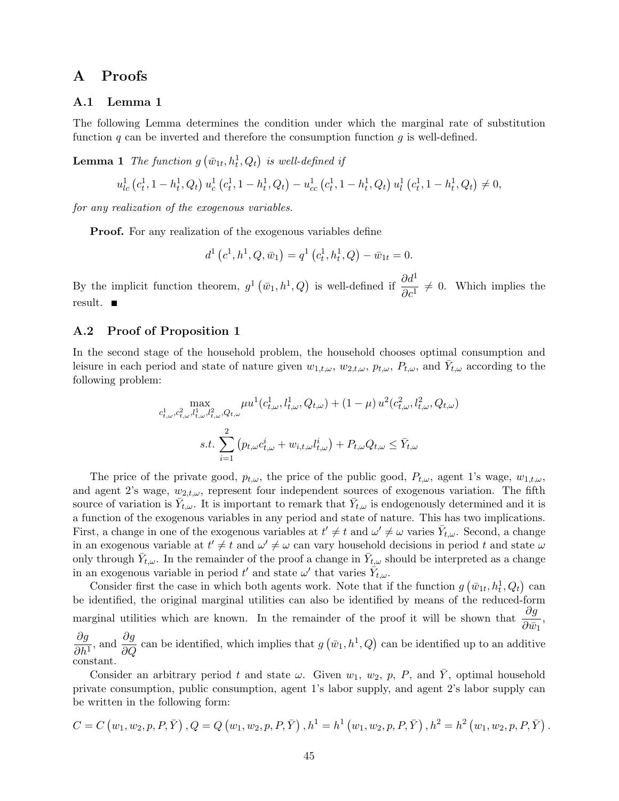## A Proofs

#### A.1 Lemma 1

The following Lemma determines the condition under which the marginal rate of substitution function  $q$  can be inverted and therefore the consumption function  $q$  is well-defined.

**Lemma 1** The function  $g\left(\bar{w}_{1t}, h_t^1, Q_t\right)$  is well-defined if

$$
u_{lc}^1(c_t^1, 1 - h_t^1, Q_t) u_c^1(c_t^1, 1 - h_t^1, Q_t) - u_{cc}^1(c_t^1, 1 - h_t^1, Q_t) u_t^1(c_t^1, 1 - h_t^1, Q_t) \neq 0,
$$

for any realization of the exogenous variables.

**Proof.** For any realization of the exogenous variables define

$$
d^{1}(c^{1}, h^{1}, Q, \bar{w}_{1}) = q^{1}(c_{t}^{1}, h_{t}^{1}, Q) - \bar{w}_{1t} = 0.
$$

By the implicit function theorem,  $g^1(\bar{w}_1, h^1, Q)$  is well-defined if  $\frac{\partial d^1}{\partial c^1} \neq 0$ . Which implies the result.

#### A.2 Proof of Proposition 1

In the second stage of the household problem, the household chooses optimal consumption and leisure in each period and state of nature given  $w_{1,t,\omega}, w_{2,t,\omega}, p_{t,\omega}, P_{t,\omega}$ , and  $\bar{Y}_{t,\omega}$  according to the following problem:

$$
\max_{c_{t,\omega}^1, c_{t,\omega}^2, l_{t,\omega}^1, l_{t,\omega}^2, Q_{t,\omega}} \mu u^1(c_{t,\omega}^1, l_{t,\omega}^1, Q_{t,\omega}) + (1 - \mu) u^2(c_{t,\omega}^2, l_{t,\omega}^2, Q_{t,\omega})
$$
  

$$
s.t. \sum_{i=1}^2 (p_{t,\omega} c_{t,\omega}^i + w_{i,t,\omega} l_{t,\omega}^i) + P_{t,\omega} Q_{t,\omega} \le \bar{Y}_{t,\omega}
$$

The price of the private good,  $p_{t,\omega}$ , the price of the public good,  $P_{t,\omega}$ , agent 1's wage,  $w_{1,t,\omega}$ , and agent 2's wage,  $w_{2,t,\omega}$ , represent four independent sources of exogenous variation. The fifth source of variation is  $\bar{Y}_{t,\omega}$ . It is important to remark that  $\bar{Y}_{t,\omega}$  is endogenously determined and it is a function of the exogenous variables in any period and state of nature. This has two implications. First, a change in one of the exogenous variables at  $t' \neq t$  and  $\omega' \neq \omega$  varies  $\bar{Y}_{t,\omega}$ . Second, a change in an exogenous variable at  $t' \neq t$  and  $\omega' \neq \omega$  can vary household decisions in period t and state  $\omega$ only through  $\bar{Y}_{t,\omega}$ . In the remainder of the proof a change in  $\bar{Y}_{t,\omega}$  should be interpreted as a change in an exogenous variable in period  $t'$  and state  $\omega'$  that varies  $\hat{Y}_{t,\omega}$ .

Consider first the case in which both agents work. Note that if the function  $g\left(\bar{w}_{1t}, h_t^1, Q_t\right)$  can be identified, the original marginal utilities can also be identified by means of the reduced-form marginal utilities which are known. In the remainder of the proof it will be shown that  $\frac{\partial g}{\partial \tau}$  $\frac{\partial g}{\partial \bar{w}_1},$  $\partial g$  $\frac{\partial g}{\partial h^1}$ , and  $\frac{\partial g}{\partial Q}$  can be identified, which implies that  $g(\bar{w}_1, h^1, Q)$  can be identified up to an additive constant.

Consider an arbitrary period t and state  $\omega$ . Given  $w_1$ ,  $w_2$ , p, P, and  $\overline{Y}$ , optimal household private consumption, public consumption, agent 1's labor supply, and agent 2's labor supply can be written in the following form:

$$
C = C (w_1, w_2, p, P, \overline{Y}), Q = Q (w_1, w_2, p, P, \overline{Y}), h^1 = h^1 (w_1, w_2, p, P, \overline{Y}), h^2 = h^2 (w_1, w_2, p, P, \overline{Y}).
$$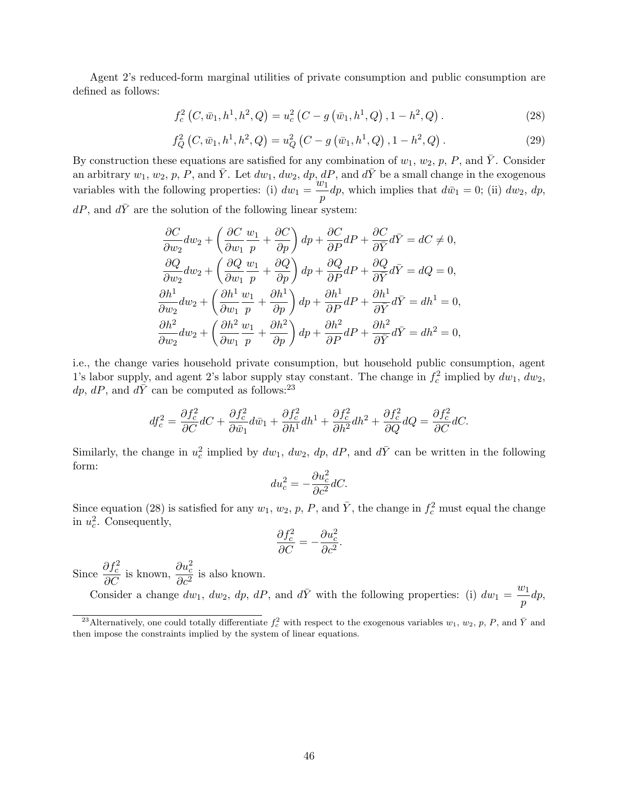Agent 2's reduced-form marginal utilities of private consumption and public consumption are defined as follows:

$$
f_c^2(C, \bar{w}_1, h^1, h^2, Q) = u_c^2(C - g(\bar{w}_1, h^1, Q), 1 - h^2, Q).
$$
 (28)

$$
f_Q^2(C, \bar{w}_1, h^1, h^2, Q) = u_Q^2(C - g(\bar{w}_1, h^1, Q), 1 - h^2, Q).
$$
 (29)

By construction these equations are satisfied for any combination of  $w_1, w_2, p, P$ , and  $\overline{Y}$ . Consider an arbitrary  $w_1, w_2, p, P$ , and  $\overline{Y}$ . Let  $dw_1, dw_2, dp, dP$ , and  $d\overline{Y}$  be a small change in the exogenous variables with the following properties: (i)  $dw_1 = \frac{w_1}{w_1}$  $\frac{\partial u}{\partial p}dp$ , which implies that  $d\bar{w}_1 = 0$ ; (ii)  $dw_2$ ,  $dp$ ,  $dP,$  and  $d\bar{Y}$  are the solution of the following linear system:

$$
\frac{\partial C}{\partial w_2} dw_2 + \left(\frac{\partial C}{\partial w_1} \frac{w_1}{p} + \frac{\partial C}{\partial p}\right) dp + \frac{\partial C}{\partial P} dP + \frac{\partial C}{\partial \bar{Y}} d\bar{Y} = dC \neq 0,\n\frac{\partial Q}{\partial w_2} dw_2 + \left(\frac{\partial Q}{\partial w_1} \frac{w_1}{p} + \frac{\partial Q}{\partial p}\right) dp + \frac{\partial Q}{\partial P} dP + \frac{\partial Q}{\partial \bar{Y}} d\bar{Y} = dQ = 0,\n\frac{\partial h^1}{\partial w_2} dw_2 + \left(\frac{\partial h^1}{\partial w_1} \frac{w_1}{p} + \frac{\partial h^1}{\partial p}\right) dp + \frac{\partial h^1}{\partial P} dP + \frac{\partial h^1}{\partial \bar{Y}} d\bar{Y} = dh^1 = 0,\n\frac{\partial h^2}{\partial w_2} dw_2 + \left(\frac{\partial h^2}{\partial w_1} \frac{w_1}{p} + \frac{\partial h^2}{\partial p}\right) dp + \frac{\partial h^2}{\partial P} dP + \frac{\partial h^2}{\partial \bar{Y}} d\bar{Y} = dh^2 = 0,
$$

i.e., the change varies household private consumption, but household public consumption, agent 1's labor supply, and agent 2's labor supply stay constant. The change in  $f_c^2$  implied by  $dw_1, dw_2$ , dp, dP, and  $d\bar{Y}$  can be computed as follows:<sup>23</sup>

$$
df_c^2 = \frac{\partial f_c^2}{\partial C} dC + \frac{\partial f_c^2}{\partial \bar{w}_1} d\bar{w}_1 + \frac{\partial f_c^2}{\partial h^1} dh^1 + \frac{\partial f_c^2}{\partial h^2} dh^2 + \frac{\partial f_c^2}{\partial Q} dQ = \frac{\partial f_c^2}{\partial C} dC.
$$

Similarly, the change in  $u_c^2$  implied by  $dw_1$ ,  $dw_2$ ,  $dp$ ,  $dP$ , and  $d\bar{Y}$  can be written in the following form:

$$
du_c^2 = -\frac{\partial u_c^2}{\partial c^2} dC.
$$

Since equation (28) is satisfied for any  $w_1, w_2, p, P$ , and  $\overline{Y}$ , the change in  $f_c^2$  must equal the change in  $u_c^2$ . Consequently,

$$
\frac{\partial f_c^2}{\partial C} = -\frac{\partial u_c^2}{\partial c^2}.
$$

Since  $\frac{\partial f_c^2}{\partial C}$  is known,  $\frac{\partial u_c^2}{\partial c^2}$  $\frac{\partial^2 a}{\partial c^2}$  is also known.

Consider a change  $dw_1$ ,  $dw_2$ ,  $dp$ ,  $dP$ , and  $d\overline{Y}$  with the following properties: (i)  $dw_1 = \frac{w_1}{x}$  $\frac{b_1}{p}dp,$ 

<sup>&</sup>lt;sup>23</sup>Alternatively, one could totally differentiate  $f_c^2$  with respect to the exogenous variables  $w_1, w_2, p, P$ , and  $\bar{Y}$  and then impose the constraints implied by the system of linear equations.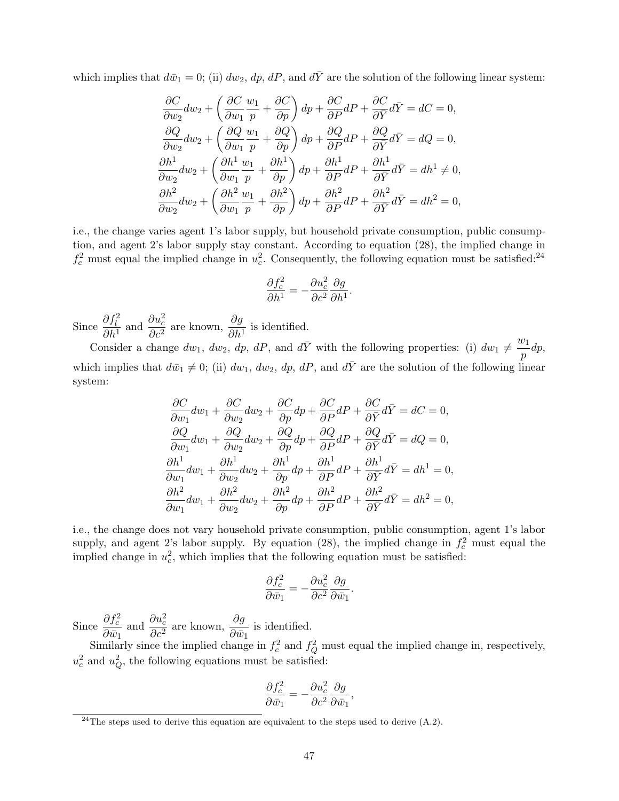which implies that  $d\bar{w}_1 = 0$ ; (ii)  $dw_2$ ,  $dp$ ,  $dP$ , and  $d\bar{Y}$  are the solution of the following linear system:

$$
\frac{\partial C}{\partial w_2} dw_2 + \left(\frac{\partial C}{\partial w_1} \frac{w_1}{p} + \frac{\partial C}{\partial p}\right) dp + \frac{\partial C}{\partial P} dP + \frac{\partial C}{\partial \bar{Y}} d\bar{Y} = dC = 0,
$$
  

$$
\frac{\partial Q}{\partial w_2} dw_2 + \left(\frac{\partial Q}{\partial w_1} \frac{w_1}{p} + \frac{\partial Q}{\partial p}\right) dp + \frac{\partial Q}{\partial P} dP + \frac{\partial Q}{\partial \bar{Y}} d\bar{Y} = dQ = 0,
$$
  

$$
\frac{\partial h^1}{\partial w_2} dw_2 + \left(\frac{\partial h^1}{\partial w_1} \frac{w_1}{p} + \frac{\partial h^1}{\partial p}\right) dp + \frac{\partial h^1}{\partial P} dP + \frac{\partial h^1}{\partial \bar{Y}} d\bar{Y} = dh^1 \neq 0,
$$
  

$$
\frac{\partial h^2}{\partial w_2} dw_2 + \left(\frac{\partial h^2}{\partial w_1} \frac{w_1}{p} + \frac{\partial h^2}{\partial p}\right) dp + \frac{\partial h^2}{\partial P} dP + \frac{\partial h^2}{\partial \bar{Y}} d\bar{Y} = dh^2 = 0,
$$

i.e., the change varies agent 1's labor supply, but household private consumption, public consumption, and agent 2's labor supply stay constant. According to equation (28), the implied change in  $f_c^2$  must equal the implied change in  $u_c^2$ . Consequently, the following equation must be satisfied:<sup>24</sup>

$$
\frac{\partial f_c^2}{\partial h^1} = -\frac{\partial u_c^2}{\partial c^2} \frac{\partial g}{\partial h^1}.
$$

Since  $\frac{\partial f_l^2}{2l}$  $\frac{\partial f_l^2}{\partial h^1}$  and  $\frac{\partial u_c^2}{\partial c^2}$  $\frac{\partial u_c^2}{\partial c^2}$  are known,  $\frac{\partial g}{\partial h^1}$  is identified.

Consider a change  $dw_1$ ,  $dw_2$ ,  $dp$ ,  $dP$ , and  $d\overline{Y}$  with the following properties: (i)  $dw_1 \neq \frac{w_1}{w_2}$  $\frac{b_1}{p}dp,$ which implies that  $d\bar{w}_1 \neq 0$ ; (ii)  $dw_1$ ,  $dw_2$ ,  $dp$ ,  $dP$ , and  $d\bar{Y}$  are the solution of the following linear system:

$$
\frac{\partial C}{\partial w_1} dw_1 + \frac{\partial C}{\partial w_2} dw_2 + \frac{\partial C}{\partial p} dp + \frac{\partial C}{\partial P} dP + \frac{\partial C}{\partial \bar{Y}} d\bar{Y} = dC = 0,\n\frac{\partial Q}{\partial w_1} dw_1 + \frac{\partial Q}{\partial w_2} dw_2 + \frac{\partial Q}{\partial p} dp + \frac{\partial Q}{\partial P} dP + \frac{\partial Q}{\partial \bar{Y}} d\bar{Y} = dQ = 0,\n\frac{\partial h^1}{\partial w_1} dw_1 + \frac{\partial h^1}{\partial w_2} dw_2 + \frac{\partial h^1}{\partial p} dp + \frac{\partial h^1}{\partial P} dP + \frac{\partial h^1}{\partial \bar{Y}} d\bar{Y} = dh^1 = 0,\n\frac{\partial h^2}{\partial w_1} dw_1 + \frac{\partial h^2}{\partial w_2} dw_2 + \frac{\partial h^2}{\partial p} dp + \frac{\partial h^2}{\partial P} dP + \frac{\partial h^2}{\partial \bar{Y}} d\bar{Y} = dh^2 = 0,
$$

i.e., the change does not vary household private consumption, public consumption, agent 1's labor supply, and agent 2's labor supply. By equation (28), the implied change in  $f_c^2$  must equal the implied change in  $u_c^2$ , which implies that the following equation must be satisfied:

$$
\frac{\partial f_c^2}{\partial \bar{w}_1} = -\frac{\partial u_c^2}{\partial c^2} \frac{\partial g}{\partial \bar{w}_1}.
$$

Since  $\frac{\partial f_c^2}{\partial z}$  $\partial \bar{w}_1$ and  $\frac{\partial u_c^2}{\partial x^2}$  $\frac{\partial u_c^2}{\partial c^2}$  are known,  $\frac{\partial g}{\partial \bar{w}}$  $rac{\partial g}{\partial \bar{w}_1}$  is identified.

Similarly since the implied change in  $f_c^2$  and  $f_Q^2$  must equal the implied change in, respectively,  $u_c^2$  and  $u_Q^2$ , the following equations must be satisfied:

$$
\frac{\partial f_c^2}{\partial \bar{w}_1} = -\frac{\partial u_c^2}{\partial c^2} \frac{\partial g}{\partial \bar{w}_1},
$$

 $^{24}$ The steps used to derive this equation are equivalent to the steps used to derive (A.2).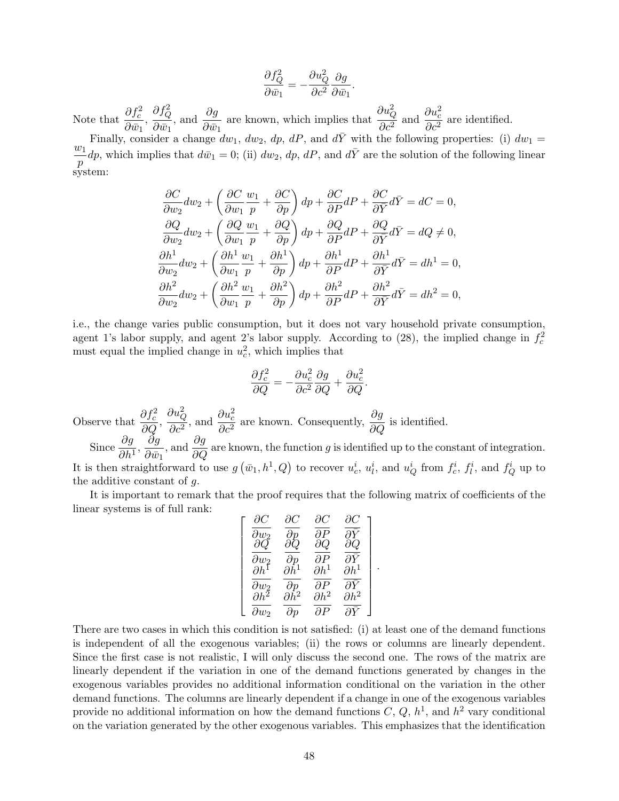$$
\frac{\partial f_Q^2}{\partial \bar{w}_1} = -\frac{\partial u_Q^2}{\partial c^2} \frac{\partial g}{\partial \bar{w}_1}
$$

.

Note that  $\frac{\partial f_c^2}{\partial z}$  $\frac{\partial J_c}{\partial \bar{w}_1},$  $\partial f^2_Q$  $\partial \bar{w}_1$ , and  $\frac{\partial g}{\partial x}$  $\frac{\partial g}{\partial \bar{w}_1}$  are known, which implies that  $\partial u_Q^2$  $\frac{\partial u_Q^2}{\partial c^2}$  and  $\frac{\partial u_c^2}{\partial c^2}$  $rac{\partial^2 \alpha}{\partial c^2}$  are identified.

Finally, consider a change  $dw_1$ ,  $dw_2$ ,  $dp$ ,  $dP$ , and  $d\bar{Y}$  with the following properties: (i)  $dw_1 =$  $w_1$  $\frac{dv_1}{dp}dp$ , which implies that  $d\bar{w}_1 = 0$ ; (ii)  $dw_2$ ,  $dp$ ,  $dP$ , and  $d\bar{Y}$  are the solution of the following linear system:

$$
\frac{\partial C}{\partial w_2} dw_2 + \left(\frac{\partial C}{\partial w_1} \frac{w_1}{p} + \frac{\partial C}{\partial p}\right) dp + \frac{\partial C}{\partial P} dP + \frac{\partial C}{\partial \bar{Y}} d\bar{Y} = dC = 0,
$$
  

$$
\frac{\partial Q}{\partial w_2} dw_2 + \left(\frac{\partial Q}{\partial w_1} \frac{w_1}{p} + \frac{\partial Q}{\partial p}\right) dp + \frac{\partial Q}{\partial P} dP + \frac{\partial Q}{\partial \bar{Y}} d\bar{Y} = dQ \neq 0,
$$
  

$$
\frac{\partial h^1}{\partial w_2} dw_2 + \left(\frac{\partial h^1}{\partial w_1} \frac{w_1}{p} + \frac{\partial h^1}{\partial p}\right) dp + \frac{\partial h^1}{\partial P} dP + \frac{\partial h^1}{\partial \bar{Y}} d\bar{Y} = dh^1 = 0,
$$
  

$$
\frac{\partial h^2}{\partial w_2} dw_2 + \left(\frac{\partial h^2}{\partial w_1} \frac{w_1}{p} + \frac{\partial h^2}{\partial p}\right) dp + \frac{\partial h^2}{\partial P} dP + \frac{\partial h^2}{\partial \bar{Y}} d\bar{Y} = dh^2 = 0,
$$

i.e., the change varies public consumption, but it does not vary household private consumption, agent 1's labor supply, and agent 2's labor supply. According to (28), the implied change in  $f_c^2$ must equal the implied change in  $u_c^2$ , which implies that

$$
\frac{\partial f_c^2}{\partial Q} = -\frac{\partial u_c^2}{\partial c^2} \frac{\partial g}{\partial Q} + \frac{\partial u_c^2}{\partial Q}.
$$
  
Observe that  $\frac{\partial f_c^2}{\partial Q}, \frac{\partial u_Q^2}{\partial c^2}$ , and  $\frac{\partial u_c^2}{\partial c^2}$  are known. Consequently,  $\frac{\partial g}{\partial Q}$  is identified.  
Since  $\frac{\partial g}{\partial h^1}, \frac{\partial g}{\partial \bar{w}_1}$ , and  $\frac{\partial g}{\partial Q}$  are known, the function g is identified up to the constant of integration.  
It is then straightforward to use  $g(\bar{w}_1, h^1, Q)$  to recover  $u_c^i, u_l^i$ , and  $u_Q^i$  from  $f_c^i, f_l^i$ , and  $f_Q^i$  up to the additive constant of g.

It is important to remark that the proof requires that the following matrix of coefficients of the linear systems is of full rank:

 $to$ 

$$
\left[\begin{array}{cc} \frac{\partial C}{\partial w_2} & \frac{\partial C}{\partial p} & \frac{\partial C}{\partial P} \\ \frac{\partial Q}{\partial w_2} & \frac{\partial Q}{\partial p} & \frac{\partial Q}{\partial P} & \frac{\partial Q}{\partial \bar{Y}} \\ \frac{\partial h^1}{\partial w_2} & \frac{\partial h^1}{\partial p} & \frac{\partial h^1}{\partial P} & \frac{\partial h^1}{\partial \bar{Y}} \\ \frac{\partial h^2}{\partial w_2} & \frac{\partial h^2}{\partial p} & \frac{\partial h^2}{\partial P} & \frac{\partial h^2}{\partial \bar{Y}} \end{array}\right]
$$

.

There are two cases in which this condition is not satisfied: (i) at least one of the demand functions is independent of all the exogenous variables; (ii) the rows or columns are linearly dependent. Since the first case is not realistic, I will only discuss the second one. The rows of the matrix are linearly dependent if the variation in one of the demand functions generated by changes in the exogenous variables provides no additional information conditional on the variation in the other demand functions. The columns are linearly dependent if a change in one of the exogenous variables provide no additional information on how the demand functions  $C, Q, h<sup>1</sup>$ , and  $h<sup>2</sup>$  vary conditional on the variation generated by the other exogenous variables. This emphasizes that the identification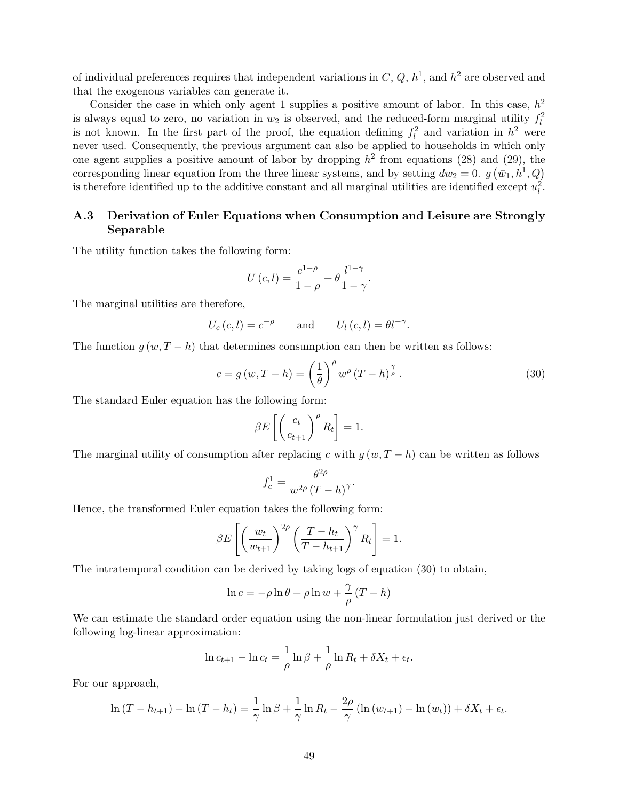of individual preferences requires that independent variations in  $C, Q, h<sup>1</sup>$ , and  $h<sup>2</sup>$  are observed and that the exogenous variables can generate it.

Consider the case in which only agent 1 supplies a positive amount of labor. In this case,  $h^2$ is always equal to zero, no variation in  $w_2$  is observed, and the reduced-form marginal utility  $f_l^2$ is not known. In the first part of the proof, the equation defining  $f_l^2$  and variation in  $h^2$  were never used. Consequently, the previous argument can also be applied to households in which only one agent supplies a positive amount of labor by dropping  $h^2$  from equations (28) and (29), the corresponding linear equation from the three linear systems, and by setting  $dw_2 = 0$ .  $g(\bar{w}_1, h^1, Q)$ is therefore identified up to the additive constant and all marginal utilities are identified except  $u_l^2$ .

## A.3 Derivation of Euler Equations when Consumption and Leisure are Strongly Separable

The utility function takes the following form:

$$
U(c, l) = \frac{c^{1-\rho}}{1-\rho} + \theta \frac{l^{1-\gamma}}{1-\gamma}.
$$

The marginal utilities are therefore,

$$
U_c(c, l) = c^{-\rho}
$$
 and  $U_l(c, l) = \theta l^{-\gamma}$ .

The function  $q(w, T - h)$  that determines consumption can then be written as follows:

$$
c = g(w, T - h) = \left(\frac{1}{\theta}\right)^{\rho} w^{\rho} (T - h)^{\frac{\gamma}{\rho}}.
$$
 (30)

The standard Euler equation has the following form:

$$
\beta E\left[\left(\frac{c_t}{c_{t+1}}\right)^{\rho} R_t\right] = 1.
$$

The marginal utility of consumption after replacing c with  $g(w, T - h)$  can be written as follows

$$
f_c^1 = \frac{\theta^{2\rho}}{w^{2\rho} (T - h)^{\gamma}}.
$$

Hence, the transformed Euler equation takes the following form:

$$
\beta E\left[\left(\frac{w_t}{w_{t+1}}\right)^{2\rho}\left(\frac{T-h_t}{T-h_{t+1}}\right)^{\gamma}R_t\right]=1.
$$

The intratemporal condition can be derived by taking logs of equation (30) to obtain,

$$
\ln c = -\rho \ln \theta + \rho \ln w + \frac{\gamma}{\rho} (T - h)
$$

We can estimate the standard order equation using the non-linear formulation just derived or the following log-linear approximation:

$$
\ln c_{t+1} - \ln c_t = \frac{1}{\rho} \ln \beta + \frac{1}{\rho} \ln R_t + \delta X_t + \epsilon_t.
$$

For our approach,

$$
\ln (T - h_{t+1}) - \ln (T - h_t) = \frac{1}{\gamma} \ln \beta + \frac{1}{\gamma} \ln R_t - \frac{2\rho}{\gamma} (\ln (w_{t+1}) - \ln (w_t)) + \delta X_t + \epsilon_t.
$$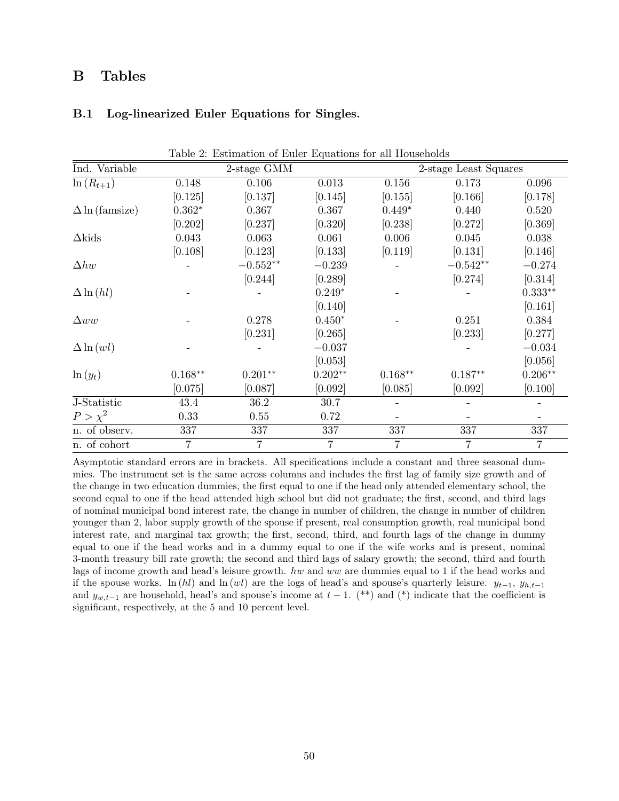# B Tables

### B.1 Log-linearized Euler Equations for Singles.

|                       |                | Lable 2. Estimation of Euler Equations for all Households |                |                |                       |           |
|-----------------------|----------------|-----------------------------------------------------------|----------------|----------------|-----------------------|-----------|
| Ind. Variable         |                | 2-stage GMM                                               |                |                | 2-stage Least Squares |           |
| $\ln(R_{t+1})$        | 0.148          | 0.106                                                     | 0.013          | 0.156          | 0.173                 | 0.096     |
|                       | [0.125]        | [0.137]                                                   | [0.145]        | [0.155]        | [0.166]               | [0.178]   |
| $\Delta$ ln (famsize) | $0.362*$       | 0.367                                                     | 0.367          | $0.449*$       | 0.440                 | 0.520     |
|                       | [0.202]        | [0.237]                                                   | [0.320]        | [0.238]        | [0.272]               | [0.369]   |
| $\Delta$ kids         | 0.043          | 0.063                                                     | 0.061          | 0.006          | 0.045                 | 0.038     |
|                       | [0.108]        | [0.123]                                                   | [0.133]        | [0.119]        | [0.131]               | [0.146]   |
| $\Delta hw$           |                | $-0.552**$                                                | $-0.239$       |                | $-0.542**$            | $-0.274$  |
|                       |                | [0.244]                                                   | [0.289]        |                | [0.274]               | [0.314]   |
| $\Delta \ln(hl)$      |                |                                                           | $0.249*$       |                |                       | $0.333**$ |
|                       |                |                                                           | [0.140]        |                |                       | [0.161]   |
| $\Delta ww$           |                | 0.278                                                     | $0.450*$       |                | 0.251                 | 0.384     |
|                       |                | [0.231]                                                   | [0.265]        |                | [0.233]               | [0.277]   |
| $\Delta \ln(wl)$      |                |                                                           | $-0.037$       |                |                       | $-0.034$  |
|                       |                |                                                           | [0.053]        |                |                       | [0.056]   |
| $\ln(y_t)$            | $0.168**$      | $0.201**$                                                 | $0.202**$      | $0.168**$      | $0.187**$             | $0.206**$ |
|                       | [0.075]        | [0.087]                                                   | [0.092]        | [0.085]        | [0.092]               | [0.100]   |
| J-Statistic           | 43.4           | 36.2                                                      | 30.7           |                |                       |           |
| $P > \chi^2$          | 0.33           | 0.55                                                      | 0.72           |                |                       |           |
| n. of observ.         | 337            | 337                                                       | 337            | 337            | 337                   | 337       |
| n. of cohort          | $\overline{7}$ | 7                                                         | $\overline{7}$ | $\overline{7}$ | 7                     | 7         |

Table 2: Estimation of Euler Equations for all Households

Asymptotic standard errors are in brackets. All specifications include a constant and three seasonal dummies. The instrument set is the same across columns and includes the first lag of family size growth and of the change in two education dummies, the first equal to one if the head only attended elementary school, the second equal to one if the head attended high school but did not graduate; the first, second, and third lags of nominal municipal bond interest rate, the change in number of children, the change in number of children younger than 2, labor supply growth of the spouse if present, real consumption growth, real municipal bond interest rate, and marginal tax growth; the first, second, third, and fourth lags of the change in dummy equal to one if the head works and in a dummy equal to one if the wife works and is present, nominal 3-month treasury bill rate growth; the second and third lags of salary growth; the second, third and fourth lags of income growth and head's leisure growth. hw and ww are dummies equal to 1 if the head works and if the spouse works. ln (hl) and ln (wl) are the logs of head's and spouse's quarterly leisure.  $y_{t-1}, y_{h,t-1}$ and  $y_{w,t-1}$  are household, head's and spouse's income at  $t-1$ . (\*\*) and (\*) indicate that the coefficient is significant, respectively, at the 5 and 10 percent level.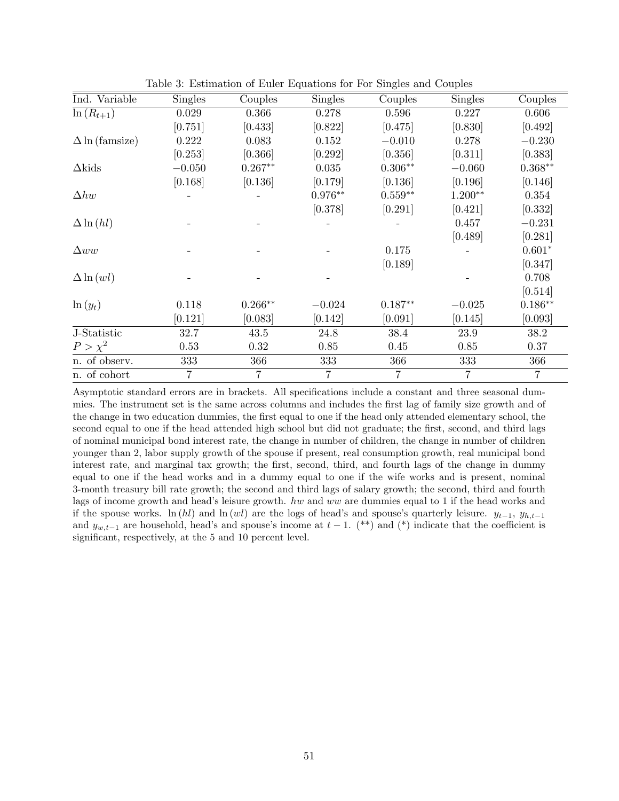| Ind. Variable             | <b>Singles</b> | Couples        | Singles        | Couples   | <b>Singles</b> | Couples   |
|---------------------------|----------------|----------------|----------------|-----------|----------------|-----------|
| $\overline{\ln(R_{t+1})}$ | 0.029          | 0.366          | 0.278          | 0.596     | 0.227          | 0.606     |
|                           | [0.751]        | [0.433]        | [0.822]        | [0.475]   | [0.830]        | [0.492]   |
| $\Delta$ ln (famsize)     | 0.222          | 0.083          | 0.152          | $-0.010$  | 0.278          | $-0.230$  |
|                           | [0.253]        | [0.366]        | [0.292]        | [0.356]   | [0.311]        | [0.383]   |
| $\Delta$ kids             | $-0.050$       | $0.267**$      | 0.035          | $0.306**$ | $-0.060$       | $0.368**$ |
|                           | [0.168]        | [0.136]        | [0.179]        | [0.136]   | [0.196]        | [0.146]   |
| $\Delta hw$               |                |                | $0.976**$      | $0.559**$ | $1.200**$      | 0.354     |
|                           |                |                | [0.378]        | [0.291]   | [0.421]        | [0.332]   |
| $\Delta \ln(hl)$          |                |                |                |           | 0.457          | $-0.231$  |
|                           |                |                |                |           | [0.489]        | [0.281]   |
| $\Delta ww$               |                |                |                | 0.175     |                | $0.601*$  |
|                           |                |                |                | [0.189]   |                | [0.347]   |
| $\Delta \ln (wl)$         |                |                |                |           |                | 0.708     |
|                           |                |                |                |           |                | [0.514]   |
| $\ln(y_t)$                | 0.118          | $0.266**$      | $-0.024$       | $0.187**$ | $-0.025$       | $0.186**$ |
|                           | [0.121]        | [0.083]        | [0.142]        | [0.091]   | [0.145]        | [0.093]   |
| J-Statistic               | 32.7           | 43.5           | 24.8           | 38.4      | 23.9           | 38.2      |
| $P > \chi^2$              | 0.53           | 0.32           | 0.85           | 0.45      | 0.85           | 0.37      |
| n. of observ.             | 333            | 366            | 333            | 366       | 333            | 366       |
| n. of cohort              | $\overline{7}$ | $\overline{7}$ | $\overline{7}$ | 7         | $\overline{7}$ | 7         |

Table 3: Estimation of Euler Equations for For Singles and Couples

Asymptotic standard errors are in brackets. All specifications include a constant and three seasonal dummies. The instrument set is the same across columns and includes the first lag of family size growth and of the change in two education dummies, the first equal to one if the head only attended elementary school, the second equal to one if the head attended high school but did not graduate; the first, second, and third lags of nominal municipal bond interest rate, the change in number of children, the change in number of children younger than 2, labor supply growth of the spouse if present, real consumption growth, real municipal bond interest rate, and marginal tax growth; the first, second, third, and fourth lags of the change in dummy equal to one if the head works and in a dummy equal to one if the wife works and is present, nominal 3-month treasury bill rate growth; the second and third lags of salary growth; the second, third and fourth lags of income growth and head's leisure growth. hw and ww are dummies equal to 1 if the head works and if the spouse works. ln (hl) and ln (wl) are the logs of head's and spouse's quarterly leisure.  $y_{t-1}, y_{h,t-1}$ and  $y_{w,t-1}$  are household, head's and spouse's income at  $t-1$ . (\*\*) and (\*) indicate that the coefficient is significant, respectively, at the 5 and 10 percent level.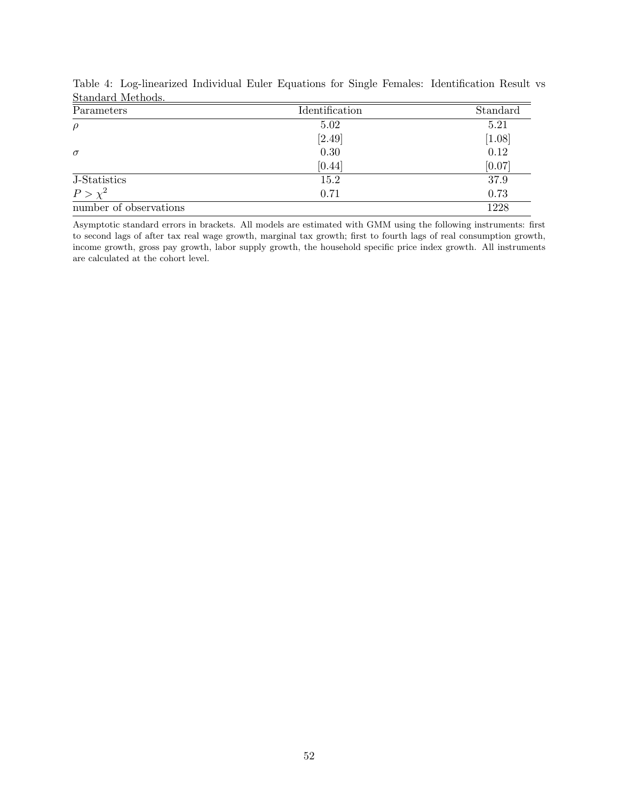| Parameters             | Identification | Standard |
|------------------------|----------------|----------|
| $\rho$                 | 5.02           | 5.21     |
|                        | [2.49]         | [1.08]   |
| $\sigma$               | 0.30           | 0.12     |
|                        | [0.44]         | [0.07]   |
| J-Statistics           | 15.2           | 37.9     |
| $P > \chi^2$           | 0.71           | 0.73     |
| number of observations |                | 1228     |

Table 4: Log-linearized Individual Euler Equations for Single Females: Identification Result vs Standard Methods.

Asymptotic standard errors in brackets. All models are estimated with GMM using the following instruments: first to second lags of after tax real wage growth, marginal tax growth; first to fourth lags of real consumption growth, income growth, gross pay growth, labor supply growth, the household specific price index growth. All instruments are calculated at the cohort level.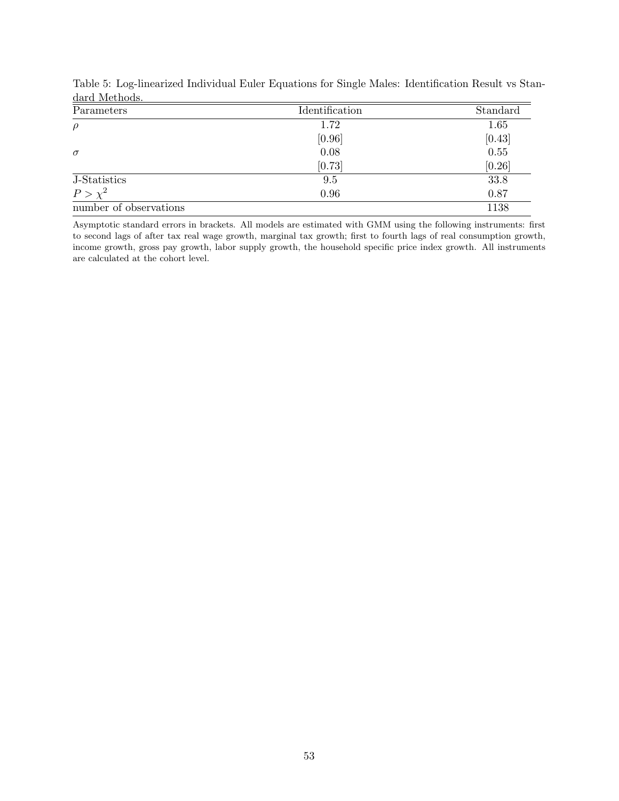| Parameters             | Identification | Standard |
|------------------------|----------------|----------|
| $\rho$                 | 1.72           | 1.65     |
|                        | [0.96]         | [0.43]   |
| $\sigma$               | 0.08           | 0.55     |
|                        | [0.73]         | [0.26]   |
| J-Statistics           | 9.5            | 33.8     |
| $P > \chi^2$           | 0.96           | 0.87     |
| number of observations |                | 1138     |

Table 5: Log-linearized Individual Euler Equations for Single Males: Identification Result vs Standard Methods.

Asymptotic standard errors in brackets. All models are estimated with GMM using the following instruments: first to second lags of after tax real wage growth, marginal tax growth; first to fourth lags of real consumption growth, income growth, gross pay growth, labor supply growth, the household specific price index growth. All instruments are calculated at the cohort level.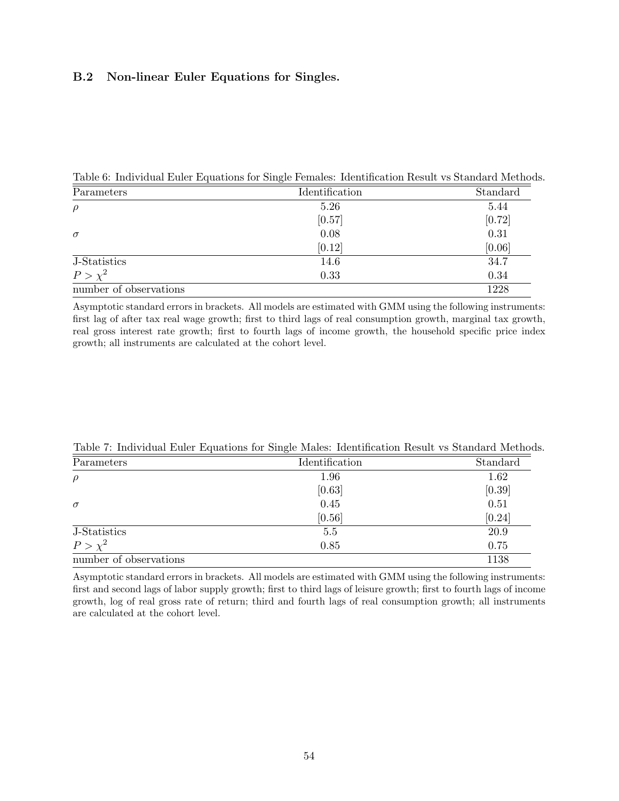# B.2 Non-linear Euler Equations for Singles.

Table 6: Individual Euler Equations for Single Females: Identification Result vs Standard Methods.

| Parameters             | Identification | Standard |
|------------------------|----------------|----------|
| $\rho$                 | 5.26           | 5.44     |
|                        | [0.57]         | [0.72]   |
| $\sigma$               | 0.08           | 0.31     |
|                        | [0.12]         | [0.06]   |
| J-Statistics           | 14.6           | 34.7     |
| $P > \chi^2$           | 0.33           | 0.34     |
| number of observations |                | 1228     |

Asymptotic standard errors in brackets. All models are estimated with GMM using the following instruments: first lag of after tax real wage growth; first to third lags of real consumption growth, marginal tax growth, real gross interest rate growth; first to fourth lags of income growth, the household specific price index growth; all instruments are calculated at the cohort level.

| Parameters             | Identification | Standard |
|------------------------|----------------|----------|
| $\rho$                 | 1.96           | 1.62     |
|                        | [0.63]         | [0.39]   |
| $\sigma$               | 0.45           | 0.51     |
|                        | [0.56]         | [0.24]   |
| J-Statistics           | 5.5            | 20.9     |
| $P > \chi^2$           | 0.85           | 0.75     |
| number of observations |                | 1138     |

Table 7: Individual Euler Equations for Single Males: Identification Result vs Standard Methods.

Asymptotic standard errors in brackets. All models are estimated with GMM using the following instruments: first and second lags of labor supply growth; first to third lags of leisure growth; first to fourth lags of income growth, log of real gross rate of return; third and fourth lags of real consumption growth; all instruments are calculated at the cohort level.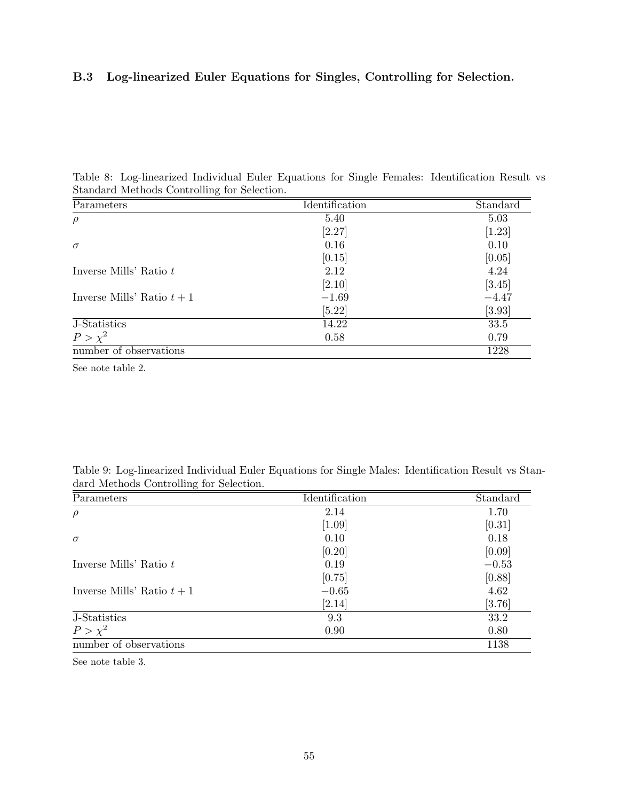# B.3 Log-linearized Euler Equations for Singles, Controlling for Selection.

| Table 8: Log-linearized Individual Euler Equations for Single Females: Identification Result vs |  |  |  |  |  |
|-------------------------------------------------------------------------------------------------|--|--|--|--|--|
| Standard Methods Controlling for Selection.                                                     |  |  |  |  |  |

| Parameters                 | Identification | Standard |
|----------------------------|----------------|----------|
| $\rho$                     | 5.40           | 5.03     |
|                            | [2.27]         | $[1.23]$ |
| $\sigma$                   | 0.16           | 0.10     |
|                            | [0.15]         | [0.05]   |
| Inverse Mills' Ratio t     | 2.12           | 4.24     |
|                            | [2.10]         | [3.45]   |
| Inverse Mills' Ratio $t+1$ | $-1.69$        | $-4.47$  |
|                            | $[5.22]$       | [3.93]   |
| J-Statistics               | 14.22          | 33.5     |
| $P > \chi^2$               | 0.58           | 0.79     |
| number of observations     |                | 1228     |

See note table 2.

Table 9: Log-linearized Individual Euler Equations for Single Males: Identification Result vs Standard Methods Controlling for Selection.

| Parameters                 | Identification | Standard |
|----------------------------|----------------|----------|
| $\rho$                     | 2.14           | 1.70     |
|                            | $[1.09]$       | [0.31]   |
| $\sigma$                   | 0.10           | 0.18     |
|                            | [0.20]         | [0.09]   |
| Inverse Mills' Ratio $t$   | 0.19           | $-0.53$  |
|                            | [0.75]         | [0.88]   |
| Inverse Mills' Ratio $t+1$ | $-0.65$        | 4.62     |
|                            | [2.14]         | $[3.76]$ |
| J-Statistics               | 9.3            | 33.2     |
| $P > \chi^2$               | 0.90           | 0.80     |
| number of observations     |                | 1138     |

See note table 3.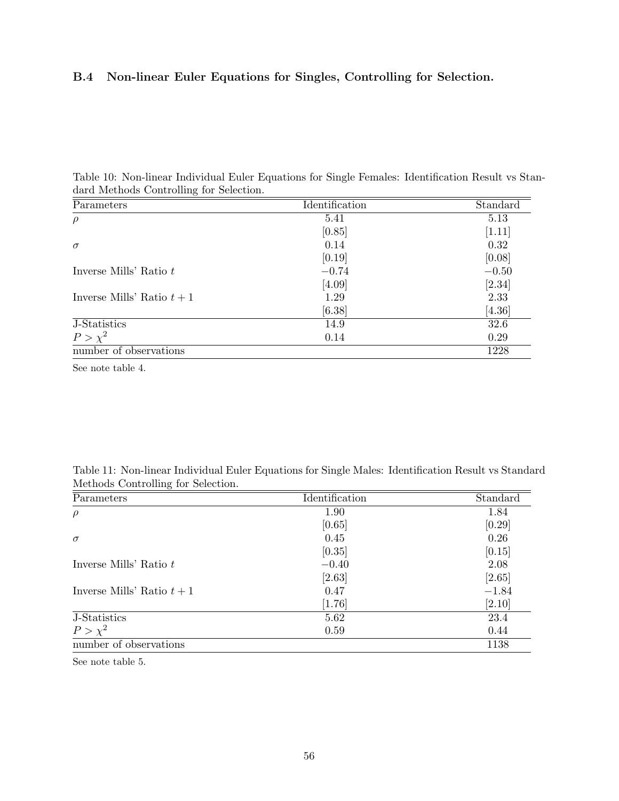# B.4 Non-linear Euler Equations for Singles, Controlling for Selection.

| Table 10: Non-linear Individual Euler Equations for Single Females: Identification Result vs Stan- |  |  |  |
|----------------------------------------------------------------------------------------------------|--|--|--|
| dard Methods Controlling for Selection.                                                            |  |  |  |

| Parameters                 | Identification | Standard |
|----------------------------|----------------|----------|
| $\rho$                     | 5.41           | 5.13     |
|                            | [0.85]         | $[1.11]$ |
| $\sigma$                   | 0.14           | 0.32     |
|                            | [0.19]         | [0.08]   |
| Inverse Mills' Ratio $t$   | $-0.74$        | $-0.50$  |
|                            | [4.09]         | [2.34]   |
| Inverse Mills' Ratio $t+1$ | 1.29           | 2.33     |
|                            | [6.38]         | [4.36]   |
| J-Statistics               | 14.9           | 32.6     |
| $P > \chi^2$               | 0.14           | 0.29     |
| number of observations     |                | 1228     |

See note table 4.

|  |                                    | Table 11: Non-linear Individual Euler Equations for Single Males: Identification Result vs Standard |  |  |  |  |
|--|------------------------------------|-----------------------------------------------------------------------------------------------------|--|--|--|--|
|  | Methods Controlling for Selection. |                                                                                                     |  |  |  |  |

| Parameters                 | Identification | Standard |
|----------------------------|----------------|----------|
| $\rho$                     | 1.90           | 1.84     |
|                            | [0.65]         | [0.29]   |
| $\sigma$                   | 0.45           | 0.26     |
|                            | [0.35]         | [0.15]   |
| Inverse Mills' Ratio $t$   | $-0.40$        | 2.08     |
|                            | [2.63]         | [2.65]   |
| Inverse Mills' Ratio $t+1$ | 0.47           | $-1.84$  |
|                            | [1.76]         | [2.10]   |
| J-Statistics               | 5.62           | 23.4     |
| $P > \chi^2$               | 0.59           | 0.44     |
| number of observations     |                | 1138     |

See note table 5.